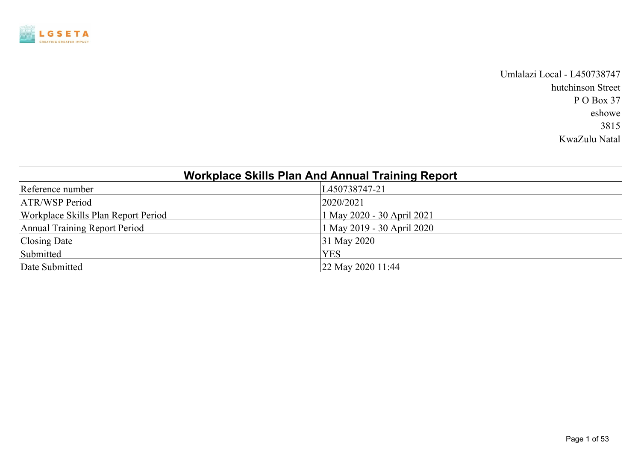

Umlalazi Local - L450738747 hutchinson Street P O Box 37 eshowe 3815 KwaZulu Natal

|                                     | <b>Workplace Skills Plan And Annual Training Report</b> |
|-------------------------------------|---------------------------------------------------------|
| Reference number                    | L450738747-21                                           |
| <b>ATR/WSP Period</b>               | 2020/2021                                               |
| Workplace Skills Plan Report Period | 1 May 2020 - 30 April 2021                              |
| Annual Training Report Period       | 1 May 2019 - 30 April 2020                              |
| Closing Date                        | 31 May 2020                                             |
| Submitted                           | <b>YES</b>                                              |
| Date Submitted                      | $ 22 \text{ May } 2020 \text{ 11:44} $                  |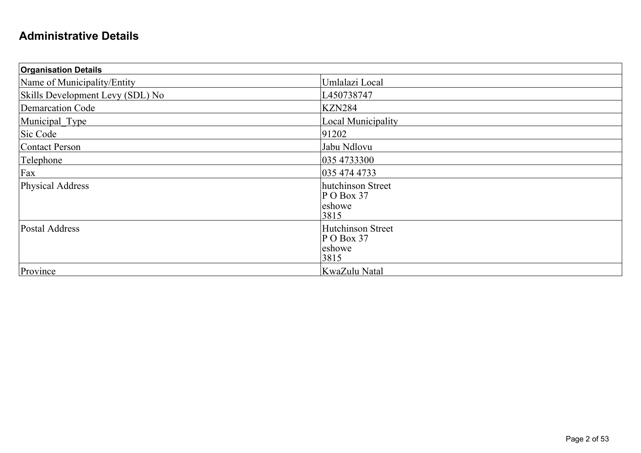#### **Administrative Details**

| <b>Organisation Details</b>      |                                                            |  |
|----------------------------------|------------------------------------------------------------|--|
| Name of Municipality/Entity      | Umlalazi Local                                             |  |
| Skills Development Levy (SDL) No | L450738747                                                 |  |
| Demarcation Code                 | <b>KZN284</b>                                              |  |
| Municipal Type                   | Local Municipality                                         |  |
| Sic Code                         | 91202                                                      |  |
| Contact Person                   | Jabu Ndlovu                                                |  |
| Telephone                        | 035 4733300                                                |  |
| Fax                              | 035 474 4733                                               |  |
| Physical Address                 | hutchinson Street<br>$P$ O Box 37<br>leshowe<br>3815       |  |
| Postal Address                   | <b>Hutchinson Street</b><br>$P$ O Box 37<br>eshowe<br>3815 |  |
| Province                         | KwaZulu Natal                                              |  |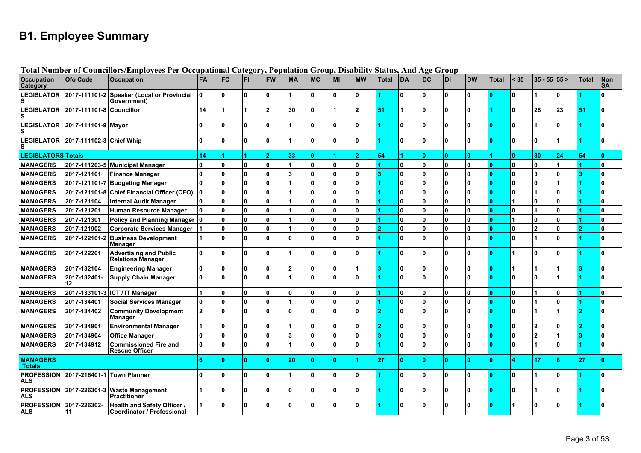# **B1. Employee Summary**

|                                  |                                | Total Number of Councillors/Employees Per Occupational Category, Population Group, Disability Status, And Age Group |                         |              |              |                |                |           |                      |                |              |              |    |              |              |              |              |                |          |              |                         |
|----------------------------------|--------------------------------|---------------------------------------------------------------------------------------------------------------------|-------------------------|--------------|--------------|----------------|----------------|-----------|----------------------|----------------|--------------|--------------|----|--------------|--------------|--------------|--------------|----------------|----------|--------------|-------------------------|
| <b>Occupation</b><br>Category    | Ofo Code                       | <b>Occupation</b>                                                                                                   | <b>FA</b>               | <b>FC</b>    | <b>FI</b>    | <b>FW</b>      | <b>MA</b>      | <b>MC</b> | MI                   | <b>MW</b>      | <b>Total</b> | DA           | DC | <b>DI</b>    | <b>DW</b>    | <b>Total</b> | < 35         | $35 - 55$ 55 > |          | <b>Total</b> | <b>Non</b><br><b>SA</b> |
| <b>LEGISLATOR</b><br>s           |                                | 2017-111101-2 Speaker (Local or Provincial<br>Government)                                                           | ١o                      | $\mathbf{0}$ | $\mathbf{0}$ | 0              |                | ۱O        | n.                   | $\mathbf{0}$   |              | 0            | ١o | 0            | 0            | $\mathbf{0}$ | 0            |                | 0        |              | $\mathbf{0}$            |
| <b>LEGISLATOR</b>                | 2017-111101-8 Councillor       |                                                                                                                     | 14                      |              |              | $\mathbf{2}$   | 30             | n.        |                      | $\overline{2}$ | 51           |              | ١o | $\mathbf{0}$ | U            |              | 0            | 28             | 23       | 51           | $\mathbf{0}$            |
|                                  | LEGISLATOR 2017-111101-9 Mayor |                                                                                                                     | $\Omega$                | Û            | $\mathbf{0}$ | $\Omega$       |                | l n       | l n                  | $\mathbf{0}$   |              | $\mathbf{0}$ | ١o | $\mathbf{0}$ | n            | n            | 0            |                | n        |              | $\mathbf{0}$            |
| <b>LEGISLATOR</b>                | 2017-111102-3 Chief Whip       |                                                                                                                     | $\mathbf{0}$            | $\bf{0}$     | $\mathbf{0}$ | $\mathbf{0}$   |                | ۱O        | <b>O</b>             | 0              |              | 0            | ١o | $\mathbf{0}$ | 0            | n            | $\mathbf{0}$ | $\mathbf 0$    |          |              | $\mathbf{0}$            |
| <b>LEGISLATORS Totals</b>        |                                |                                                                                                                     | 14                      |              |              | $\overline{2}$ | 33             | 0         | $\blacktriangleleft$ | $\overline{2}$ | 54           |              | ١o | $\mathbf{0}$ | n.           |              | $\mathbf{0}$ | 30             | 24       | 54           | $\mathbf{0}$            |
| <b>MANAGERS</b>                  |                                | 2017-111203-5 Municipal Manager                                                                                     | $\mathbf{0}$            | 0            | 0            | 0              |                | 0         | 0                    | $\mathbf{0}$   |              | 0            | ١o | 0            | U            | $\mathbf{0}$ | 0            | 0              |          |              | $\mathbf{0}$            |
| <b>MANAGERS</b>                  | 2017-121101                    | <b>Finance Manager</b>                                                                                              | $\mathbf{0}$            | O            | $\mathbf{0}$ | $\Omega$       | 3              | 0         | $\overline{0}$       | $\mathbf{0}$   | 13           | 0            | ١o | 0            | n            | n            | <sup>0</sup> | 3              | O        |              | 0                       |
| <b>MANAGERS</b>                  |                                | 2017-121101-7 Budgeting Manager                                                                                     | ۱o                      | $\bf{0}$     | $\mathbf{0}$ | $\Omega$       |                | O         | <b>O</b>             | $\mathbf{0}$   |              | 0            | ١o | 0            | Λ            | n            | <sup>0</sup> | $\mathbf{0}$   |          |              | $\mathbf{0}$            |
| <b>MANAGERS</b>                  |                                | 2017-121101-8 Chief Financial Officer (CFO)                                                                         | ١o                      | $\bf{0}$     | $\mathbf{0}$ | O.             |                | O         | $\overline{0}$       | 0              |              | 0            | ١o | 0            | U            | n            | 0            |                | O        |              | $\mathbf{0}$            |
| <b>MANAGERS</b>                  | 2017-121104                    | <b>Internal Audit Manager</b>                                                                                       | ١o                      | $\mathbf{0}$ | $\mathbf{0}$ | O.             |                | O         | 0                    | 0              |              | 0            | ١o | 0            | 0            | $\Omega$     |              | 0              | 0        |              | $\mathbf{0}$            |
| <b>MANAGERS</b>                  | 2017-121201                    | Human Resource Manager                                                                                              | ١o                      | $\bf{0}$     | $\mathbf{0}$ | O.             |                | O         | O                    | O              |              | 0            | ١o | $\mathbf{0}$ | <sup>0</sup> | $\Omega$     | $\mathbf{0}$ | 1              | 0        |              | $\mathbf{0}$            |
| <b>MANAGERS</b>                  | 2017-121301                    | Policy and Planning Manager 0                                                                                       |                         | $\bf{0}$     | $\mathbf{0}$ | $\mathbf{0}$   |                | ۱o        | $\mathbf{0}$         | $\mathbf 0$    |              | 0            | ١o | $\mathbf{0}$ | U            | n            |              | 0              | $\Omega$ |              | $\mathbf{0}$            |
| <b>MANAGERS</b>                  | 2017-121902                    | <b>Corporate Services Manager</b>                                                                                   |                         | $\bf{0}$     | $\mathbf{0}$ | $\mathbf{0}$   |                | ۱O        | <b>O</b>             | $\mathbf{0}$   |              | 0            | ١o | $\mathbf{0}$ | n            | n            | 0            | $\overline{2}$ | $\Omega$ |              | $\mathbf{0}$            |
| <b>MANAGERS</b>                  |                                | 2017-122101-2 Business Development<br><b>Manager</b>                                                                |                         | $\mathbf{0}$ | $\mathbf{0}$ | $\mathbf{0}$   | $\Omega$       | n.        | n.                   | $\mathbf{0}$   |              | $\mathbf{0}$ | ١o | 0            | n            | $\mathbf{0}$ | 0            |                | ŋ        |              | $\mathbf{0}$            |
| <b>MANAGERS</b>                  | 2017-122201                    | <b>Advertising and Public</b><br><b>Relations Manager</b>                                                           | ۱o                      | $\Omega$     | $\mathbf{0}$ | $\mathbf{0}$   |                | ۱O        | <b>O</b>             | $\mathbf{0}$   |              | $\mathbf{0}$ | ١o | O.           | U            | $\mathbf{0}$ |              | 0              | O        |              | $\mathbf{0}$            |
| <b>MANAGERS</b>                  | 2017-132104                    | <b>Engineering Manager</b>                                                                                          | $\pmb{0}$               | Û            | 0            | 0              | $\overline{2}$ | 0         | 0                    |                | 13           | 0            | ١o | 0            | n            | n            |              |                |          |              | 0                       |
| <b>MANAGERS</b>                  | 2017-132401-<br>12             | <b>Supply Chain Manager</b>                                                                                         | ۱o                      | $\Omega$     | $\mathbf{0}$ | $\Omega$       |                | n.        | l n                  | <sup>0</sup>   |              | $\mathbf{0}$ | ١o | $\mathbf{0}$ | U            | $\Omega$     | <sup>0</sup> | 0              |          |              | $\bf{0}$                |
| <b>MANAGERS</b>                  |                                | 2017-133101-3 ICT / IT Manager                                                                                      | 1                       | $\Omega$     | $\mathbf{0}$ | $\mathbf{0}$   | $\Omega$       | O         | <b>O</b>             | $\mathbf{0}$   |              | 0            | ١o | 0            | n            | n            | 0            |                | O        |              | 0                       |
| <b>MANAGERS</b>                  | 2017-134401                    | <b>Social Services Manager</b>                                                                                      | $\mathbf{0}$            | $\bf{0}$     | $\mathbf{0}$ | $\mathbf{0}$   |                | ۱O        | <b>O</b>             | $\mathbf{0}$   |              | 0            | ١o | O.           | U            | $\mathbf{0}$ | 0            |                | ŋ        |              | $\mathbf{0}$            |
| <b>MANAGERS</b>                  | 2017-134402                    | <b>Community Development</b><br>Manager                                                                             | $\overline{\mathbf{2}}$ | $\Omega$     | $\mathbf{0}$ | n.             | $\Omega$       | O         | l n                  | $\mathbf{0}$   | 12           | 0            | I۵ | $\Omega$     | 0            | $\mathbf{0}$ | 0            |                |          |              | $\mathbf{0}$            |
| <b>MANAGERS</b>                  | 2017-134901                    | <b>Environmental Manager</b>                                                                                        | 1                       | $\bf{0}$     | $\mathbf{0}$ | O.             |                | O         | <b>O</b>             | 0              | 0            | 0            | ١o | $\mathbf{0}$ | <sup>0</sup> | n            | 0            | $\overline{2}$ | 0        |              | 0                       |
| <b>MANAGERS</b>                  | 2017-134904                    | <b>Office Manager</b>                                                                                               | $\mathbf{0}$            | $\bf{0}$     | $\mathbf{0}$ | $\mathbf{0}$   | 3              | O         | <b>O</b>             | $\mathbf{0}$   | 13           | 0            | ١o | 0            | U            | $\mathbf{0}$ | 0            | $\overline{2}$ |          |              | $\mathbf{0}$            |
| <b>MANAGERS</b>                  | 2017-134912                    | <b>Commissioned Fire and</b><br><b>Rescue Officer</b>                                                               | $\mathbf{0}$            | $\Omega$     | $\mathbf{0}$ | n.             |                | l n       | l n                  | $\mathbf{0}$   |              | $\mathbf{0}$ | I۵ | $\Omega$     | O.           | $\mathbf{0}$ | 0            |                | n.       |              | $\bf{0}$                |
| <b>MANAGERS</b><br><b>Totals</b> |                                |                                                                                                                     | 6                       | $\Omega$     | $\bullet$    | 0              | 20             | lo.       | $\mathbf{0}$         | 1              | 27           | ١o           | ١o | $\mathbf{0}$ | n            | $\mathbf{0}$ |              | 17             | 6        | 27           | $\mathbf{0}$            |
| <b>PROFESSION</b><br><b>ALS</b>  | 2017-216401-1                  | <b>Town Planner</b>                                                                                                 | $\mathbf{0}$            | ١o           | $\mathbf{0}$ | O.             |                | ۱O        | <sup>0</sup>         | $\mathbf{0}$   |              | 0            | ١o | $\mathbf{0}$ | U            | $\mathbf{0}$ | 0            |                | O        |              | $\mathbf{0}$            |
| <b>PROFESSION</b><br><b>ALS</b>  |                                | 2017-226301-3 Waste Management<br><b>Practitioner</b>                                                               |                         | $\bf{0}$     | $\mathbf{0}$ | $\Omega$       | $\Omega$       | O         | ۱n                   | $\mathbf{0}$   |              | 0            | ١o | <sup>0</sup> | U            | $\Omega$     | <sup>0</sup> |                |          |              | $\mathbf{0}$            |
| <b>PROFESSION</b><br><b>ALS</b>  | 2017-226302-<br>11             | Health and Safety Officer /<br>Coordinator / Professional                                                           |                         | $\mathbf{0}$ | $\mathbf{0}$ | $\mathbf{0}$   | $\Omega$       | n.        | n.                   | $\mathbf{0}$   |              | 0            | ١o | U            | U            | n            |              | $\Omega$       |          |              | $\mathbf{0}$            |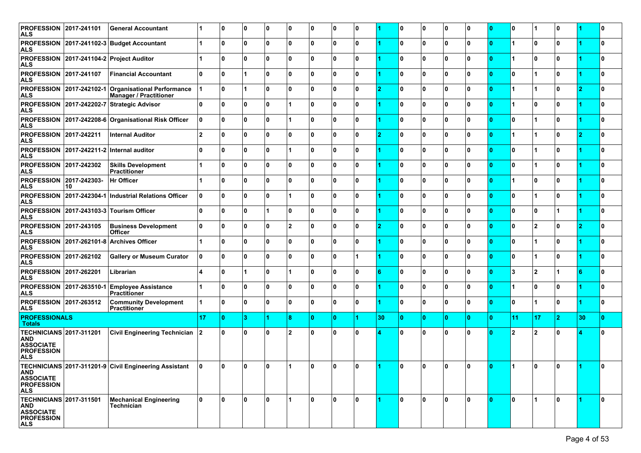| <b>PROFESSION 2017-241101</b><br><b>ALS</b>                                                         |                          | <b>General Accountant</b>                                                            | 1              | 10 | l 0 | ۱٥  | 0              | 0            | 0            | 0            |                | 0        | 0            | 0            | 0  | $\mathbf{0}$ | 0              | 1                    | 10 |    | 10 |
|-----------------------------------------------------------------------------------------------------|--------------------------|--------------------------------------------------------------------------------------|----------------|----|-----|-----|----------------|--------------|--------------|--------------|----------------|----------|--------------|--------------|----|--------------|----------------|----------------------|----|----|----|
| <b>ALS</b>                                                                                          |                          | PROFESSION 2017-241102-3 Budget Accountant                                           | 1              | 10 | 10  | ۱٥  | $\mathbf{0}$   | 0            | 0            | 0            |                | 0        | 0            | $\mathbf{0}$ | 0  | $\bf{0}$     | $\overline{1}$ | $\mathbf{0}$         | ١o |    | 10 |
| <b>ALS</b>                                                                                          |                          | PROFESSION 2017-241104-2 Project Auditor                                             | 1              | ١o | 10  | ١o  | $\Omega$       | $\mathbf{0}$ | $\mathbf{0}$ | $\bf{0}$     |                | 0        | $\mathbf{0}$ | 0            | ۱o | $\mathbf{0}$ | $\overline{1}$ | $\mathbf{0}$         | ۱o |    | I٥ |
| <b>PROFESSION 2017-241107</b><br><b>ALS</b>                                                         |                          | <b>Financial Accountant</b>                                                          | ۱o             | ١o | 1   | 0 ا | <sup>0</sup>   | 0            | 0            | $\bf{0}$     |                | 0        | $\mathbf{0}$ | 0            | 0  | $\bf{0}$     | 0              | 1                    | ١o |    | ١o |
| <b>ALS</b>                                                                                          |                          | PROFESSION 2017-242102-1 Organisational Performance<br><b>Manager / Practitioner</b> |                | 10 | 1   | 0 ا | $\Omega$       | 0            | 0            | 0            | $\overline{2}$ | 0        | 0            | $\mathbf{0}$ | 0  | $\bf{0}$     | $\overline{1}$ | $\mathbf{1}$         | ١o | 2  | 10 |
| <b>ALS</b>                                                                                          |                          | PROFESSION 2017-242202-7 Strategic Advisor                                           | 0              | ١o | 10  | ١o  |                | $\mathbf{0}$ | $\mathbf{0}$ | $\bf{0}$     |                | 0        | $\mathbf{0}$ | 0            | ۱o | $\mathbf{0}$ | $\overline{1}$ | $\mathbf{0}$         | ۱O |    | I٥ |
| <b>ALS</b>                                                                                          |                          | PROFESSION 2017-242208-6 Organisational Risk Officer                                 | 0              | ١o | 10  | 0 ا |                | 0            | 0            | $\bf{0}$     |                | 0        | $\mathbf{0}$ | 0            | ۱o | $\bf{0}$     | 0              | 1                    | ١o |    | ١o |
| <b>PROFESSION 2017-242211</b><br><b>ALS</b>                                                         |                          | <b>Internal Auditor</b>                                                              | $\overline{2}$ | 10 | 10  | ۱٥  | $\Omega$       | 0            | 0            | 0            | $\overline{2}$ | 0        | 0            | $\mathbf 0$  | 0  | ١o           | $\overline{1}$ | $\mathbf 1$          | ١o | 12 | 10 |
| <b>ALS</b>                                                                                          |                          | PROFESSION 2017-242211-2 Internal auditor                                            | ۱o             | ١o | 10  | ١o  |                | $\mathbf{0}$ | $\mathbf{0}$ | $\mathbf{0}$ |                | 0        | $\mathbf{0}$ | 0            | ۱o | $\mathbf{0}$ | O              | $\blacktriangleleft$ | ۱o |    | I٥ |
| <b>PROFESSION 2017-242302</b><br><b>ALS</b>                                                         |                          | <b>Skills Development</b><br><b>Practitioner</b>                                     | 1              | ١o | 10  | 0 ا | 0              | 0            | 0            | $\bf{0}$     |                | 0        | 0            | 0            | 0  | $\bf{0}$     | 0              | $\blacktriangleleft$ | ١o |    | 10 |
| PROFESSION 2017-242303-<br><b>ALS</b>                                                               | 10                       | <b>Hr Officer</b>                                                                    | 1              | ١o | 10  | ۱٥  | $\Omega$       | 0            | 0            | 0            |                | 0        | 0            | 0            | 0  | $\bf{0}$     | $\overline{1}$ | $\mathbf{0}$         | ١o |    | 10 |
| <b>ALS</b>                                                                                          | PROFESSION 2017-242304-1 | Industrial Relations Officer                                                         | 0              | ١o | 10  | ١o  |                | $\mathbf{0}$ | $\mathbf{0}$ | $\bf{0}$     |                | 0        | $\mathbf{0}$ | 0            | ۱o | $\mathbf{0}$ | 0              | 1                    | ۱o |    | I٥ |
| <b>ALS</b>                                                                                          |                          | PROFESSION 2017-243103-3 Tourism Officer                                             | 0              | ١o | 10  | 11  | 0              | 0            | 0            | $\bf{0}$     |                | 0        | $\mathbf{0}$ | 0            | 0  | $\bf{0}$     | O              | 0                    | 1  |    | ١o |
| <b>PROFESSION 2017-243105</b><br><b>ALS</b>                                                         |                          | <b>Business Development</b><br><b>Officer</b>                                        | 0              | 10 | 10  | ۱٥  | $\overline{2}$ | 0            | 0            | 0            | $\overline{2}$ | 0        | $\mathbf 0$  | $\mathbf{0}$ | 0  | $\mathbf{0}$ | 0              | $\overline{2}$       | ١o | 2  | 10 |
| <b>ALS</b>                                                                                          |                          | PROFESSION 2017-262101-8 Archives Officer                                            | 1              | ١o | 10  | ١o  | $\Omega$       | $\mathbf{0}$ | 0            | $\bf{0}$     |                | 0        | $\mathbf{0}$ | 0            | ۱o | $\mathbf{0}$ | O              | 1                    | ١o |    | I٥ |
| <b>PROFESSION 2017-262102</b><br><b>ALS</b>                                                         |                          | <b>Gallery or Museum Curator</b>                                                     | 0              | ١o | 10  | ١o  | 0              | 0            | 0            |              |                | 0        | $\mathbf 0$  | 0            | 0  | $\bf{0}$     | O              | 1                    | ١o |    | ١o |
| <b>PROFESSION 2017-262201</b><br><b>ALS</b>                                                         |                          | Librarian                                                                            | 4              | 10 | 1   | 0 ا |                | 0            | $\mathbf{0}$ | $\mathbf{0}$ | 6              | 0        | $\mathbf{0}$ | $\mathbf{0}$ | ۱o | $\bf{0}$     | 3              | $\overline{2}$       | 1  | 16 | I٥ |
| <b>ALS</b>                                                                                          | PROFESSION 2017-263510-1 | <b>Employee Assistance</b><br><b>Practitioner</b>                                    | 1              | ١o | 10  | ٥١  | $\Omega$       | $\mathbf{0}$ | $\mathbf{0}$ | $\mathbf{0}$ |                | 0        | $\mathbf{0}$ | 0            | ۱o | $\mathbf{0}$ | $\overline{1}$ | 0                    | ۱o |    | I٥ |
| <b>PROFESSION 2017-263512</b><br><b>ALS</b>                                                         |                          | <b>Community Development</b><br><b>Practitioner</b>                                  | 1              | ١o | 10  | 0   | <sup>0</sup>   | 0            | 0            | $\mathbf{0}$ |                | 0        | $\mathbf{0}$ | 0            | 0  | $\bf{0}$     | 0              | 1                    | ١o |    | ١o |
| <b>PROFESSIONALS</b><br><b>Totals</b>                                                               |                          |                                                                                      | 17             | 10 | 3   |     | 8              | $\mathbf{0}$ | $\mathbf{0}$ |              | 30             | 10.      | $\bullet$    | $\mathbf{0}$ | 0  | $\mathbf{0}$ | 11             | 17                   | 2  | 30 | ١o |
| <b>TECHNICIANS 2017-311201</b><br><b>AND</b><br><b>ASSOCIATE</b><br><b>PROFESSION</b><br><b>ALS</b> |                          | <b>Civil Engineering Technician</b>                                                  | $ 2\rangle$    | ١o | 0   | ١o  | $\overline{2}$ | 0            | $\mathbf{0}$ | $\mathbf{0}$ |                | $\bf{0}$ | $\mathbf{0}$ | 0            | ۱o | $\Omega$     | $\overline{2}$ | $\overline{2}$       | ١n |    | ١o |
| AND<br><b>ASSOCIATE</b><br><b>PROFESSION</b><br><b>ALS</b>                                          |                          | TECHNICIANS 2017-311201-9 Civil Engineering Assistant                                | 10             | 10 | 10  | 10  |                | 0            | 0            | 10           |                | 10       | 10           | 10           | 0  | 10.          |                | 0                    | 10 |    | 10 |
| <b>TECHNICIANS 2017-311501</b><br>AND<br><b>ASSOCIATE</b><br><b>PROFESSION</b><br><b>ALS</b>        |                          | Mechanical Engineering<br>Technician                                                 | ۱o             | ١o | ١o  | ۱o  |                | O.           | $\mathbf{0}$ | O.           |                | ١o       | $\mathbf{0}$ | ١o           | ۱o | ١o           | <b>O</b>       | $\mathbf{1}$         | ۱o |    | I٥ |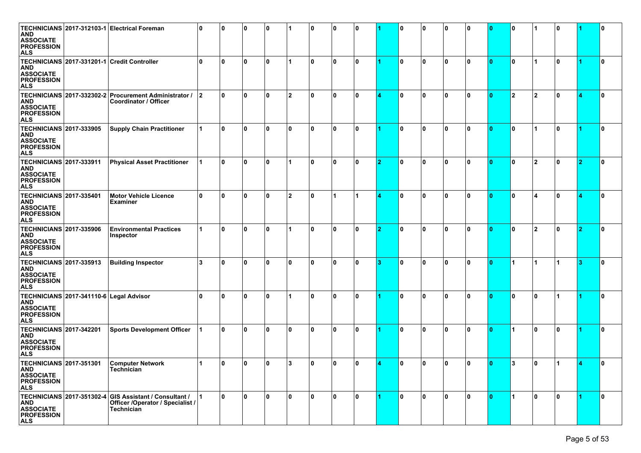| AND<br><b>ASSOCIATE</b><br><b>PROFESSION</b><br><b>ALS</b>                                   |                                         | TECHNICIANS 2017-312103-1 Electrical Foreman                                                                    | 0  | 0  | 10 | 0 ا |    | ۱٥ | 0            | 0        |   | 10  | 10 | 0            | 0  | 10  | ١o       |                         | ۱0  |   |              |
|----------------------------------------------------------------------------------------------|-----------------------------------------|-----------------------------------------------------------------------------------------------------------------|----|----|----|-----|----|----|--------------|----------|---|-----|----|--------------|----|-----|----------|-------------------------|-----|---|--------------|
| AND<br><b>ASSOCIATE</b><br><b>PROFESSION</b><br>ALS                                          |                                         | TECHNICIANS 2017-331201-1 Credit Controller                                                                     | 0  | ۱O | 10 | l 0 |    | ١o | 0            | 0        |   | 10  | 0  | 0            | n  | 10  | ١o       | 1                       | 0 ا |   | 0            |
| <b>AND</b><br><b>ASSOCIATE</b><br><b>PROFESSION</b><br>ALS                                   |                                         | TECHNICIANS 2017-332302-2 Procurement Administrator / 2<br>Coordinator / Officer                                |    | O  | ١o | 0 ا | 12 | ١o | 0            | $\bf{0}$ |   | ١o  | 0  | 0            | n  | 10  | <b>2</b> | $\mathbf{2}$            | 10  |   |              |
| <b>TECHNICIANS 2017-333905</b><br>AND<br><b>ASSOCIATE</b><br><b>PROFESSION</b><br><b>ALS</b> |                                         | <b>Supply Chain Practitioner</b>                                                                                |    | ١o | ١o | 0 ا | ۱٥ | ١o | $\mathbf{0}$ | O.       |   | ١o  | 0  | $\mathbf{0}$ | n  | ۱O  | ١o       |                         | 0 ا |   | 0            |
| <b>TECHNICIANS 2017-333911</b><br>AND<br><b>ASSOCIATE</b><br><b>PROFESSION</b><br>ALS        |                                         | <b>Physical Asset Practitioner</b>                                                                              | 11 | ١o | ١o | l 0 | 1  | ١o | 0            | 0        | 2 | 0   | 0  | 0            | O  | 10  | ١o       | $\overline{2}$          | 0 ا | 2 | 0            |
| <b>TECHNICIANS 2017-335401</b><br>AND<br><b>ASSOCIATE</b><br><b>PROFESSION</b><br>ALS        |                                         | <b>Motor Vehicle Licence</b><br><b>Examiner</b>                                                                 | 0  | O  | ١o | 0 ا | 12 | ١o |              | 1        |   | ١o  | 0  | 0            | n  | 10  | ١o       | $\overline{\mathbf{A}}$ | ۱0  |   |              |
| <b>TECHNICIANS 2017-335906</b><br>AND<br><b>ASSOCIATE</b><br><b>PROFESSION</b><br><b>ALS</b> |                                         | <b>Environmental Practices</b><br>Inspector                                                                     |    | ۱O | ١o | l 0 |    | ١o | 0            | 0        | ຳ | ١o  | 0  | $\mathbf{0}$ | n  | 10  | ١o       | $\overline{\mathbf{2}}$ | ۱0  |   | 0            |
| <b>TECHNICIANS 2017-335913</b><br>AND<br><b>ASSOCIATE</b><br><b>PROFESSION</b><br><b>ALS</b> |                                         | <b>Building Inspector</b>                                                                                       | 3  | ۱n | 10 | 0 ا | ١O | ١o | 0            | 0        | з | 0   | 0  | 0            | n  | 10  | 1        |                         | ا 1 |   | 0            |
| <b>AND</b><br><b>ASSOCIATE</b><br><b>PROFESSION</b><br>ALS                                   | TECHNICIANS 2017-341110-6 Legal Advisor |                                                                                                                 | O  | ۱O | ١o | 0 ا |    | ١o | 0            | 0        |   | 0   | 0  | 0            | n  | ۱O  | ١o       | $\mathbf{0}$            |     |   | n            |
| <b>TECHNICIANS 2017-342201</b><br>AND<br><b>ASSOCIATE</b><br><b>PROFESSION</b><br>ALS        |                                         | <b>Sports Development Officer</b>                                                                               |    | ۱O | ١o | 0 ا | ۱٥ | ١o | 0            | 0        |   | 0   | 0  | 0            | n  | 10  | 1        | l 0                     | ۱0  |   | 0            |
| <b>AND</b><br><b>ASSOCIATE</b><br><b>PROFESSION</b><br><b>ALS</b>                            |                                         | TECHNICIANS 2017-351301 Computer Network<br>Technician                                                          |    | 0  | ١o | ۱n  | ۱3 | ١n | $\Omega$     | n.       |   | l٥. | n. | n.           | n. | ln. | l 3      | ۱n                      | ا 1 |   |              |
| <b>AND</b><br><b>ASSOCIATE</b><br><b>PROFESSION</b><br><b>ALS</b>                            |                                         | TECHNICIANS 2017-351302-4 GIS Assistant / Consultant /<br>Officer /Operator / Specialist /<br><b>Technician</b> |    | ١o | ١o | l 0 | ١o | ١n | $\mathbf{0}$ | O        |   | l0. | ١o | ۱o           | ١o | l O | l 1      | ۱o                      | ۱o  |   | $\mathbf{0}$ |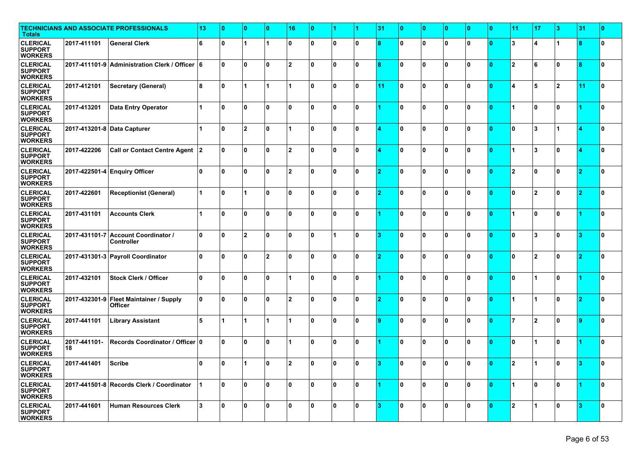| <b>Totals</b>                                       |                             | <b>TECHNICIANS AND ASSOCIATE PROFESSIONALS</b>            | 13 | 10       | $\bullet$      | n        | 16             |              |              |              | 31 | ١O       | $\bullet$    | 0            | $\bf{0}$    | $\bf{0}$     | 11                      | 17                   | 3  | 31 | ١o |
|-----------------------------------------------------|-----------------------------|-----------------------------------------------------------|----|----------|----------------|----------|----------------|--------------|--------------|--------------|----|----------|--------------|--------------|-------------|--------------|-------------------------|----------------------|----|----|----|
| <b>CLERICAL</b><br><b>SUPPORT</b><br><b>WORKERS</b> | 2017-411101                 | <b>General Clerk</b>                                      | 6  | ١o       |                |          | $\Omega$       | <sup>0</sup> | 0            | $\mathbf{0}$ | 8  | O        | $\mathbf 0$  | 0            | ١o          | n            | 3                       | Δ                    |    | 8  | ١o |
| <b>CLERICAL</b><br><b>SUPPORT</b><br><b>WORKERS</b> |                             | 2017-411101-9 Administration Clerk / Officer 6            |    | ١o       | ١o             | ١o       | $\overline{2}$ | Û            | $\mathbf{0}$ | $\mathbf{0}$ |    | 0        | 0            | $\mathbf{0}$ | ۱o          |              | $\overline{2}$          | 6                    | ١o | 8  | ١o |
| <b>CLERICAL</b><br><b>SUPPORT</b><br><b>WORKERS</b> | 2017-412101                 | Secretary (General)                                       | 8  | ١o       |                | 1        |                | 0            | $\mathbf{0}$ | $\mathbf{0}$ | 11 | O.       | $\mathbf{0}$ | 0            | ۱o          | n            | ⊿                       | 5                    | 2  | 11 | ١o |
| <b>CLERICAL</b><br><b>SUPPORT</b><br><b>WORKERS</b> | 2017-413201                 | <b>Data Entry Operator</b>                                | 1  | ١o       | 0              | 0 ا      | $\Omega$       | 0            | 0            | $\bf{0}$     |    | 10       | $\mathbf{0}$ | 0            | ١o          | $\bf{0}$     | $\blacksquare$          | 0                    | ١o |    | ١o |
| <b>CLERICAL</b><br><b>SUPPORT</b><br><b>WORKERS</b> | 2017-413201-8 Data Capturer |                                                           |    | ١o       | 12             | ١o       |                | Û            | $\mathbf{0}$ | $\mathbf{0}$ |    | O        | $\mathbf{0}$ | $\mathbf{0}$ | ۱o          |              | 0                       | 3                    |    |    | ١o |
| <b>CLERICAL</b><br><b>SUPPORT</b><br><b>WORKERS</b> | 2017-422206                 | <b>Call or Contact Centre Agent</b>                       | 12 | ١o       | 0              | l O      | 2              | 0            | 0            | $\bf{0}$     |    | 0        | $\mathbf{0}$ | 0            | ۱o          | $\Omega$     | $\blacktriangleleft$    | 3                    | ۱O |    | ١o |
| <b>CLERICAL</b><br><b>SUPPORT</b><br><b>WORKERS</b> |                             | 2017-422501-4 Enquiry Officer                             | 0  | ١o       | ١o             | 0 ا      | $\overline{2}$ | 0            | 0            | 0            | o. | 10       | $\mathbf{0}$ | 0            | ١o          | $\mathbf{0}$ | $\overline{2}$          | 0                    | ١o | 2  | ١o |
| <b>CLERICAL</b><br><b>SUPPORT</b><br><b>WORKERS</b> | 2017-422601                 | Receptionist (General)                                    |    | ١o       |                | ٥١       | ŋ              | Û            | $\mathbf{0}$ | $\mathbf{0}$ |    | 0        | $\mathbf{0}$ | $\mathbf{0}$ | ۱o          |              | 0                       | $\overline{2}$       | ۱o |    | ١o |
| <b>CLERICAL</b><br><b>SUPPORT</b><br><b>WORKERS</b> | 2017-431101                 | <b>Accounts Clerk</b>                                     |    | ١o       | 0              | $\Omega$ | Û              | 0            | $\mathbf{0}$ | $\mathbf{0}$ |    | $\Omega$ | $\mathbf{0}$ | l O          | ۱o          | $\Omega$     | $\overline{A}$          | l O                  | ۱O |    | ١o |
| <b>CLERICAL</b><br><b>SUPPORT</b><br><b>WORKERS</b> |                             | 2017-431101-7 Account Coordinator /<br><b>Controller</b>  | 0  | ١o       | $\overline{2}$ | 0 ا      | $\Omega$       | 0            |              | $\mathbf{0}$ | 2  | 0        | $\mathbf{0}$ | 0            | ۱o          | $\mathbf{0}$ | l n                     | 3                    | ۱o | 3  | ١o |
| <b>CLERICAL</b><br><b>SUPPORT</b><br><b>WORKERS</b> |                             | 2017-431301-3 Payroll Coordinator                         | ١o | ١o       | l O            | 12       | O              | n            | 0            | $\mathbf{0}$ |    | 0        | 0            | $\mathbf{0}$ | ۱o          |              | ۱n                      | $\overline{2}$       | ١n |    | ١o |
| <b>CLERICAL</b><br><b>SUPPORT</b><br><b>WORKERS</b> | 2017-432101                 | <b>Stock Clerk / Officer</b>                              | 0  | ١o       | 0              | $\Omega$ |                | 0            | $\mathbf{0}$ | $\mathbf{0}$ |    | $\Omega$ | $\mathbf{0}$ | l O          | ١n          | n            | 0                       | 1                    | ۱O |    | ١o |
| <b>CLERICAL</b><br><b>SUPPORT</b><br><b>WORKERS</b> |                             | 2017-432301-9 Fleet Maintainer / Supply<br><b>Officer</b> | 0  | ١o       | 0              | ٥١       | $\overline{2}$ | 0            | 0            | $\mathbf{0}$ |    | 10       | $\mathbf{0}$ | 0            | ۱o          | $\mathbf{0}$ | $\blacksquare$          | 1                    | ۱o | 2  | ١o |
| <b>CLERICAL</b><br><b>SUPPORT</b><br><b>WORKERS</b> | 2017-441101                 | <b>Library Assistant</b>                                  | 5  |          |                |          |                | n            | 0            | $\mathbf{0}$ | ۰  | 0        | 0            | $\mathbf{0}$ | ۱o          |              | 17                      | $\overline{2}$       | ۱o |    | ١o |
| <b>CLERICAL</b><br><b>SUPPORT</b><br><b>WORKERS</b> | 2017-441101-<br>18          | Records Coordinator / Officer   0                         |    | I٥       | 0              | ٥١       |                | 0            | $\mathbf{0}$ | $\mathbf{0}$ |    | O.       | $\mathbf{0}$ | $\mathbf{0}$ | ۱o          | $\Omega$     | 0                       | 1                    | ۱o |    | ١o |
| <b>CLERICAL</b><br><b>SUPPORT</b><br><b>WORKERS</b> | 2017-441401                 | Scribe                                                    | 0  | ۱η<br>ιu |                | 0        | o              | Λ            | $\mathbf{0}$ | $\mathbf{r}$ |    | 0        | $\mathbf{0}$ | 0            | $\mathbf 0$ |              | $\overline{\mathbf{2}}$ |                      | 0  |    | v  |
| <b>CLERICAL</b><br><b>SUPPORT</b><br><b>WORKERS</b> |                             | 2017-441501-8 Records Clerk / Coordinator                 |    | 10       | 10             | ۱٥       | $\mathbf{0}$   | 0            | 0            | 0            |    | ١o       | 0            | 10           | 0           | $\mathbf{0}$ | $\overline{1}$          | 0                    | 0  |    | ١o |
| <b>CLERICAL</b><br><b>SUPPORT</b><br><b>WORKERS</b> | 2017-441601                 | Human Resources Clerk                                     | 3  | ١o       | ١o             | ١o       | $\Omega$       | $\mathbf{0}$ | $\mathbf{0}$ | O.           | я  | ١o       | $\mathbf{0}$ | 0            | ١o          | $\mathbf{0}$ | 2                       | $\blacktriangleleft$ | ١o | 13 | 0  |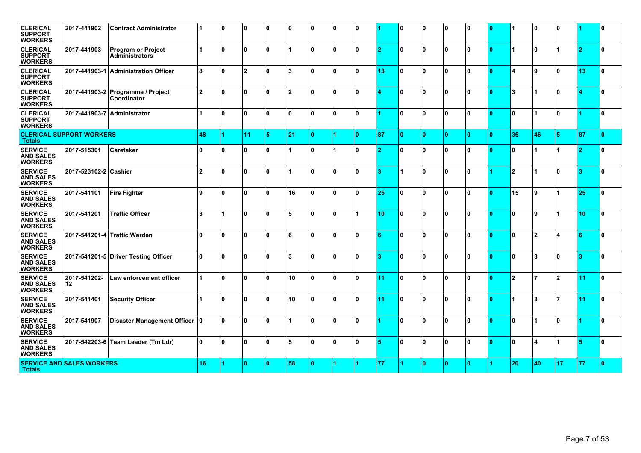| <b>CLERICAL</b><br><b>SUPPORT</b><br><b>WORKERS</b>  | 2017-441902                      | <b>Contract Administrator</b>                    | 1                    | ١o                   | ١o             | 0 ا | ١o             | ١o           | 0            | <sup>0</sup> |    | n            | $\mathbf{0}$ | 0            | ۱o | n            |                         | l O                  | ١o                   |          | ١o |
|------------------------------------------------------|----------------------------------|--------------------------------------------------|----------------------|----------------------|----------------|-----|----------------|--------------|--------------|--------------|----|--------------|--------------|--------------|----|--------------|-------------------------|----------------------|----------------------|----------|----|
| <b>CLERICAL</b><br><b>SUPPORT</b><br><b>WORKERS</b>  | 2017-441903                      | Program or Project<br><b>Administrators</b>      | $\blacktriangleleft$ | ١o                   | $\mathbf{0}$   | Ι٥  |                | I۵           | $\mathbf{0}$ | $\mathbf{0}$ | 2  | $\Omega$     | $\mathbf{0}$ | l O          | ۱o | $\Omega$     | $\blacktriangleleft$    | n.                   | $\blacktriangleleft$ | -2       | ١o |
| <b>CLERICAL</b><br><b>SUPPORT</b><br><b>WORKERS</b>  |                                  | 2017-441903-1 Administration Officer             | 8                    | ١o                   | $\overline{2}$ | ۱o  | 3              | $\Omega$     | 0            | <sup>0</sup> | 13 | <sup>0</sup> | $\mathbf{0}$ | l O          | ۱o | n            | $\overline{\mathbf{4}}$ | 9                    | ۱o                   | 13       | ١o |
| <b>CLERICAL</b><br><b>SUPPORT</b><br><b>WORKERS</b>  |                                  | 2017-441903-2 Programme / Project<br>Coordinator | 2                    | ١o                   | $\mathbf{0}$   | 0 ا | $\overline{2}$ | $\mathbf{u}$ | $\mathbf{0}$ | <sup>0</sup> |    | 0            | $\mathbf{0}$ | l O          | ١o | $\Omega$     | $\overline{\mathbf{3}}$ | 1                    | ۱o                   |          | I٥ |
| <b>CLERICAL</b><br><b>SUPPORT</b><br><b>WORKERS</b>  | 2017-441903-7 Administrator      |                                                  | $\blacktriangleleft$ | ١o                   | $\mathbf{0}$   | ۱o  | $\mathbf{0}$   | $\Omega$     | $\mathbf{0}$ | $\mathbf{0}$ |    | $\mathbf{0}$ | $\mathbf{0}$ | l O          | 0  | $\Omega$     | $\bf{0}$                | $\blacktriangleleft$ | ۱o                   |          | ١o |
| <b>Totals</b>                                        | <b>CLERICAL SUPPORT WORKERS</b>  |                                                  | 48                   | $\blacktriangleleft$ | 11             | 15  | 21             | n            |              | n            | 87 | ١o           | $\mathbf{0}$ | $\mathbf{0}$ | ۱O | $\Omega$     | 36                      | 46                   | 5                    | 87       | ۱o |
| <b>SERVICE</b><br><b>AND SALES</b><br><b>WORKERS</b> | 2017-515301                      | Caretaker                                        | ١n                   | ١o                   | $\mathbf{0}$   | ه ا |                | ١o           |              | $\mathbf{0}$ | o  | $\Omega$     | $\mathbf{0}$ | l O          | ۱o | $\Omega$     | $\bf{0}$                |                      | $\blacktriangleleft$ | <b>D</b> | ١o |
| <b>SERVICE</b><br><b>AND SALES</b><br><b>WORKERS</b> | 2017-523102-2 Cashier            |                                                  | 2                    | ١o                   | $\mathbf{0}$   | 0 ا |                | I۵           | $\mathbf{0}$ | $\mathbf{0}$ | з  |              | $\mathbf{0}$ | n.           | ۱o |              | 2                       |                      | ۱o                   | з        | ١o |
| <b>SERVICE</b><br><b>AND SALES</b><br><b>WORKERS</b> | 2017-541101                      | <b>Fire Fighter</b>                              | و ا                  | ١o                   | $\mathbf{0}$   | ۱o  | 16             | $\Omega$     | 0            | <sup>0</sup> | 25 | <sup>0</sup> | $\mathbf{0}$ | l O          | ١o | n            | 15                      | 9                    | 1                    | 25       | ١o |
| <b>SERVICE</b><br><b>AND SALES</b><br><b>WORKERS</b> | 2017-541201                      | <b>Traffic Officer</b>                           | 3                    |                      | $\mathbf{0}$   | ۱o  | 5              | $\mathbf{u}$ | $\mathbf{0}$ | 1            | 10 | $\mathbf{0}$ | $\mathbf{0}$ | l O          | ۱o | $\mathbf{a}$ | $\bf{0}$                | $\mathbf{q}$         | 1                    | 10       | ١o |
| <b>SERVICE</b><br><b>AND SALES</b><br><b>WORKERS</b> |                                  | 2017-541201-4 Traffic Warden                     | ١o                   | ١o                   | $\mathbf{0}$   | 0 ا | 6              | $\Omega$     | $\mathbf{0}$ | $\mathbf{0}$ | 6  | $\mathbf{0}$ | $\mathbf{0}$ | l O          | ١o | $\Omega$     | $\bf{0}$                | $\overline{2}$       | 4                    | 6        | I٥ |
| <b>SERVICE</b><br><b>AND SALES</b><br><b>WORKERS</b> |                                  | 2017-541201-5 Driver Testing Officer             | ۱o                   | ١o                   | $\mathbf{0}$   | 0 ا | 3              | $\Omega$     | $\mathbf{0}$ | <sup>0</sup> | з  | <sup>0</sup> | $\mathbf{0}$ | l O          | ۱o | $\Omega$     | $\mathbf{0}$            | $\overline{3}$       | ۱o                   | 3        | ١o |
| <b>SERVICE</b><br><b>AND SALES</b><br><b>WORKERS</b> | 2017-541202-<br>12               | <b>Law enforcement officer</b>                   | $\blacktriangleleft$ | ١o                   | $\mathbf{0}$   | 0 ا | 10             | ١o           | $\mathbf{0}$ | <sup>0</sup> | 11 | $\mathbf{0}$ | $\mathbf{0}$ | $\mathbf{0}$ | ۱o | $\Omega$     | $\overline{2}$          | 7                    | 12                   | -11      | ١o |
| <b>SERVICE</b><br><b>AND SALES</b><br><b>WORKERS</b> | 2017-541401                      | <b>Security Officer</b>                          | $\blacktriangleleft$ | ١o                   | $\mathbf{0}$   | ۱o  | 10             | I۵           | $\Omega$     | <sup>0</sup> | 11 | $\mathbf{0}$ | $\mathbf{0}$ | l O          | ۱o | n            | $\blacktriangleleft$    | 3                    | 17                   | 11       | ١o |
| <b>SERVICE</b><br><b>AND SALES</b><br><b>WORKERS</b> | 2017-541907                      | Disaster Management Officer 0                    |                      | ١o                   | $\mathbf{0}$   | 0 ا |                | ١o           | $\mathbf{0}$ | $\mathbf{0}$ |    | 0            | $\mathbf{0}$ | 0            | ١o | ١O           | $\mathbf{0}$            | 1                    | ۱o                   |          | ١o |
| <b>SERVICE</b><br><b>AND SALES</b><br><b>WORKERS</b> | 2017-542203-6                    | Team Leader (Tm Ldr)                             | ۱o                   | ١o                   | $\mathbf{0}$   | 0 ا | 5              | ١o           | $\mathbf{0}$ | $\mathbf{0}$ | 5  | $\bf{0}$     | $\mathbf 0$  | $\mathbf{0}$ | ١o | $\Omega$     | $\mathbf{0}$            | Δ                    |                      |          | ١o |
| <b>Totals</b>                                        | <b>SERVICE AND SALES WORKERS</b> |                                                  | 16                   | 4                    | l 0            | ۱٥  | 58             | $\Omega$     | 4            |              | 77 |              | $\mathbf{0}$ | $\mathbf{0}$ | ۱O |              | 20                      | 40                   | 17                   | 77       | ١o |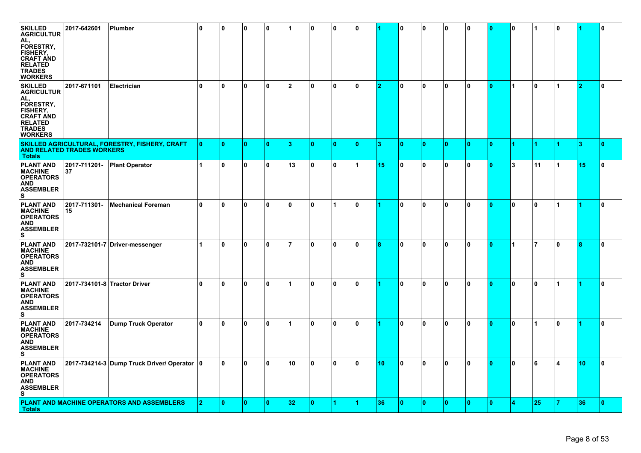| <b>SKILLED</b><br><b>AGRICULTUR</b><br>AL.<br>FORESTRY,<br>FISHERY,<br><b>CRAFT AND</b><br><b>RELATED</b><br><b>TRADES</b><br><b>WORKERS</b> | 2017-642601                       | Plumber                                        | 10  | 0 ا | 10  | 10  |                | 0            | 0            | 0            |                 | 10           | 10 | 0            | 10 | 0                       | 0 ا          |              | l 0          |    | 0   |
|----------------------------------------------------------------------------------------------------------------------------------------------|-----------------------------------|------------------------------------------------|-----|-----|-----|-----|----------------|--------------|--------------|--------------|-----------------|--------------|----|--------------|----|-------------------------|--------------|--------------|--------------|----|-----|
| <b>SKILLED</b><br><b>AGRICULTUR</b><br>AL.<br>FORESTRY,<br>FISHERY,<br><b>CRAFT AND</b><br><b>RELATED</b><br><b>TRADES</b><br><b>WORKERS</b> | 2017-671101                       | Electrician                                    | ١o  | 10  | ١o  | 0 ا | $\overline{2}$ | 0            | $\mathbf{0}$ | 0            | 12              | ١o           | 0  | 0            | 0  | $\overline{\mathbf{0}}$ | l 1          | $\mathbf{0}$ | 1            |    | 0   |
| <b>Totals</b>                                                                                                                                | <b>AND RELATED TRADES WORKERS</b> | SKILLED AGRICULTURAL, FORESTRY, FISHERY, CRAFT | ١o  | 10  | l 0 | 10  | 3              | $\mathbf{0}$ | $\mathbf{0}$ | 10.          | $\vert 3 \vert$ | ١o           | ١o | $\mathbf{0}$ | ۱O | 10.                     |              | 1            |              | 3  | 10. |
| <b>PLANT AND</b><br><b>MACHINE</b><br><b>OPERATORS</b><br>AND<br><b>ASSEMBLER</b><br>S                                                       | 2017-711201-<br>37                | <b>Plant Operator</b>                          | 1   | 10  | l 0 | ۱0  | 13             | 0            | 0            | 1.           | 15              | 10           | ١o | 0            | 10 | Ю.                      | l3           | 11           |              | 15 | 0   |
| <b>PLANT AND</b><br><b>MACHINE</b><br><b>OPERATORS</b><br>AND<br><b>ASSEMBLER</b><br>S                                                       | 2017-711301-<br>15                | Mechanical Foreman                             | ١o  | ١o  | ١o  | 0 ا | 0              | 0            | 1            | $\mathbf{0}$ |                 | ١o           | ١o | 0            | ١o | $\overline{0}$          | $\mathbf{0}$ | 0            | 1            |    | 0   |
| <b>PLANT AND</b><br><b>MACHINE</b><br><b>OPERATORS</b><br>AND<br><b>ASSEMBLER</b><br>s                                                       |                                   | 2017-732101-7 Driver-messenger                 | 11  | 0 ا | 10  | ۱٥  | 7              | 0            | $\mathbf{0}$ | $\mathbf{0}$ | 8               | 10           | ١o | 0            | 10 | 0                       | l 1          | 7            | 0            | 8  | 10  |
| <b>PLANT AND</b><br><b>MACHINE</b><br><b>OPERATORS</b><br>AND<br><b>ASSEMBLER</b><br>S                                                       | 2017-734101-8 Tractor Driver      |                                                | ١o  | 10  | 10  | ۱0  |                | 0            | 0            | 0            |                 | 10           | 0  | 0            | 10 | 0                       | 10           | 0            | 1            |    | 10  |
| <b>PLANT AND</b><br><b>MACHINE</b><br><b>OPERATORS</b><br>AND<br><b>ASSEMBLER</b><br>s                                                       | 2017-734214                       | Dump Truck Operator                            | 0   | 10  | l 0 | ۱٥  |                | <sup>0</sup> | $\mathbf{0}$ | 0            |                 | 10           | 0  | 0            | 10 | ю.                      | 0            |              | <sup>0</sup> |    | 10  |
| <b>PLANT AND</b><br><b>MACHINE</b><br><b>OPERATORS</b><br>AND<br><b>ASSEMBLER</b><br>lS.                                                     |                                   | 2017-734214-3 Dump Truck Driver/ Operator   0  |     | 10  | ١o  | ۱0  | 10             | 0            | ١o           | 0            | 10              | 10           | ١o | 0            | 10 | 0                       | 10           | 6            | 4            | 10 | 10  |
| <b>Totals</b>                                                                                                                                |                                   | PLANT AND MACHINE OPERATORS AND ASSEMBLERS     | 12. | 10  | l 0 | ۱O  | 32             | n            |              |              | 36              | $\mathbf{0}$ | 0  | $\mathbf{0}$ | 0  | 10                      |              | 25           |              | 36 | 10  |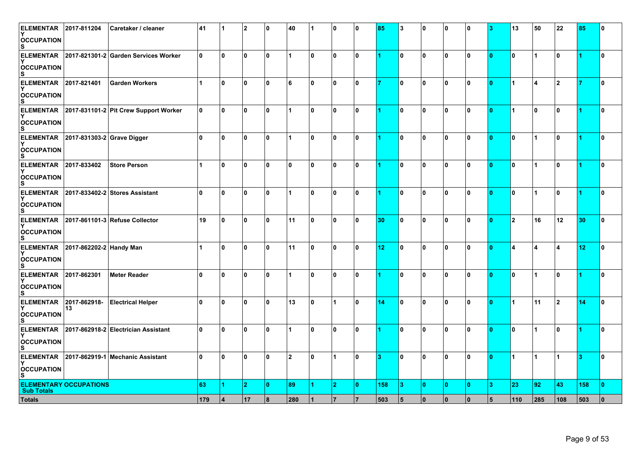| <b>ELEMENTAR</b><br><b>OCCUPATION</b><br>s  | 2017-811204                   | Caretaker / cleaner                   | 41           |                      | <b>2</b>    | 0 ا | 40           |              | 0              | $\bf{0}$       | 85              | 3   | 0         | 0            | n   |    | 13             | 50                   | 22  | 85  | n   |
|---------------------------------------------|-------------------------------|---------------------------------------|--------------|----------------------|-------------|-----|--------------|--------------|----------------|----------------|-----------------|-----|-----------|--------------|-----|----|----------------|----------------------|-----|-----|-----|
| <b>ELEMENTAR</b><br><b>OCCUPATION</b><br>s  |                               | 2017-821301-2 Garden Services Worker  | ۱o           | ١o                   | ١o          | ۱o  |              | 0            | 0              | $\mathbf{0}$   |                 | I٥  | ١o        | 0            | ۱o  | 0  | ۱o             | $\mathbf{1}$         | 0 ا |     | I٥  |
| <b>ELEMENTAR</b><br><b>OCCUPATION</b><br>s  | 2017-821401                   | <b>Garden Workers</b>                 | $\mathbf{1}$ | ١o                   | 10          | ۱0  | 6            | 0            | 0              | 0              |                 | 10  | 0         | 0            | ۱O  | ۱O | $\overline{1}$ | $\overline{4}$       | 12  |     | 0 ا |
| <b>ELEMENTAR</b><br><b>OCCUPATION</b><br>S. |                               | 2017-831101-2 Pit Crew Support Worker | 0            | ١o                   | l 0         | 0 ا |              | 0            | $\mathbf 0$    | 10             |                 | 0   | ١o        | 0            | 0   | 0  | $\overline{1}$ | 10                   | 0   |     | I٥  |
| <b>ELEMENTAR</b><br><b>OCCUPATION</b>       | 2017-831303-2 Grave Digger    |                                       | 0            | ١o                   | l 0         | 0 ا |              | 0            | 0              | 0              |                 | 0   | 0         | 0            | ۱o  | ۱O | I٥             | 1                    | 0 ا |     | 0 ا |
| <b>ELEMENTAR</b><br><b>OCCUPATION</b><br>s  | 2017-833402                   | <b>Store Person</b>                   | 1            | ١o                   | l 0         | ١o  | $\mathbf{0}$ | 0            | $\mathbf{0}$   | 0              |                 | I٥  | 0         | $\mathbf{0}$ | 0   | ۱O | 0              | $\overline{1}$       | 0 ا |     | I٥  |
| <b>ELEMENTAR</b><br><b>OCCUPATION</b><br>S. |                               | 2017-833402-2 Stores Assistant        | ١o           | ١o                   | ۱o          | ١o  |              | 0            | 0              | ١o             |                 | 10  | ١o        | $\mathbf{0}$ | ۱o  | 10 | ۱o             | $\mathbf{1}$         | ١o  |     | 0 ا |
| <b>ELEMENTAR</b><br><b>OCCUPATION</b>       |                               | 2017-861101-3 Refuse Collector        | 19           | 0 ا                  | ١o          | ١o  | 11           | 0            | 0              | $\mathbf{0}$   | 30              | 0   | 0         | 0            | ۱o  | 0  | <u> 2</u>      | 16                   | 12  | 30  | 10  |
| <b>ELEMENTAR</b><br><b>OCCUPATION</b>       | 2017-862202-2 Handy Man       |                                       | 1            | 0                    | ١o          | 0 ا | 11           | 0            | $\mathbf{0}$   | 0              | 12 <sub>2</sub> | 0   | 0         | 0            | n   | 10 | 4              | 4                    | 14  | 12  | 0 ا |
| <b>ELEMENTAR</b><br><b>OCCUPATION</b><br>S. | 2017-862301                   | <b>Meter Reader</b>                   | l 0          | ١o                   | 10          | ۱٥  |              | 0            | 0              | $\mathbf{0}$   |                 | 0   | ١o        | 0            | 0   | ۱O | I٥             | $\blacktriangleleft$ | 0 ا |     | 0   |
| <b>ELEMENTAR</b><br><b>OCCUPATION</b>       | 2017-862918-<br>13            | <b>Electrical Helper</b>              | ۱o           | ۱o                   | ١o          | ۱o  | 13           | $\mathbf{0}$ | 1              | ١o             | 14              | I٥  | ١o        | $\mathbf{0}$ | ۱o  | ۱O | $\overline{1}$ | 11                   | 2   | 14  | ۱o  |
| <b>ELEMENTAR</b><br><b>OCCUPATION</b>       |                               | 2017-862918-2 Electrician Assistant   | ۱o           | ١o                   | 10          | ۱0  |              | 0            | 0              | $\bf{0}$       |                 | 10  | 0         | 0            | l 0 | 10 | I٥             | 1                    | 10  |     | 10  |
| <b>ELEMENTAR</b><br><b>OCCUPATION</b><br>S. |                               | 2017-862919-1 Mechanic Assistant      | 0            | ١o                   | l 0         | 0 ا | $\mathbf{2}$ | $\mathbf{0}$ | 1              | O.             | 3               | 0   | ١o        | 0            | ۱O  | 0  | $\overline{1}$ | $\overline{1}$       | 1   | з   | I٥  |
| <b>Sub Totals</b>                           | <b>ELEMENTARY OCCUPATIONS</b> |                                       | 63           | $\blacktriangleleft$ | $ 2\rangle$ | ١o  | 89           |              | $\overline{2}$ | $\mathbf{0}$   | 158             | 13. | $\bullet$ | $\bullet$    | ۱O  | 3  | 23             | 92                   | 43  | 158 | ١o  |
| <b>Totals</b>                               |                               |                                       | 179          | 14                   | 17          | 8   | 280          |              |                | $\overline{7}$ | 503             | 5   | $\pmb{0}$ | $\bf{0}$     | 0   | 5  | 110            | 285                  | 108 | 503 | ١o  |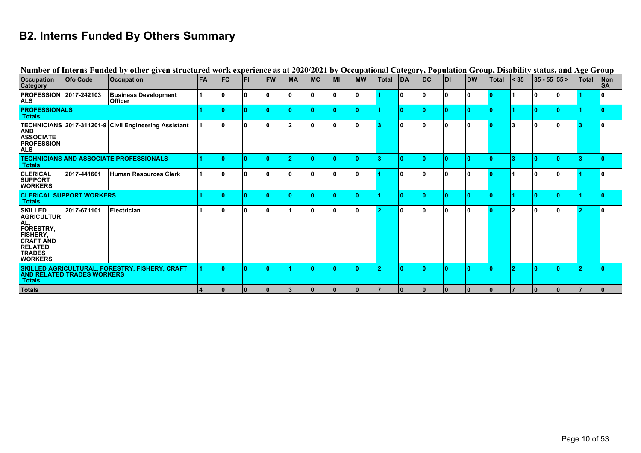# **B2. Interns Funded By Others Summary**

|                                                                                                                                                            |                                   | Number of Interns Funded by other given structured work experience as at 2020/2021 by Occupational Category, Population Group, Disability status, and Age Group |            |            |           |           |                |    |              |            |              |    |           |      |           |              |                |               |    |              |                             |
|------------------------------------------------------------------------------------------------------------------------------------------------------------|-----------------------------------|-----------------------------------------------------------------------------------------------------------------------------------------------------------------|------------|------------|-----------|-----------|----------------|----|--------------|------------|--------------|----|-----------|------|-----------|--------------|----------------|---------------|----|--------------|-----------------------------|
| <b>Occupation</b><br><b>Category</b>                                                                                                                       | <b>Ofo Code</b>                   | <b>Occupation</b>                                                                                                                                               | <b>IFA</b> | <b>IFC</b> | <b>FI</b> | <b>FW</b> | <b>IMA</b>     | MC | l MI         | <b>IMW</b> | <b>Total</b> | DA | <b>DC</b> | IDI. | <b>DW</b> | <b>Total</b> | $\vert$ < 35   | $ 35 - 55 55$ |    | <b>Total</b> | $\blacksquare$<br><b>SA</b> |
| <b>PROFESSION 2017-242103</b><br><b>ALS</b>                                                                                                                |                                   | <b>Business Development</b><br><b>Officer</b>                                                                                                                   |            | ın         |           |           |                |    | 0            | n          |              |    |           |      |           |              |                | ۱0            |    |              |                             |
| <b>PROFESSIONALS</b><br><b>Totals</b>                                                                                                                      |                                   |                                                                                                                                                                 |            |            |           |           |                |    | n            | ۱٥         |              |    |           |      |           |              |                | $\Omega$      |    |              |                             |
| <b>AND</b><br><b>ASSOCIATE</b><br><b>PROFESSION</b><br><b>ALS</b>                                                                                          |                                   | TECHNICIANS 2017-311201-9 Civil Engineering Assistant                                                                                                           |            | 10         |           |           | 2              | ۱n | 0            | l 0        | 13.          | 10 |           |      |           | 10           | 3              | l 0           |    |              |                             |
| <b>Totals</b>                                                                                                                                              |                                   | <b>TECHNICIANS AND ASSOCIATE PROFESSIONALS</b>                                                                                                                  |            |            |           |           |                |    | n            |            |              |    |           |      |           |              | з              |               |    |              |                             |
| <b>CLERICAL</b><br><b>SUPPORT</b><br><b>WORKERS</b>                                                                                                        | 2017-441601                       | Human Resources Clerk                                                                                                                                           |            | ١O         | 0         |           |                |    | $\mathbf{0}$ | 10         |              | 10 |           |      |           | 10           |                | 10            |    |              |                             |
| <b>Totals</b>                                                                                                                                              | <b>CLERICAL SUPPORT WORKERS</b>   |                                                                                                                                                                 |            |            |           |           |                |    | n            | ۱۵         |              |    |           |      |           |              |                | $\Omega$      |    |              |                             |
| <b>SKILLED</b><br><b>AGRICULTUR</b><br>AL,<br><b>FORESTRY,</b><br><b>FISHERY,</b><br><b>CRAFT AND</b><br><b>RELATED</b><br><b>TRADES</b><br><b>WORKERS</b> | 2017-671101                       | Electrician                                                                                                                                                     |            | ١o         | ۱n        | n         |                | ١n | 0            | 10         |              | ۱n |           |      |           | 10           | $\overline{2}$ | l 0           |    |              |                             |
| <b>Totals</b>                                                                                                                                              | <b>AND RELATED TRADES WORKERS</b> | SKILLED AGRICULTURAL, FORESTRY, FISHERY, CRAFT                                                                                                                  |            |            |           |           |                |    | n            |            |              |    |           |      |           |              | ം              | O             |    |              |                             |
| <b>Totals</b>                                                                                                                                              |                                   |                                                                                                                                                                 |            | 10         | 10        | 10.       | $\overline{3}$ | 10 | 10           | 10         |              | 10 | 10        | l 0  | 0         | 10           |                | l 0           | 10 |              |                             |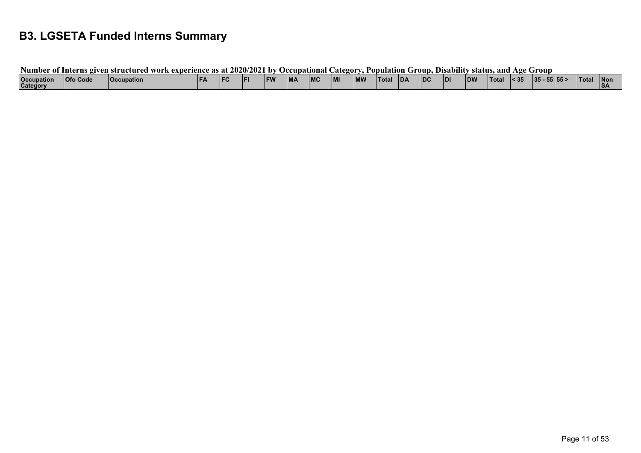## **B3. LGSETA Funded Interns Summary**

| 'Number of.                   | - Interns give  | ven structured work-<br>k experience as at l |       |      | 2020/2021 | . nv | Occupational C |   | <b>Lategory</b> | Population |            | Troun.     |           |            | . Disability status, and |              | Age Group |       |              |                   |
|-------------------------------|-----------------|----------------------------------------------|-------|------|-----------|------|----------------|---|-----------------|------------|------------|------------|-----------|------------|--------------------------|--------------|-----------|-------|--------------|-------------------|
| <b>Occupation</b><br>Category | <b>Ofo Code</b> | <b>Occupation</b>                            | l F A | l FC |           |      | <b>MA</b>      | R |                 |            | <b>IDA</b> | <b>IDC</b> | <b>DI</b> | <b>IDW</b> | 'Tota.                   | $\vert$ < 35 | $35 -$    | 55 55 | <b>Total</b> | <b>INo</b><br>IS/ |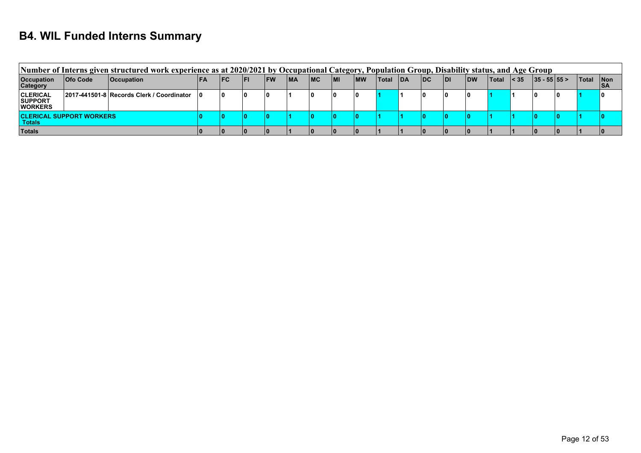#### **B4. WIL Funded Interns Summary**

|                                                     |                                 | Number of Interns given structured work experience as at 2020/2021 by Occupational Category, Population Group, Disability status, and Age Group |     |            |      |            |            |     |            |            |       |            |    |      |            |        |              |               |       |                    |
|-----------------------------------------------------|---------------------------------|-------------------------------------------------------------------------------------------------------------------------------------------------|-----|------------|------|------------|------------|-----|------------|------------|-------|------------|----|------|------------|--------|--------------|---------------|-------|--------------------|
| <b>Occupation</b><br><b>Category</b>                | <b>Ofo Code</b>                 | <b>Occupation</b>                                                                                                                               | IFA | <b>IFC</b> | l FI | <b>IFW</b> | <b>IMA</b> | IMC | <b>IMI</b> | <b>IMW</b> | Total | <b>IDA</b> | DC | IDI. | <b>IDW</b> | ∣Total | $\vert$ < 35 | $ 35 - 55 55$ | Total | Non<br>$\nabla$ SA |
| <b>CLERICAL</b><br><b>SUPPORT</b><br><b>WORKERS</b> |                                 | 2017-441501-8 Records Clerk / Coordinator   0                                                                                                   |     |            |      |            |            | 10  |            |            |       |            |    | 0    | ۱n         |        |              |               |       |                    |
| <b>Totals</b>                                       | <b>CLERICAL SUPPORT WORKERS</b> |                                                                                                                                                 |     |            |      |            |            |     |            |            |       |            |    |      |            |        |              |               |       |                    |
| <b>Totals</b>                                       |                                 |                                                                                                                                                 |     |            |      |            |            |     |            |            |       |            |    |      |            |        |              |               |       |                    |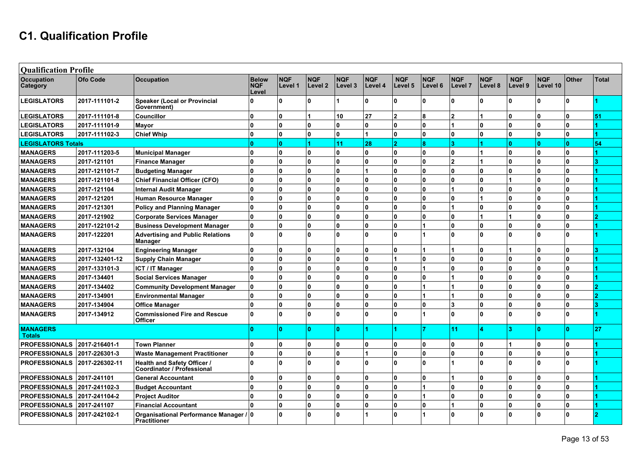#### **C1. Qualification Profile**

| <b>Qualification Profile</b>     |                 |                                                                  |                                     |                       |                       |                       |                       |                       |                       |                       |                       |                       |                        |              |       |
|----------------------------------|-----------------|------------------------------------------------------------------|-------------------------------------|-----------------------|-----------------------|-----------------------|-----------------------|-----------------------|-----------------------|-----------------------|-----------------------|-----------------------|------------------------|--------------|-------|
| Occupation<br>Category           | <b>Ofo Code</b> | <b>Occupation</b>                                                | <b>Below</b><br><b>NQF</b><br>Level | <b>NQF</b><br>Level 1 | <b>NQF</b><br>Level 2 | <b>NQF</b><br>Level 3 | <b>NQF</b><br>Level 4 | <b>NQF</b><br>Level 5 | <b>NQF</b><br>Level 6 | <b>NQF</b><br>Level 7 | <b>NQF</b><br>Level 8 | <b>NQF</b><br>Level 9 | <b>NQF</b><br>Level 10 | <b>Other</b> | Total |
| <b>LEGISLATORS</b>               | 2017-111101-2   | <b>Speaker (Local or Provincial</b><br>Government)               | U                                   | <sup>n</sup>          | $\Omega$              |                       | ۱O.                   | U                     | 0                     | $\Omega$              | n.                    | l٥                    | O.                     | <sup>n</sup> |       |
| <b>LEGISLATORS</b>               | 2017-111101-8   | <b>Councillor</b>                                                | $\mathbf{0}$                        | $\bf{0}$              |                       | 10                    | 27                    | $\overline{2}$        | 8                     | $\overline{2}$        |                       | ١o                    | $\mathbf{0}$           | $\mathbf{0}$ | 51    |
| <b>LEGISLATORS</b>               | 2017-111101-9   | Mayor                                                            | U                                   | $\mathbf{0}$          | $\bf{0}$              | <b>O</b>              | $\overline{0}$        | $\mathbf{0}$          | $\mathbf{0}$          |                       | $\mathbf{0}$          | ١o                    | $\mathbf{0}$           | $\mathbf{0}$ |       |
| <b>LEGISLATORS</b>               | 2017-111102-3   | <b>Chief Whip</b>                                                | $\mathbf{0}$                        | $\mathbf{0}$          | $\bf{0}$              | $\mathbf{0}$          |                       | 0                     | $\mathbf{0}$          | $\bf{0}$              | 0                     | ۱o                    | $\mathbf{0}$           | $\Omega$     |       |
| <b>LEGISLATORS Totals</b>        |                 |                                                                  | $\Omega$                            | ١o                    |                       | 11                    | 28                    | $\overline{2}$        | 8                     | $\mathbf{a}$          | 4                     | ١o                    | $\mathbf{0}$           | $\mathbf{0}$ | 54    |
| <b>MANAGERS</b>                  | 2017-111203-5   | <b>Municipal Manager</b>                                         | $\Omega$                            | $\mathbf{0}$          | $\mathbf{0}$          | 0                     | ۱o.                   | 0                     | $\mathbf{0}$          | $\bf{0}$              |                       | ۱o                    | $\mathbf{0}$           | $\mathbf{0}$ |       |
| <b>MANAGERS</b>                  | 2017-121101     | <b>Finance Manager</b>                                           | U                                   | $\mathbf{0}$          | $\bf{0}$              | <b>O</b>              | 0                     | $\mathbf{0}$          | 0                     | $\overline{2}$        |                       | ١o                    | $\mathbf{0}$           | $\mathbf{0}$ |       |
| <b>MANAGERS</b>                  | 2017-121101-7   | <b>Budgeting Manager</b>                                         | $\mathbf{0}$                        | $\mathbf{0}$          | $\mathbf{0}$          | $\mathbf{0}$          |                       | 0                     | 0                     | $\bf{0}$              | 0                     | ۱o                    | $\mathbf{0}$           | $\mathbf{0}$ |       |
| <b>MANAGERS</b>                  | 2017-121101-8   | <b>Chief Financial Officer (CFO)</b>                             | $\mathbf{0}$                        | $\mathbf{0}$          | $\mathbf{0}$          | $\mathbf{0}$          | I٥                    | 0                     | $\mathbf{0}$          | ١o                    | $\mathbf{0}$          |                       | ۱O.                    | $\mathbf{0}$ |       |
| <b>MANAGERS</b>                  | 2017-121104     | <b>Internal Audit Manager</b>                                    | $\mathbf{0}$                        | $\mathbf{0}$          | $\mathbf{0}$          | 0                     | I٥                    | 0                     | 0                     |                       | l n                   | ١o                    | ۱O.                    | $\mathbf{0}$ |       |
| <b>MANAGERS</b>                  | 2017-121201     | Human Resource Manager                                           | <sup>0</sup>                        | $\mathbf{0}$          | $\mathbf{0}$          | $\mathbf{0}$          | 0                     | 0                     | 0                     | ۱o                    |                       | ١o                    | $\mathbf{0}$           | $\mathbf{0}$ |       |
| <b>MANAGERS</b>                  | 2017-121301     | <b>Policy and Planning Manager</b>                               | $\mathbf{0}$                        | O                     | $\mathbf{0}$          | $\mathbf{0}$          | ۱O.                   | 0                     | <sup>0</sup>          |                       | 0                     | ١o                    | $\Omega$               | $\Omega$     |       |
| <b>MANAGERS</b>                  | 2017-121902     | <b>Corporate Services Manager</b>                                | $\mathbf{0}$                        | $\Omega$              | $\bf{0}$              | $\mathbf{0}$          | ۱O.                   | O                     | <sup>0</sup>          | $\Omega$              |                       |                       | $\mathbf{0}$           | $\Omega$     |       |
| <b>MANAGERS</b>                  | 2017-122101-2   | <b>Business Development Manager</b>                              | $\mathbf{0}$                        | $\mathbf{0}$          | $\bf{0}$              | $\mathbf{0}$          | ۱O.                   | $\Omega$              |                       | $\Omega$              | n                     | ١o                    | $\mathbf{0}$           | $\mathbf{0}$ |       |
| <b>MANAGERS</b>                  | 2017-122201     | <b>Advertising and Public Relations</b><br>Manager               | $\mathbf{0}$                        | $\Omega$              | $\Omega$              | l n                   | ۱O.                   | <sup>0</sup>          |                       | $\Omega$              |                       | ۱o                    | O.                     | $\mathbf{0}$ |       |
| <b>MANAGERS</b>                  | 2017-132104     | <b>Engineering Manager</b>                                       | $\mathbf{0}$                        | $\bf{0}$              | $\bf{0}$              | $\mathbf{0}$          | ١o                    | $\Omega$              |                       |                       | n                     |                       | $\mathbf{0}$           | $\mathbf{0}$ |       |
| <b>MANAGERS</b>                  | 2017-132401-12  | <b>Supply Chain Manager</b>                                      | U                                   | $\mathbf{0}$          | $\bf{0}$              | $\Omega$              | ۱O.                   |                       | <sup>0</sup>          | $\Omega$              | l n                   | ١o                    | 0                      | $\Omega$     |       |
| <b>MANAGERS</b>                  | 2017-133101-3   | <b>ICT / IT Manager</b>                                          | U                                   | $\Omega$              | $\bf{0}$              | $\mathbf{0}$          | ۱O.                   | 0                     |                       | $\Omega$              | n                     | ١o                    | <sup>0</sup>           | $\mathbf{0}$ |       |
| <b>MANAGERS</b>                  | 2017-134401     | <b>Social Services Manager</b>                                   | $\mathbf{0}$                        | $\mathbf{0}$          | $\bf{0}$              | $\mathbf{0}$          | ۱O.                   | $\mathbf{0}$          | 0                     |                       | l N                   | ١o                    | 0                      | $\mathbf{0}$ |       |
| <b>MANAGERS</b>                  | 2017-134402     | <b>Community Development Manager</b>                             | U                                   | $\mathbf{0}$          | $\bf{0}$              | $\mathbf{0}$          | ۱O.                   | $\mathbf{0}$          |                       |                       | l N                   | ١o                    | $\mathbf{0}$           | $\mathbf{0}$ |       |
| <b>MANAGERS</b>                  | 2017-134901     | <b>Environmental Manager</b>                                     | U                                   | $\mathbf{0}$          | $\Omega$              | $\Omega$              | ۱o.                   | $\Omega$              |                       |                       | l N                   | ١o                    | $\mathbf{0}$           | $\mathbf{0}$ |       |
| <b>MANAGERS</b>                  | 2017-134904     | <b>Office Manager</b>                                            | U                                   | $\mathbf{0}$          | $\Omega$              | $\mathbf 0$           | $\mathbf{0}$          | 0                     | 0                     | 3                     | $\mathbf{0}$          | ١o                    | $\mathbf{0}$           | $\Omega$     |       |
| <b>MANAGERS</b>                  | 2017-134912     | <b>Commissioned Fire and Rescue</b><br><b>Officer</b>            | $\mathbf{0}$                        | $\Omega$              | Û                     | $\Omega$              | ۱O.                   | U                     |                       | $\Omega$              |                       | ١o                    | $\Omega$               | $\mathbf{0}$ |       |
| <b>MANAGERS</b><br><b>Totals</b> |                 |                                                                  |                                     | $\Omega$              | $\Omega$              | $\mathbf{0}$          |                       |                       |                       | 11                    |                       | 3                     | n                      | n            | 27    |
| <b>PROFESSIONALS</b>             | 2017-216401-1   | <b>Town Planner</b>                                              | <sup>0</sup>                        | $\mathbf{0}$          | $\mathbf{0}$          | 0                     | 0                     | 0                     | $\mathbf{0}$          | ۱o                    | $\overline{0}$        |                       | 0                      | $\mathbf{0}$ |       |
| <b>PROFESSIONALS</b>             | 2017-226301-3   | <b>Waste Management Practitioner</b>                             | U                                   | $\mathbf{0}$          | $\bf{0}$              | $\mathbf{0}$          |                       | $\mathbf{0}$          | 0                     | $\bf{0}$              | $\mathbf{0}$          | ١o                    | 0                      | $\mathbf{0}$ |       |
| <b>PROFESSIONALS</b>             | 2017-226302-11  | Health and Safety Officer /<br><b>Coordinator / Professional</b> | U                                   | n                     | $\Omega$              | $\Omega$              | ۱O.                   | U                     | <sup>0</sup>          |                       | n                     | ١o                    | <sup>0</sup>           | $\Omega$     |       |
| <b>PROFESSIONALS</b>             | 2017-241101     | <b>General Accountant</b>                                        | U                                   | $\mathbf{0}$          | $\bf{0}$              | $\mathbf{0}$          | I٥                    | $\mathbf{0}$          | 0                     |                       | $\mathbf{0}$          | ١o                    | $\mathbf{0}$           | $\mathbf{0}$ |       |
| <b>PROFESSIONALS</b>             | 2017-241102-3   | <b>Budget Accountant</b>                                         | U                                   | $\mathbf{0}$          | $\bf{0}$              | 0                     | ۱o.                   | 0                     |                       | $\mathbf 0$           | 0                     | ١o                    | $\mathbf{0}$           | $\Omega$     |       |
| <b>PROFESSIONALS</b>             | 2017-241104-2   | <b>Project Auditor</b>                                           | $\mathbf{0}$                        | $\mathbf{0}$          | $\bf{0}$              | $\Omega$              | 0                     | 0                     |                       | $\mathbf 0$           | n                     | ١o                    | $\mathbf{0}$           | $\mathbf{0}$ |       |
| <b>PROFESSIONALS</b>             | 2017-241107     | <b>Financial Accountant</b>                                      | Û                                   | $\mathbf{0}$          | $\mathbf{0}$          | 0                     | 0                     | 0                     | $\mathbf{0}$          |                       | n                     | ١o                    | 0                      | $\mathbf{0}$ |       |
| <b>PROFESSIONALS</b>             | 2017-242102-1   | Organisational Performance Manager / 0<br><b>Practitioner</b>    |                                     | $\mathbf{0}$          | $\mathbf{u}$          | $\Omega$              |                       | $\mathbf{0}$          |                       | $\Omega$              |                       | ١o                    | n                      | <sup>n</sup> |       |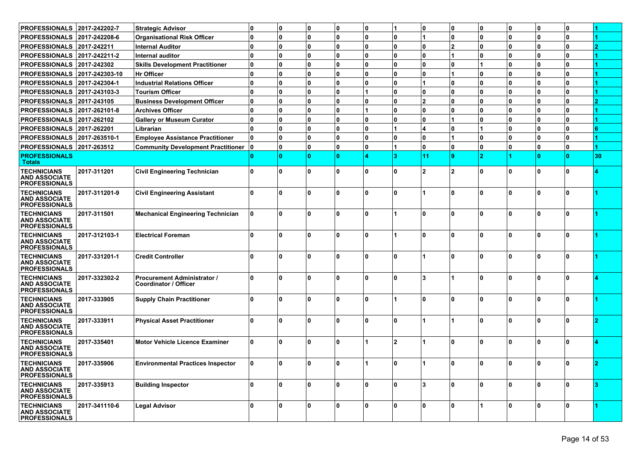| <b>PROFESSIONALS</b>                                               | 2017-242202-7  | <b>Strategic Advisor</b>                             | 0            | 0            | 0            | 0            | 0            |              | 10                      | ٥  | 10  | ŋ | 0            | 10          |    |
|--------------------------------------------------------------------|----------------|------------------------------------------------------|--------------|--------------|--------------|--------------|--------------|--------------|-------------------------|----|-----|---|--------------|-------------|----|
| <b>PROFESSIONALS</b>                                               | 2017-242208-6  | <b>Organisational Risk Officer</b>                   | 0            | $\mathbf{0}$ | $\mathbf{0}$ | 0            | n            | $\mathbf{0}$ |                         | ١o | 10  | n | 0            | O           |    |
| <b>PROFESSIONALS</b>                                               | 2017-242211    | <b>Internal Auditor</b>                              | U            | $\mathbf{0}$ | $\bf{0}$     | 0            | U            | 0            | ١o                      | 2  | 0 ا | n | 0            | O           |    |
| <b>PROFESSIONALS</b>                                               | 2017-242211-2  | <b>Internal auditor</b>                              | U            | $\mathbf{0}$ | $\bf{0}$     | 0            | U            | 0            | $\mathbf{0}$            | 1  | 0 ا | n | 0            | O           |    |
| <b>PROFESSIONALS</b>                                               | 2017-242302    | <b>Skills Development Practitioner</b>               | 0            | $\mathbf{0}$ | $\bf{0}$     | 0            | U            | 0            | ١o                      | ١o |     | n | $\mathbf{0}$ | O           |    |
| <b>PROFESSIONALS</b>                                               | 2017-242303-10 | <b>Hr Officer</b>                                    | 0            | $\mathbf{0}$ | $\bf{0}$     | 0            | U            | 0            | $\mathbf{0}$            | 1  | 0 ا | n | $\mathbf{0}$ | O           |    |
| <b>PROFESSIONALS</b>                                               | 2017-242304-1  | <b>Industrial Relations Officer</b>                  | 0            | $\mathbf{0}$ | $\bf{0}$     | 0            | n            | 0            | $\blacktriangleleft$    | ١o | 0 ا | n | $\mathbf{0}$ | O           |    |
| <b>PROFESSIONALS</b>                                               | 2017-243103-3  | <b>Tourism Officer</b>                               | U            | $\bf{0}$     | $\Omega$     | 0            |              | 0            | ١o                      | ۱o | 0 ا | n | $\mathbf{0}$ | O           |    |
| <b>PROFESSIONALS</b>                                               | 2017-243105    | <b>Business Development Officer</b>                  | 0            | $\bf{0}$     | $\Omega$     | 0            | n            | 0            | $\overline{\mathbf{2}}$ | ۱o | ۱o  | n | 0            | ŋ           |    |
| <b>PROFESSIONALS</b>                                               | 2017-262101-8  | <b>Archives Officer</b>                              | n            | $\bf{0}$     | $\Omega$     | 0            |              | 0            | ١o                      | ۱o | ۱o  | n | 0            | ŋ           |    |
| <b>PROFESSIONALS</b>                                               | 2017-262102    | <b>Gallery or Museum Curator</b>                     | 0            | $\mathbf{0}$ | $\Omega$     | 0            | U            | 0            | ١o                      | 1  | 0 ا | n | 0            | ŋ           |    |
| <b>PROFESSIONALS</b>                                               | 2017-262201    | Librarian                                            | U            | $\bf{0}$     | $\Omega$     | 0            | U            |              | $\overline{\mathbf{4}}$ | ١o |     | n | 0            | ŋ           |    |
| <b>PROFESSIONALS</b>                                               | 2017-263510-1  | <b>Employee Assistance Practitioner</b>              | U            | $\mathbf{0}$ | $\bf{0}$     | 0            | U            | $\mathbf{0}$ | ١o                      | 1  | ۱o  | n | $\mathbf{0}$ | O           |    |
| PROFESSIONALS 2017-263512                                          |                | <b>Community Development Practitioner</b>            | 0            | $\mathbf{0}$ | 0            | 0            | n            |              | $\mathbf{0}$            | ١o | 10  | n | 0            | 0           |    |
| <b>PROFESSIONALS</b><br><b>Totals</b>                              |                |                                                      |              | $\Omega$     | $\mathbf{0}$ | Ō            |              | 3            | 11                      | ۱g | 2   |   |              | n           | 30 |
| <b>TECHNICIANS</b><br><b>AND ASSOCIATE</b><br><b>PROFESSIONALS</b> | 2017-311201    | <b>Civil Engineering Technician</b>                  | 0            | $\mathbf{0}$ | $\mathbf 0$  | $\mathbf{0}$ | n            | 0            | $\mathbf{2}$            | 12 | 10  |   | 0            | $\Omega$    |    |
| <b>TECHNICIANS</b><br><b>AND ASSOCIATE</b><br><b>PROFESSIONALS</b> | 2017-311201-9  | <b>Civil Engineering Assistant</b>                   | 0            | $\Omega$     | $\Omega$     | $\mathbf{0}$ | n            | <sup>0</sup> |                         | ۱n | ۱0  | ŋ | n.           | n           |    |
| <b>TECHNICIANS</b><br><b>AND ASSOCIATE</b><br><b>PROFESSIONALS</b> | 2017-311501    | <b>Mechanical Engineering Technician</b>             | 0            | $\Omega$     | $\Omega$     | n            | n            |              | $\Omega$                | ۱n | ١o  | ŋ | n.           | n           |    |
| <b>TECHNICIANS</b><br><b>AND ASSOCIATE</b><br><b>PROFESSIONALS</b> | 2017-312103-1  | <b>Electrical Foreman</b>                            | 0            | $\mathbf{0}$ | $\Omega$     | $\mathbf{0}$ | n            |              | $\Omega$                | ۱n | ۱0  | ŋ | 0            | $\Omega$    |    |
| <b>TECHNICIANS</b><br><b>AND ASSOCIATE</b><br><b>PROFESSIONALS</b> | 2017-331201-1  | <b>Credit Controller</b>                             | n            | $\Omega$     | $\Omega$     | 0            | n            | <sup>0</sup> |                         | ۱n | ۱0  | ŋ | n.           | n           |    |
| <b>TECHNICIANS</b><br><b>AND ASSOCIATE</b><br><b>PROFESSIONALS</b> | 2017-332302-2  | Procurement Administrator /<br>Coordinator / Officer | <sup>0</sup> | $\Omega$     | $\Omega$     | $\Omega$     | n            | $\Omega$     | 3                       |    | ۱0  |   | U            | n           |    |
| <b>TECHNICIANS</b><br><b>AND ASSOCIATE</b><br><b>PROFESSIONALS</b> | 2017-333905    | <b>Supply Chain Practitioner</b>                     | 0            | $\mathbf{0}$ | $\bf{0}$     | 0            | n            |              | ١o                      | Ι٥ | ۱0  | ŋ | 0            | $\Omega$    |    |
| <b>TECHNICIANS</b><br><b>AND ASSOCIATE</b><br><b>PROFESSIONALS</b> | 2017-333911    | <b>Physical Asset Practitioner</b>                   | 0            | $\Omega$     | $\Omega$     | 0            | n            | <sup>0</sup> |                         |    | ۱0  | ŋ | n.           | n           |    |
| <b>TECHNICIANS</b><br><b>AND ASSOCIATE</b><br><b>PROFESSIONALS</b> | 2017-335401    | <b>Motor Vehicle Licence Examiner</b>                | 0            | $\Omega$     | $\Omega$     | n            |              | $\mathbf{2}$ |                         | ۱n | ١o  | ŋ | 0            | O           |    |
| <b>TECHNICIANS</b><br><b>AND ASSOCIATE</b><br><b>PROFESSIONALS</b> | 2017-335906    | <b>Environmental Practices Inspector</b>             |              | 0            | $\mathbf 0$  |              |              | 0            |                         | 0  |     |   | 0            | $\mathbf 0$ |    |
| <b>TECHNICIANS</b><br><b>AND ASSOCIATE</b><br><b>PROFESSIONALS</b> | 2017-335913    | <b>Building Inspector</b>                            | 10           | $\mathbf{0}$ | ۱o           | ١o           | 0            | 0            | 3                       | ١o | ١o  | ŋ | ۱٥           | ١o          |    |
| <b>TECHNICIANS</b><br><b>AND ASSOCIATE</b><br><b>PROFESSIONALS</b> | 2017-341110-6  | <b>Legal Advisor</b>                                 | $\mathbf{0}$ | ۱o           | ۱o           | ١o           | $\mathbf{0}$ | 0            | ۱o                      | ١o |     | n | 0 ا          | 10          |    |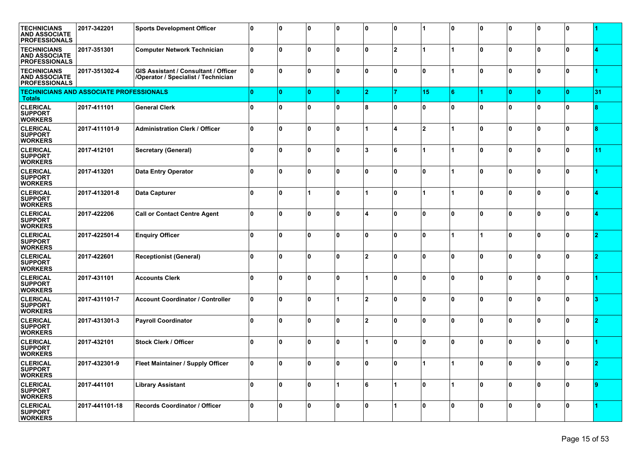| <b>TECHNICIANS</b><br><b>AND ASSOCIATE</b><br><b>PROFESSIONALS</b> | 2017-342201    | <b>Sports Development Officer</b>                                                  | O            | 10  | 0   | 0 ا          | ŋ              | 0              |                | 0  | 0 ا         | ŋ | 0            | 0            |    |
|--------------------------------------------------------------------|----------------|------------------------------------------------------------------------------------|--------------|-----|-----|--------------|----------------|----------------|----------------|----|-------------|---|--------------|--------------|----|
| <b>TECHNICIANS</b><br><b>AND ASSOCIATE</b><br><b>PROFESSIONALS</b> | 2017-351301    | <b>Computer Network Technician</b>                                                 | $\mathbf{0}$ | 0   | n.  | $\mathbf{0}$ | U              | $\mathbf{2}$   |                |    | ۱o          | U | $\mathbf{0}$ | l O          |    |
| <b>TECHNICIANS</b><br><b>AND ASSOCIATE</b><br><b>PROFESSIONALS</b> | 2017-351302-4  | <b>GIS Assistant / Consultant / Officer</b><br>/Operator / Specialist / Technician | <sup>n</sup> | O.  | O   | ۱o           | U              | $\mathbf{0}$   | 0              |    | ۱o          | O | ۱O.          | 0            |    |
| <b>TECHNICIANS AND ASSOCIATE PROFESSIONALS</b><br><b>Totals</b>    |                |                                                                                    | n            | ١o  | ۱O. | $\mathbf{0}$ | 2              | 7              | 15             | 6  |             |   | $\mathbf{0}$ | $\mathbf{0}$ | 31 |
| <b>CLERICAL</b><br><b>SUPPORT</b><br><b>WORKERS</b>                | 2017-411101    | <b>General Clerk</b>                                                               | Û            | 0   | O   | $\mathbf 0$  | 8              | $\mathbf{0}$   | 0              | ۱n | ۱o          | O | 0            | 0            |    |
| <b>CLERICAL</b><br><b>SUPPORT</b><br><b>WORKERS</b>                | 2017-411101-9  | <b>Administration Clerk / Officer</b>                                              | $\mathbf{0}$ | 0   | O.  | $\mathbf{0}$ |                | 4              | $\overline{2}$ |    | ٥١          | U | $\mathbf{0}$ | l O          |    |
| <b>CLERICAL</b><br><b>SUPPORT</b><br><b>WORKERS</b>                | 2017-412101    | <b>Secretary (General)</b>                                                         | $\mathbf{0}$ | O   | n.  | ۱o           | 3              | 6              |                |    | ۱o          | U | $\mathbf{0}$ | l O          | 11 |
| <b>CLERICAL</b><br><b>SUPPORT</b><br><b>WORKERS</b>                | 2017-413201    | <b>Data Entry Operator</b>                                                         | $\mathbf{0}$ | 0   | O   | ۱o           | U              | $\mathbf{0}$   | 0              |    | ۱o          | O | ۱O.          | 0            |    |
| <b>CLERICAL</b><br><b>SUPPORT</b><br><b>WORKERS</b>                | 2017-413201-8  | <b>Data Capturer</b>                                                               | <sup>0</sup> | 0   |     | $\mathbf{0}$ |                | $\mathbf{0}$   |                |    | ٥١          | U | $\mathbf{0}$ | 0            |    |
| <b>CLERICAL</b><br><b>SUPPORT</b><br><b>WORKERS</b>                | 2017-422206    | <b>Call or Contact Centre Agent</b>                                                | <sup>0</sup> | O   | ŋ   | $\mathbf 0$  |                | $\Omega$       | O              | n  | ۱o          | ŋ | $\mathbf{0}$ | n            |    |
| <b>CLERICAL</b><br><b>SUPPORT</b><br><b>WORKERS</b>                | 2017-422501-4  | <b>Enquiry Officer</b>                                                             | ۱O           | 0   | O   | ۱o           | <sup>0</sup>   | $\mathbf{0}$   | 0              |    |             | O | ۱O.          | 0            |    |
| <b>CLERICAL</b><br><b>SUPPORT</b><br><b>WORKERS</b>                | 2017-422601    | <b>Receptionist (General)</b>                                                      | Û            | 0   | O   | $\mathbf 0$  | $\mathfrak{p}$ | $\mathbf{0}$   | 0              | ۱n | Ι٥          | ŋ | $\bf{0}$     | 0            |    |
| <b>CLERICAL</b><br><b>SUPPORT</b><br><b>WORKERS</b>                | 2017-431101    | <b>Accounts Clerk</b>                                                              | <sup>0</sup> | 0   | ŋ   | $\mathbf 0$  |                | $\mathbf{0}$   | O              | ۱n | ۱o          | ŋ | $\mathbf{0}$ | n            |    |
| <b>CLERICAL</b><br><b>SUPPORT</b><br><b>WORKERS</b>                | 2017-431101-7  | <b>Account Coordinator / Controller</b>                                            | ۱O           | O.  | O   | 1            | $\mathbf{z}$   | $\mathbf{0}$   | 0              | ۱n | ۱o          | O | ۱O.          | 0            |    |
| <b>CLERICAL</b><br><b>SUPPORT</b><br><b>WORKERS</b>                | 2017-431301-3  | <b>Payroll Coordinator</b>                                                         | n            | 0   | 0   | $\mathbf 0$  | $\mathbf{z}$   | $\mathbf{0}$   | 0              | ۱n | ٥١          | ŋ | $\bf{0}$     | 0            |    |
| <b>CLERICAL</b><br><b>SUPPORT</b><br><b>WORKERS</b>                | 2017-432101    | <b>Stock Clerk / Officer</b>                                                       | <sup>0</sup> | 0   | 0   | $\mathbf 0$  |                | $\mathbf{0}$   | O              | ۱n | ۱o          | ŋ | $\bf{0}$     | 0            |    |
| <b>CLERICAL</b><br><b>SUPPORT</b><br><b>WORKERS</b>                | 2017-432301-9  | Fleet Maintainer / Supply Officer                                                  | $\mathbf{0}$ | I U | 0   | 0            | 0              | 0              |                |    | $\mathbf 0$ |   | 0            | $\mathbf 0$  |    |
| <b>CLERICAL</b><br><b>SUPPORT</b><br><b>WORKERS</b>                | 2017-441101    | <b>Library Assistant</b>                                                           | 0            | 10  | 0   | 1            | 6              | 1              | 0              |    | ١o          | 0 | 0 ا          | 10           | 19 |
| <b>CLERICAL</b><br><b>SUPPORT</b><br><b>WORKERS</b>                | 2017-441101-18 | Records Coordinator / Officer                                                      | ۱o           | ١o  | 0   | ۱o           | ١o             | $\overline{1}$ | 0              | ۱n | ۱o          | 0 | ۱٥.          | ١o           |    |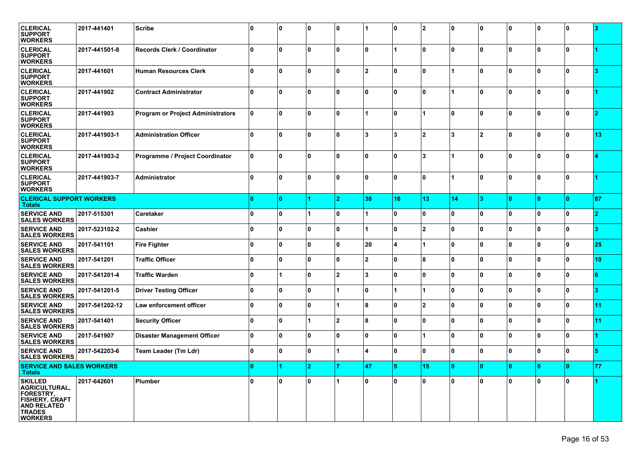| <b>CLERICAL</b><br><b>SUPPORT</b><br><b>WORKERS</b>                                                                                   | 2017-441401    | <b>Scribe</b>                            | <sup>0</sup> | ١o           | ١o           | 0              |                | 0            | $\overline{2}$  | n  | 10  | I٥       | 10           | ۱٥           |    |
|---------------------------------------------------------------------------------------------------------------------------------------|----------------|------------------------------------------|--------------|--------------|--------------|----------------|----------------|--------------|-----------------|----|-----|----------|--------------|--------------|----|
| <b>CLERICAL</b><br><b>SUPPORT</b><br><b>WORKERS</b>                                                                                   | 2017-441501-8  | Records Clerk / Coordinator              | 0            | $\mathbf{0}$ | $\bf{0}$     | l O            | ١o             |              | $\mathbf{0}$    | ۱n | ۱o  | ŋ        | ۱O.          | 0            |    |
| <b>CLERICAL</b><br><b>SUPPORT</b><br><b>WORKERS</b>                                                                                   | 2017-441601    | <b>Human Resources Clerk</b>             | 0            | ١o           | ١o           | l O            | $\overline{2}$ | 0            | $\mathbf 0$     |    | ۱o  | ١O       | ۱٥           | 10           |    |
| <b>CLERICAL</b><br><b>SUPPORT</b><br><b>WORKERS</b>                                                                                   | 2017-441902    | <b>Contract Administrator</b>            | $\Omega$     | $\mathbf{0}$ | ١o           | $\mathbf{0}$   | I٥             | $\mathbf{0}$ | $\mathbf{0}$    |    | ۱o  | $\Omega$ | ١o           | ١o           |    |
| <b>CLERICAL</b><br><b>SUPPORT</b><br><b>WORKERS</b>                                                                                   | 2017-441903    | <b>Program or Project Administrators</b> | 0            | $\mathbf{0}$ | $\bf{0}$     | l O            |                | $\mathbf{0}$ |                 | ۱n | ۱o  | ŋ        | ۱O.          | 0            |    |
| <b>CLERICAL</b><br><b>SUPPORT</b><br><b>WORKERS</b>                                                                                   | 2017-441903-1  | <b>Administration Officer</b>            | 0            | 10           | ١o           | l O            | 3              | 3            | $\overline{2}$  | 3  | 12  | ١O       | 10           | 10           | 13 |
| <b>CLERICAL</b><br><b>SUPPORT</b><br><b>WORKERS</b>                                                                                   | 2017-441903-2  | Programme / Project Coordinator          | 0            | $\mathbf{0}$ | $\bf{0}$     | $\mathbf{0}$   | ١o             | $\mathbf{0}$ | 3               |    | ۱o  | $\Omega$ | ۱O.          | l O          |    |
| <b>CLERICAL</b><br><b>SUPPORT</b><br><b>WORKERS</b>                                                                                   | 2017-441903-7  | Administrator                            | 0            | ١o           | $\Omega$     | l O            | ١o             | $\mathbf{0}$ | $\mathbf{0}$    |    | ۱o  | ŋ        | 0            | 0            |    |
| <b>CLERICAL SUPPORT WORKERS</b><br><b>Totals</b>                                                                                      |                |                                          | n            | 10.          |              | $\overline{2}$ | 38             | 16           | 13 <sub>1</sub> | 14 | lз  | n        | 0            | $\mathbf{0}$ | 87 |
| <b>SERVICE AND</b><br><b>SALES WORKERS</b>                                                                                            | 2017-515301    | Caretaker                                | 0            | ١o           |              | l O            |                | $\mathbf{0}$ | $\mathbf 0$     | ۱n | ۱o  | $\Omega$ | ١o           | 0            | 2  |
| <b>SERVICE AND</b><br><b>SALES WORKERS</b>                                                                                            | 2017-523102-2  | Cashier                                  | 0            | $\mathbf{0}$ | $\Omega$     | 0              |                | $\mathbf{0}$ | $\overline{2}$  | ۱n | ۱o  | $\Omega$ | ١o           | l O          |    |
| <b>SERVICE AND</b><br><b>SALES WORKERS</b>                                                                                            | 2017-541101    | <b>Fire Fighter</b>                      | 0            | ١o           | $\mathbf{0}$ | l O            | 20             | 4            |                 | 0  | ۱o  | ١O       | ۱٥           | 0            | 25 |
| <b>SERVICE AND</b><br><b>SALES WORKERS</b>                                                                                            | 2017-541201    | <b>Traffic Officer</b>                   | U            | $\mathbf{0}$ | $\bf{0}$     | $\mathbf{0}$   | 2              | $\mathbf{0}$ | 8               | ۱n | ۱o  | Û        | l N          | l O          | 10 |
| <b>SERVICE AND</b><br><b>SALES WORKERS</b>                                                                                            | 2017-541201-4  | <b>Traffic Warden</b>                    | <sup>0</sup> |              | $\Omega$     | $\overline{2}$ | 3              | $\mathbf{0}$ | $\mathbf{0}$    | ۱n | ۱o  | $\Omega$ | ١o           | l O          |    |
| <b>SERVICE AND</b><br><b>SALES WORKERS</b>                                                                                            | 2017-541201-5  | <b>Driver Testing Officer</b>            | 0            | ١o           | ١o           | 1              | 10             | 1            |                 | 0  | ۱o  | ١O       | ۱٥           | 0            | з  |
| <b>SERVICE AND</b><br><b>SALES WORKERS</b>                                                                                            | 2017-541202-12 | Law enforcement officer                  | U            | $\Omega$     | $\bf{0}$     |                | 8              | $\mathbf{0}$ | $\mathbf{2}$    | ۱n | ۱o  | ŋ        | l N          | 0            | 11 |
| <b>SERVICE AND</b><br><b>SALES WORKERS</b>                                                                                            | 2017-541401    | <b>Security Officer</b>                  | 0            | $\mathbf{0}$ |              | $\overline{2}$ | 8              | $\mathbf{0}$ | $\mathbf{0}$    | ۱n | ۱o  | $\Omega$ | ١o           | $\mathbf{0}$ | 11 |
| <b>SERVICE AND</b><br><b>SALES WORKERS</b>                                                                                            | 2017-541907    | <b>Disaster Management Officer</b>       | 0            | ١o           | $\mathbf{0}$ | l O            | 0              | $\mathbf{0}$ |                 | 0  | ۱o  | ١O       | ۱٥           | 0            |    |
| <b>SERVICE AND</b><br><b>SALES WORKERS</b>                                                                                            | 2017-542203-6  | Team Leader (Tm Ldr)                     | 0            | $\mathbf{0}$ | $\bf{0}$     |                | 1              | $\mathbf{0}$ | $\mathbf{0}$    | ۱n | ۱o  | ŋ        | $\mathbf{0}$ | 0            |    |
| <b>SERVICE AND SALES WORKERS</b><br><b>Totals</b>                                                                                     |                |                                          | n            |              | 2            |                | 47             | 5            | 15              | 10 | 10. | $\Omega$ | 10           | 10           | 77 |
| <b>SKILLED</b><br>AGRICULTURAL,<br><b>FORESTRY,</b><br><b>FISHERY, CRAFT</b><br><b>AND RELATED</b><br><b>TRADES</b><br><b>WORKERS</b> | 2017-642601    | <b>Plumber</b>                           | 0            | ١o           | $\mathbf{0}$ |                | I٥             | ۱O.          | $\mathbf{0}$    | ۱n | ۱o  | I۵       | ١o           | 0            |    |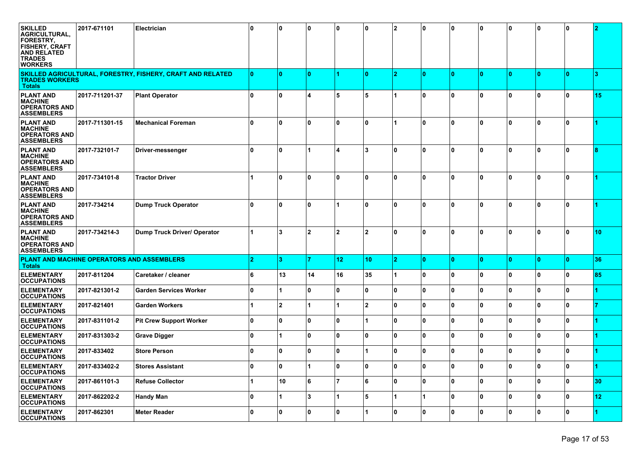| <b>SKILLED</b><br><b>AGRICULTURAL,</b><br><b>FORESTRY.</b><br><b>FISHERY, CRAFT</b><br><b>AND RELATED</b><br><b>TRADES</b><br><b>WORKERS</b> | 2017-671101    | Electrician                                                | ۱n.          | 10             | 0   | 10                     | n               | $\overline{\mathbf{2}}$ | 0            | 10  | ۱0 | 10           | 10  | 0            |     |
|----------------------------------------------------------------------------------------------------------------------------------------------|----------------|------------------------------------------------------------|--------------|----------------|-----|------------------------|-----------------|-------------------------|--------------|-----|----|--------------|-----|--------------|-----|
| <b>TRADES WORKERS</b><br><b>Totals</b>                                                                                                       |                | SKILLED AGRICULTURAL, FORESTRY, FISHERY, CRAFT AND RELATED | n            | ۱٥             | l O |                        | n               | 2                       | $\mathbf{0}$ | ١o  | ۱٥ | n            | ١O  | $\mathbf{0}$ | я   |
| <b>PLANT AND</b><br><b>MACHINE</b><br><b>OPERATORS AND</b><br><b>ASSEMBLERS</b>                                                              | 2017-711201-37 | <b>Plant Operator</b>                                      | $\mathbf{0}$ | ۱0             | 4   | 5                      | 5               |                         | 0            | 10  | ١O | ۱n           | 0   | 0            | 15  |
| <b>PLANT AND</b><br><b>MACHINE</b><br><b>OPERATORS AND</b><br><b>ASSEMBLERS</b>                                                              | 2017-711301-15 | <b>Mechanical Foreman</b>                                  | 0            | ۱٥             | O.  | ۱o                     | 0               |                         | 0            | ٥   | ۱۵ | ١n           | ۱O. | O            |     |
| <b>PLANT AND</b><br><b>MACHINE</b><br><b>OPERATORS AND</b><br><b>ASSEMBLERS</b>                                                              | 2017-732101-7  | Driver-messenger                                           | 0            | ۱٥             | 1   | $\boldsymbol{\Lambda}$ | 3               | 0                       | 0            | ٥   | ۱n | <sup>0</sup> | 0   | 0            |     |
| <b>PLANT AND</b><br><b>MACHINE</b><br><b>OPERATORS AND</b><br><b>ASSEMBLERS</b>                                                              | 2017-734101-8  | <b>Tractor Driver</b>                                      |              | ۱٥             | 0   | ۱o                     | 0               | 0                       | 0            | ٥   | ۱۵ | ۱n           | ۱O  | 0            |     |
| <b>PLANT AND</b><br><b>MACHINE</b><br><b>OPERATORS AND</b><br><b>ASSEMBLERS</b>                                                              | 2017-734214    | <b>Dump Truck Operator</b>                                 | 0            | ۱٥             | O   |                        | 0               | 0                       | $\mathbf{0}$ | ٥   | ۱n | 0            | 0   | 0            |     |
| <b>PLANT AND</b><br><b>MACHINE</b><br><b>OPERATORS AND</b><br><b>ASSEMBLERS</b>                                                              | 2017-734214-3  | <b>Dump Truck Driver/ Operator</b>                         | 1            | 3              | 2   | $\overline{2}$         | 2               | 0                       | $\Omega$     | ٥   | ۱n | 0            | 0   | 0            | 10  |
| PLANT AND MACHINE OPERATORS AND ASSEMBLERS<br><b>Totals</b>                                                                                  |                |                                                            | 2            | 3              |     | 12                     | 10 <sub>1</sub> | $\overline{2}$          | $\mathbf{0}$ | ١o  | n  |              | ١O  | $\mathbf{0}$ | 36  |
| <b>ELEMENTARY</b><br><b>OCCUPATIONS</b>                                                                                                      | 2017-811204    | Caretaker / cleaner                                        | 6            | 13             | 14  | 16                     | 35              |                         | $\mathbf{0}$ | ١o  | ١o | ١n           | ۱O  | 0            | 85  |
| <b>ELEMENTARY</b><br><b>OCCUPATIONS</b>                                                                                                      | 2017-821301-2  | <b>Garden Services Worker</b>                              | $\mathbf{0}$ |                | 0   | $\mathbf 0$            | 0               | 0                       | $\mathbf{0}$ | 10  | ١o | 0            | 0   | 0            |     |
| <b>ELEMENTARY</b><br><b>OCCUPATIONS</b>                                                                                                      | 2017-821401    | <b>Garden Workers</b>                                      |              | $\overline{2}$ |     |                        | 2               | 0                       | $\mathbf{0}$ | ١o  | ۱۵ | $\mathbf{0}$ | ۱O. | 0            |     |
| <b>ELEMENTARY</b><br><b>OCCUPATIONS</b>                                                                                                      | 2017-831101-2  | <b>Pit Crew Support Worker</b>                             | ۱O.          | l O            | O   | ۱o                     |                 | 0                       | $\mathbf{0}$ | ١o  | ١o | I۵           | ۱O  | 0            |     |
| <b>ELEMENTARY</b><br><b>OCCUPATIONS</b>                                                                                                      | 2017-831303-2  | <b>Grave Digger</b>                                        | $\bf{0}$     |                | 0   | ١o                     | <sup>0</sup>    | 0                       | $\mathbf{0}$ | ١o  | ١o | 0            | 0   | 0            |     |
| <b>ELEMENTARY</b><br><b>OCCUPATIONS</b>                                                                                                      | 2017-833402    | <b>Store Person</b>                                        | $\bf{0}$     | 0              | 0   | 10                     |                 | 0                       | $\mathbf{0}$ | ٥   | ١O | <sup>0</sup> | ۱O. | $\mathbf{0}$ |     |
| <b>ELEMENTARY</b><br><b>OCCUPATIONS</b>                                                                                                      | 2017-833402-2  | <b>Stores Assistant</b>                                    | 10           | 10             | ∣1  | 0                      | 0               | 10                      | ١o           | 0 ا | 10 | 10           | 10  | 0 ا          | l 1 |
| <b>ELEMENTARY</b><br><b>OCCUPATIONS</b>                                                                                                      | 2017-861101-3  | <b>Refuse Collector</b>                                    | 1            | 10             | 6   | $\overline{7}$         | 6               | 0                       | ۱o           | ۱o  | ١o | ١o           | 10  | $\mathbf{0}$ | 30  |
| <b>ELEMENTARY</b><br><b>OCCUPATIONS</b>                                                                                                      | 2017-862202-2  | <b>Handy Man</b>                                           | ۱O.          |                | 3   | 1                      | 5               |                         | 1            | 0   | ۱o | I٥           | ۱٥  | 0            | 12  |
| <b>ELEMENTARY</b><br><b>OCCUPATIONS</b>                                                                                                      | 2017-862301    | <b>Meter Reader</b>                                        | ۱0           | 10             | 0   | l 0                    |                 | 0                       | ١o           | 0   | ١o | ١o           | 10  | 0            |     |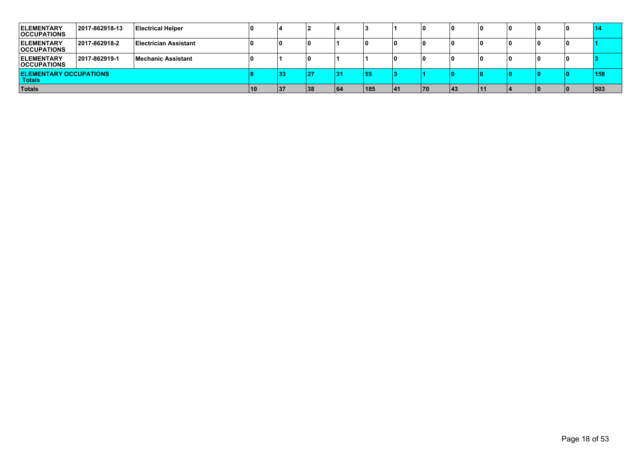| <b>ELEMENTARY</b><br><b>OCCUPATIONS</b>        | 2017-862918-13 | <b>Electrical Helper</b>     |    |    |    |    |     |    |    |    |  | l 0 | 14  |
|------------------------------------------------|----------------|------------------------------|----|----|----|----|-----|----|----|----|--|-----|-----|
| <b>IELEMENTARY</b><br><b>OCCUPATIONS</b>       | 2017-862918-2  | <b>Electrician Assistant</b> |    |    | 0  |    |     |    |    |    |  | ۱0  |     |
| <b>IELEMENTARY</b><br><b>OCCUPATIONS</b>       | 2017-862919-1  | <b>Mechanic Assistant</b>    |    |    |    |    |     |    |    |    |  |     |     |
| <b>ELEMENTARY OCCUPATIONS</b><br><b>Totals</b> |                |                              |    | 33 | 27 | 31 | 55  |    |    |    |  |     | 158 |
| Totals                                         |                |                              | 10 | 37 | 38 | 64 | 185 | 41 | 70 | 43 |  |     | 503 |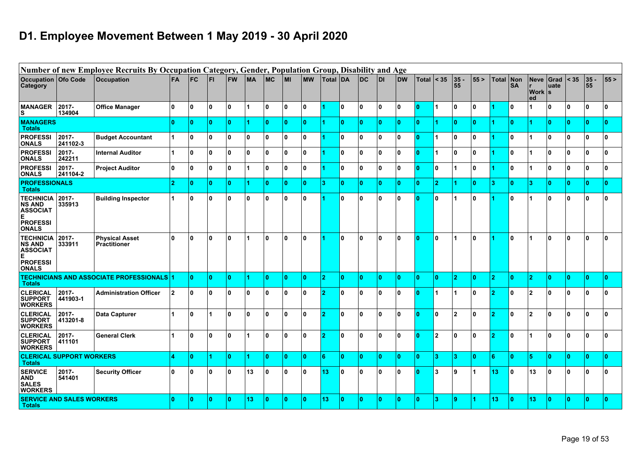# **D1. Employee Movement Between 1 May 2019 - 30 April 2020**

|                                                                |                                  | Number of new Employee Recruits By Occupation Category, Gender, Population Group, Disability and Age |                         |           |              |    |           |              |           |           |                 |                |              |              |                |              |                |                |             |                |                  |                               |              |              |                                                          |              |
|----------------------------------------------------------------|----------------------------------|------------------------------------------------------------------------------------------------------|-------------------------|-----------|--------------|----|-----------|--------------|-----------|-----------|-----------------|----------------|--------------|--------------|----------------|--------------|----------------|----------------|-------------|----------------|------------------|-------------------------------|--------------|--------------|----------------------------------------------------------|--------------|
| <b>Occupation</b><br>Category                                  | Ofo Code                         | <b>Occupation</b>                                                                                    | FA                      | <b>FC</b> | FI.          | FW | <b>MA</b> | <b>MC</b>    | <b>MI</b> | <b>MW</b> | Total <i>DA</i> |                | DC           | <b>DI</b>    | <b>DW</b>      | Total        | $\vert$ < 35   | 35<br>55       | 55>         | <b>Total</b>   | Non<br><b>SA</b> | <b>Neve</b><br> Work  s<br>ed | Grad<br>uate | < 35         | $\begin{array}{ c c }\n 35 \\ \hline\n 55\n \end{array}$ | 55>          |
| <b>MANAGER</b><br>ιs                                           | 2017-<br>134904                  | <b>Office Manager</b>                                                                                | 0                       | ١o        | $\mathbf{0}$ | 10 | 1         | $\mathbf{0}$ | 0         | ١o        |                 | 0              | ١o           | $\mathbf{0}$ | 0              | 0            |                | ١o             | ١o          |                | I٥               |                               | 0            | ۱o           | 10                                                       | n.           |
| <b>MANAGERS</b><br><b>Totals</b>                               |                                  |                                                                                                      | 0                       | 10        | Ω            | 0  |           | n            | 0         | ١o        |                 | $\bullet$      | 0            | O.           | $\overline{0}$ | ١o           |                | ١o             | 0           |                | ١o               |                               | $\mathbf{0}$ | $\mathbf{0}$ | ۱٥                                                       | n            |
| <b>PROFESSI</b><br><b>ONALS</b>                                | 2017-<br>241102-3                | <b>Budget Accountant</b>                                                                             | 1                       | ١o        | 0            | 0  | ١o        | $\mathbf{0}$ | 0         | ١o        |                 | 0              | ١o           | $\mathbf{0}$ | 0              | ١o           |                | ۱o             | ١o          |                | I٥               |                               | $\mathbf{0}$ | ١o           | ١o                                                       | $\mathbf{0}$ |
| <b>PROFESSI</b><br><b>ONALS</b>                                | 2017-<br>242211                  | <b>Internal Auditor</b>                                                                              | 1                       | ١o        | 0            | 0  | ١o        | 0            | 0         | ١o        |                 | 0              | $\mathbf 0$  | 0            | 0              | $\mathbf{0}$ |                | ١o             | $\mathbf 0$ |                | I٥               |                               | 0            | ۱o           | 10                                                       | $\Omega$     |
| <b>PROFESSI</b><br><b>ONALS</b>                                | 2017-<br>241104-2                | <b>Project Auditor</b>                                                                               | 0                       | ١o        | 0            | 0  | 1         | 0            | 0         | ١o        |                 | 0              | ١o           | 0            | 0              | 0            | 0              | 1              | ١o          |                | ۱o               |                               | 0            | ۱o           | ١o                                                       | $\Omega$     |
| <b>PROFESSIONALS</b><br><b>Totals</b>                          |                                  |                                                                                                      | $\overline{2}$          | 10        | Λ            | 0  | 1         | n            | 0         | 10        | з               | $\bullet$      | 0            | O.           | $\bullet$      | 0            | $\overline{2}$ |                | 0           | 3              | ١o               | 3                             | $\mathbf{0}$ | $\mathbf{0}$ | l 0                                                      | $\mathbf{0}$ |
| <b>TECHNICIA</b><br><b>NS AND</b><br><b>ASSOCIAT</b><br>Е      | 2017-<br>335913                  | <b>Building Inspector</b>                                                                            | 1                       | ١o        | 0            | 0  | ١o        | 0            | 0         | ١o        |                 | 0              | ١o           | 0            | 0              | ١o           | 0              | 1              | ١o          |                | I٥               | 1                             | $\mathbf{0}$ | ۱o           | 10                                                       | ١n           |
| <b>PROFESSI</b><br><b>ONALS</b>                                |                                  |                                                                                                      |                         |           |              |    |           |              |           |           |                 |                |              |              |                |              |                |                |             |                |                  |                               |              |              |                                                          |              |
| <b>TECHNICIA</b><br><b>NS AND</b><br><b>ASSOCIAT</b><br>E      | 2017-<br>333911                  | <b>Physical Asset</b><br><b>Practitioner</b>                                                         | 0                       | ١o        | 0            | 0  | 1         | 0            | 0         | ١o        |                 | 0              | ١o           | 0            | 0              | 10           | 0              | 1              | ١o          |                | I٥               |                               | 0            | ۱o           | 10                                                       | ١n           |
| <b>PROFESSI</b><br><b>ONALS</b>                                |                                  |                                                                                                      |                         |           |              |    |           |              |           |           |                 |                |              |              |                |              |                |                |             |                |                  |                               |              |              |                                                          |              |
| <b>Totals</b>                                                  |                                  | <b>TECHNICIANS AND ASSOCIATE PROFESSIONALS</b>                                                       |                         | ١o        | n            | O  | 4         | n            | 0         | ١o        | o.              | $\overline{0}$ | ١o           | n            | $\mathbf{0}$   | ١o           | n              | $\overline{2}$ | ١o          | $\overline{2}$ | ١o               | $\overline{2}$                | $\mathbf{0}$ | ١o           | ١o                                                       | $\mathbf{0}$ |
| <b>CLERICAL</b><br><b>SUPPORT</b><br><b>WORKERS</b>            | 2017-<br>441903-1                | <b>Administration Officer</b>                                                                        | $\overline{\mathbf{2}}$ | ١o        | 0            | 0  | ١o        | 0            | 0         | ١o        |                 | 0              | ١o           | 0            | 0              | 10           |                |                | ١o          |                | ١o               | $\overline{2}$                | 0            | ۱o           | ١o                                                       | n            |
| <b>CLERICAL</b><br><b>SUPPORT</b><br><b>WORKERS</b>            | 2017-<br>413201-8                | <b>Data Capturer</b>                                                                                 |                         | ١o        | 1            | 0  | ١o        | $\mathbf{0}$ | 0         | ١o        | ຳ               | 0              | ١o           | $\mathbf{0}$ | 0              | ١o           | 0              | <b>2</b>       | ١o          | D              | ١o               | 2                             | ١o           | ۱o           | ١o                                                       | ١o           |
| <b>CLERICAL</b><br><b>SUPPORT</b><br><b>WORKERS</b>            | 2017-<br>411101                  | <b>General Clerk</b>                                                                                 |                         | ١o        | 0            | 0  | 1         | 0            | 0         | ١o        |                 | 0              | ١o           | 0            | 0              | 10           | $\mathbf{2}$   | ١o             | ١o          |                | I٥               | 1                             | 0            | $\mathbf{0}$ | 10                                                       | 0            |
| <b>Totals</b>                                                  | <b>CLERICAL SUPPORT WORKERS</b>  |                                                                                                      | 4                       | ١o        |              | 0  |           | n            | 0         | ١o        | 6               | $\overline{0}$ | ١o           | n            | $\mathbf{0}$   | ١o           | з              | 3              | ١o          | 6              | ١o               | 5                             | $\mathbf{0}$ | ١o           | ١o                                                       | $\Omega$     |
| <b>SERVICE</b><br><b>AND</b><br><b>SALES</b><br><b>WORKERS</b> | 2017-<br>541401                  | <b>Security Officer</b>                                                                              | 0                       | ١o        | 0            | 0  | 13        | 0            | 0         | ١o        | 13              | 0              | $\mathbf{0}$ | 0            | 0              | 10           | 3              | 9١             |             | 13             | ١o               | 13                            | 0            | ۱o           | $\mathbf{0}$                                             | $\Omega$     |
| <b>Totals</b>                                                  | <b>SERVICE AND SALES WORKERS</b> |                                                                                                      | 0                       | ١o        | n            | 0  | 13        |              | 0         | ١O        | 13              | 0              | $\mathbf{0}$ |              | $\mathbf{0}$   | $\mathbf{0}$ | з              | ۱9             |             | 13             | ١o               | 13                            | n            | $\mathbf{0}$ | $\bullet$                                                | n            |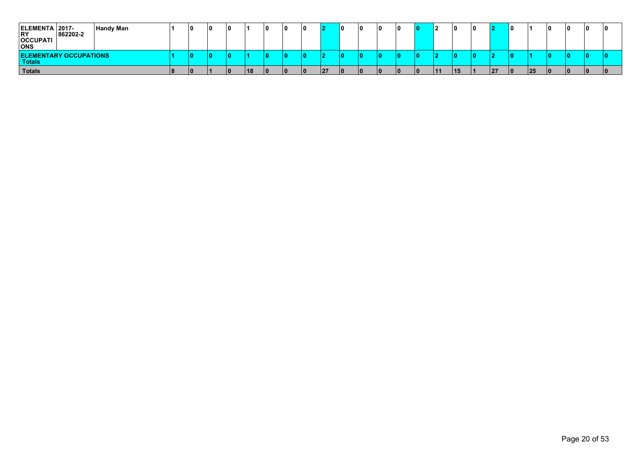| ELEMENTA 2017-<br> RY<br><b>OCCUPATI</b><br><b>ONS</b> | 862202-2 | <b>Handy Man</b> | 10 | 10 |    | 10 | 10 | 12 | n | 10 | 10 |    | ۱O | L  | 10 |    | 10  | 10 | 10 |
|--------------------------------------------------------|----------|------------------|----|----|----|----|----|----|---|----|----|----|----|----|----|----|-----|----|----|
| <b>ELEMENTARY OCCUPATIONS</b><br>Totals                |          |                  |    |    |    |    |    |    |   | ю  |    |    |    |    |    |    |     |    |    |
| Totals                                                 |          |                  | lo |    | 18 | 10 | ΙO | 27 |   | 10 | חו | 11 | 15 | 27 | 10 | 25 | 10. | Ιn |    |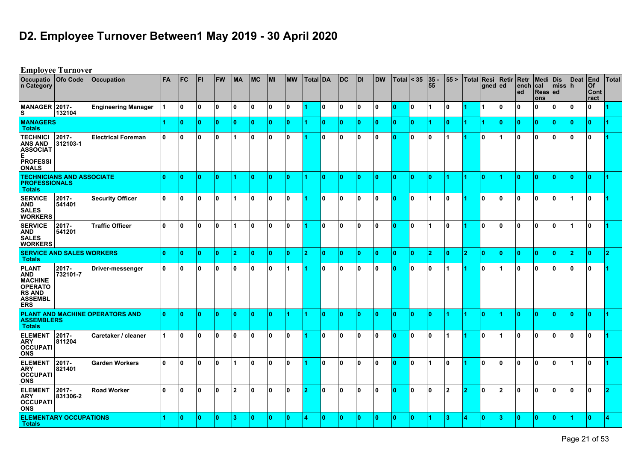# **D2. Employee Turnover Between1 May 2019 - 30 April 2020**

|                                                                                                          | <b>Employee Turnover</b>         |                                 |              |              |              |           |                      |                |              |           |                 |    |              |              |           |                |     |               |              |            |              |                      |              |                                    |                |                |                                  |       |
|----------------------------------------------------------------------------------------------------------|----------------------------------|---------------------------------|--------------|--------------|--------------|-----------|----------------------|----------------|--------------|-----------|-----------------|----|--------------|--------------|-----------|----------------|-----|---------------|--------------|------------|--------------|----------------------|--------------|------------------------------------|----------------|----------------|----------------------------------|-------|
| <b>Occupatio</b><br>n Category                                                                           | Ofo Code                         | <b>Occupation</b>               | <b>FA</b>    | <b>FC</b>    | l FI         | <b>FW</b> | <b>MA</b>            | MC             | <b>MI</b>    | <b>MW</b> | <b>Total DA</b> |    | IDC.         | <b>DI</b>    | <b>DW</b> | Total $ $ < 35 |     | $ 35 -$<br>55 | 55 >         | Total Resi | gned ed      | Retir Retr           | ∣ench<br>ed  | Medi Dis<br>∣cal<br>Reas ed<br>ons | $ m$ iss $ h $ | <b>Deat</b>    | <b>End</b><br>Of<br>Cont<br>ract | Total |
| MANAGER 2017-<br>s                                                                                       | 132104                           | <b>Engineering Manager</b>      |              | ١o           | $\mathbf{0}$ | ١o        | ۱o                   | 0 I            | 0            | ۱٥.       |                 | ١o | ١o           | $\mathbf{0}$ | 10        | ۱o             | l 0 |               | 0            | 14         | -1           | $\mathbf{0}$         | <sup>0</sup> | 0                                  | ١o             | ١o             | $\mathbf{0}$                     |       |
| <b>MANAGERS</b><br><b>Totals</b>                                                                         |                                  |                                 |              | $\mathbf{0}$ | $\Omega$     | 10        | ١o                   | 10.            | $\mathbf{0}$ | 10        |                 | ١o | ١o           | $\mathbf{0}$ | 10        | 10             | 10  |               | $\mathbf{0}$ | 1          | 1            | $\mathbf{0}$         | $\Omega$     | l 0                                | 10             | ١o             | $\mathbf{0}$                     |       |
| <b>TECHNICI</b><br><b>ANS AND</b><br><b>ASSOCIAT</b><br>E.<br><b>PROFESSI</b><br><b>ONALS</b>            | 2017-<br>312103-1                | <b>Electrical Foreman</b>       | 10           | ١o           | $\mathbf{0}$ | ١o        | $\blacktriangleleft$ | 10             | 0            | ١o        |                 | ۱o | 10           | 0            | 0 ا       | 10             | ۱o  | 10            |              |            | $\mathbf{0}$ |                      | 0            | ۱٥.                                | ١o             | ۱o             | $\mathbf{0}$                     |       |
| <b>PROFESSIONALS</b><br><b>Totals</b>                                                                    | <b>TECHNICIANS AND ASSOCIATE</b> |                                 | ١o           | $\mathbf{0}$ | $\Omega$     | ١o        | 4                    | ١o             | $\mathbf{0}$ | ١o        |                 | ١o | ١o           | $\mathbf{0}$ | ١o        | ۱O.            | ١o  | ١o            | 4            | 1          | $\mathbf{0}$ |                      | l O          | ۱O.                                | ١o             | $\mathbf{0}$   | $\mathbf{0}$                     |       |
| <b>SERVICE</b><br><b>AND</b><br><b>SALES</b><br><b>WORKERS</b>                                           | 2017-<br>541401                  | <b>Security Officer</b>         | 10           | 10           | 0            | ١o        | 1                    | 10             | 0            | ۱٥        |                 | I٥ | 10           | 0            | 10        | 10             | 0   |               | $\mathbf{0}$ |            | 0            | 0                    | 0            | 10.                                | 0 ا            |                | 0                                |       |
| <b>SERVICE</b><br>AND<br><b>SALES</b><br><b>WORKERS</b>                                                  | 2017-<br>541201                  | <b>Traffic Officer</b>          | ١o           | ١o           | $\mathbf{0}$ | ١o        |                      | ۱o             | ١o           | ١o        |                 | ١o | $\mathbf{0}$ | $\mathbf{0}$ | 0 ا       | ۱O             | ۱o  |               | $\mathbf{0}$ |            | $\bf{0}$     | $\mathbf{0}$         | ١o           | ١o                                 | ١o             |                | $\mathbf{0}$                     |       |
| <b>Totals</b>                                                                                            | <b>SERVICE AND SALES WORKERS</b> |                                 | $\mathbf{0}$ | $\mathbf{0}$ | $\mathbf{0}$ | ١o        | 2                    | ١o             | $\mathbf{0}$ | ١o        | 12              | ١o | ١o           | $\mathbf{0}$ | 10        | ١o             | ۱o  | 12.           | $\mathbf{0}$ | 12.        | ١o           | $\bullet$            | $\mathbf{0}$ | 0                                  | ١o             | $\overline{2}$ | $\mathbf{0}$                     | o.    |
| <b>PLANT</b><br>AND<br><b>MACHINE</b><br><b>OPERATO</b><br><b>RS AND</b><br><b>ASSEMBL</b><br><b>ERS</b> | $2017 -$<br>732101-7             | Driver-messenger                | 10           | ١o           | $\mathbf{0}$ | ١o        | ۱o                   | 10             | 0            | 11        |                 | ١o | ١o           | 0            | 0 ا       | 10             | ۱o  | ١o            |              | 11         | $\mathbf{0}$ | $\blacktriangleleft$ | ۱O.          | ١o                                 | ١o             | ١o             | $\mathbf{0}$                     |       |
| <b>ASSEMBLERS</b><br><b>Totals</b>                                                                       |                                  | PLANT AND MACHINE OPERATORS AND | ١o           | $\mathbf{0}$ | $\Omega$     | ١o        | ١o                   | ١o             | $\mathbf{0}$ |           |                 | ١o | ١o           | $\mathbf{0}$ | ١o        | ۱O.            | ۱o  | ١o            | 4            | 1          | $\mathbf{0}$ |                      | ۱O           | ۱O.                                | ١o             | $\mathbf{0}$   | $\mathbf{0}$                     |       |
| <b>ELEMENT</b><br><b>ARY</b><br><b>OCCUPATI</b><br><b>ONS</b>                                            | 2017-<br>811204                  | Caretaker / cleaner             |              | ١o           | 0            | 10        | $\mathbf{0}$         | 10             | 0            | ۱٥        |                 | I٥ | 10           | 0            | l 0       | 10             | 0   | 10            | 1            |            | 0            | 1                    | 0            | ۱٥.                                | 0 ا            | ١o             | 0                                |       |
| <b>ELEMENT</b><br><b>ARY</b><br><b>OCCUPATI</b><br><b>ONS</b>                                            | 2017-<br>821401                  | <b>Garden Workers</b>           | ١o           | ١o           | $\mathbf{0}$ | ١o        |                      | ۱o             | ١o           | ١o        |                 | ۱o | $\mathbf{0}$ | $\mathbf{0}$ | 0 ا       | ۱O             | ۱o  |               | 0            |            | $\bf{0}$     | $\mathbf{0}$         | ١o           | ١o                                 | ١o             |                | $\mathbf{0}$                     |       |
| <b>ELEMENT</b><br>ARY<br><b>OCCUPATI</b><br><b>ONS</b>                                                   | 2017-<br>831306-2                | <b>Road Worker</b>              | I٥           | ١o           | $\mathbf{0}$ | ١o        | $\overline{2}$       | 10             | $\mathbf{0}$ | ۱٥        | 12              | ١o | 10           | 0            | ۱٥.       | ۱o             | 0   | ١o            | $\mathbf{2}$ | 12         | 0            | $\overline{2}$       | ۱O           | ۱٥.                                | ١o             | ١o             | $\mathbf{0}$                     |       |
| <b>Totals</b>                                                                                            | <b>ELEMENTARY OCCUPATIONS</b>    |                                 |              | $\mathbf{0}$ | n            | ١o        | l3                   | $\overline{0}$ | $\mathbf{0}$ | ١o        | Δ               | ١o | $\mathbf{0}$ | $\mathbf{0}$ | ۱o        | ۱O             | ١o  |               | 3            | 14         | $\mathbf{0}$ | $\overline{3}$       | $\mathbf{0}$ | $\mathbf{0}$                       | ١o             |                | $\mathbf{0}$                     |       |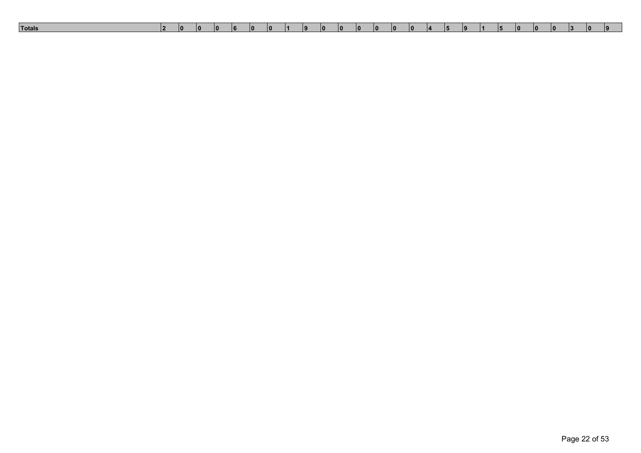| Totals<br>10<br>$\overline{0}$<br>10<br>۱O<br>10<br>10<br>10<br>וחו<br>$\overline{0}$<br>. .<br>ıο<br>$\overline{0}$<br>$\overline{a}$<br>IO.<br>ın<br>╻┛<br>. .<br>. |  |
|-----------------------------------------------------------------------------------------------------------------------------------------------------------------------|--|
|-----------------------------------------------------------------------------------------------------------------------------------------------------------------------|--|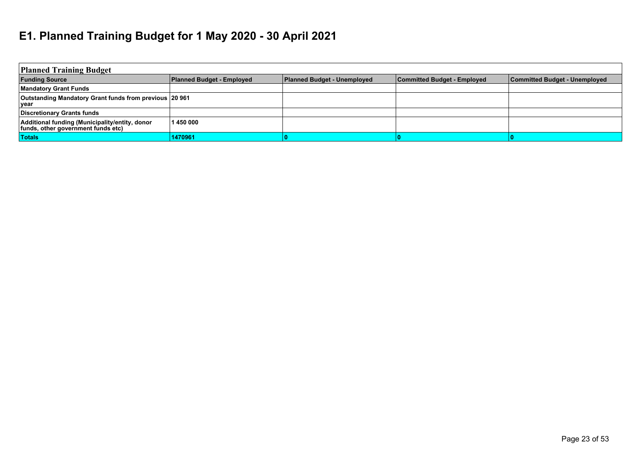# **E1. Planned Training Budget for 1 May 2020 - 30 April 2021**

| <b>Planned Training Budget</b>                                                       |                                  |                                    |                                    |                               |
|--------------------------------------------------------------------------------------|----------------------------------|------------------------------------|------------------------------------|-------------------------------|
| <b>Funding Source</b>                                                                | <b>Planned Budget - Employed</b> | <b>Planned Budget - Unemployed</b> | <b>Committed Budget - Employed</b> | Committed Budget - Unemployed |
| <b>Mandatory Grant Funds</b>                                                         |                                  |                                    |                                    |                               |
| Outstanding Mandatory Grant funds from previous 20 961<br><b>vear</b>                |                                  |                                    |                                    |                               |
| <b>Discretionary Grants funds</b>                                                    |                                  |                                    |                                    |                               |
| Additional funding (Municipality/entity, donor<br>funds, other government funds etc) | 1450 000                         |                                    |                                    |                               |
| <b>Totals</b>                                                                        | 1470961                          |                                    |                                    |                               |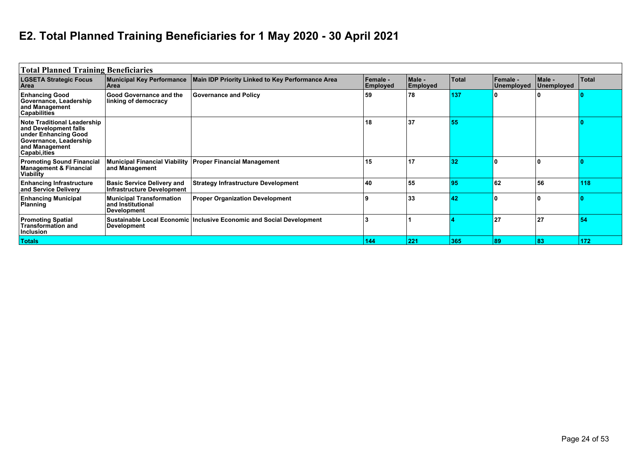# **E2. Total Planned Training Beneficiaries for 1 May 2020 - 30 April 2021**

| <b>Total Planned Training Beneficiaries</b>                                                                                                      |                                                                            |                                                                      |                             |                    |       |                        |                      |              |
|--------------------------------------------------------------------------------------------------------------------------------------------------|----------------------------------------------------------------------------|----------------------------------------------------------------------|-----------------------------|--------------------|-------|------------------------|----------------------|--------------|
| <b>LGSETA Strategic Focus</b><br>Area                                                                                                            | <b>Municipal Key Performance</b><br>Area                                   | Main IDP Priority Linked to Key Performance Area                     | Female -<br><b>Employed</b> | Male -<br>Employed | Total | Female -<br>Unemployed | Male -<br>Unemployed | <b>Total</b> |
| <b>Enhancing Good</b><br>Governance, Leadership<br>and Management<br><b>Capabilities</b>                                                         | <b>Good Governance and the</b><br>linking of democracy                     | <b>Governance and Policy</b>                                         | 59                          | 78                 | 137   |                        |                      |              |
| <b>Note Traditional Leadership</b><br>and Development falls<br>under Enhancing Good<br>Governance, Leadership<br>and Management<br>Capabi, ities |                                                                            |                                                                      | 18                          | 37                 | 55    |                        |                      |              |
| <b>Promoting Sound Financial</b><br><b>Management &amp; Financial</b><br><b>Viability</b>                                                        | and Management                                                             | Municipal Financial Viability   Proper Financial Management          | 15                          | 17                 | 32    |                        | I O                  |              |
| <b>Enhancing Infrastructure</b><br>and Service Delivery                                                                                          | <b>Basic Service Delivery and</b><br><b>Infrastructure Development</b>     | <b>Strategy Infrastructure Development</b>                           | 40                          | 55                 | 95    | 62                     | 56 ا                 | 118          |
| <b>Enhancing Municipal</b><br>Planning                                                                                                           | <b>Municipal Transformation</b><br>and Institutional<br><b>Development</b> | <b>Proper Organization Development</b>                               |                             | 33                 | 42    |                        | ١O                   |              |
| <b>Promoting Spatial</b><br><b>Transformation and</b><br>Inclusion                                                                               | Development                                                                | Sustainable Local Economic Inclusive Economic and Social Development |                             |                    |       | 27                     | 27                   | 54           |
| <b>Totals</b>                                                                                                                                    |                                                                            |                                                                      | 144                         | 221                | 365   | 89                     | 83                   | 172          |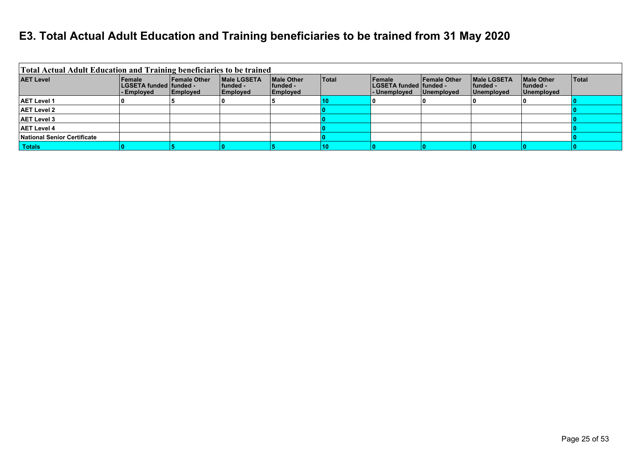#### **E3. Total Actual Adult Education and Training beneficiaries to be trained from 31 May 2020**

| Total Actual Adult Education and Training beneficiaries to be trained |                                                         |                                        |                                                     |                                                   |              |                                                           |                                          |                                                |                                               |              |
|-----------------------------------------------------------------------|---------------------------------------------------------|----------------------------------------|-----------------------------------------------------|---------------------------------------------------|--------------|-----------------------------------------------------------|------------------------------------------|------------------------------------------------|-----------------------------------------------|--------------|
| <b>AET Level</b>                                                      | <b>Female</b><br>∣LGSETA funded ∣funded -<br>- Employed | <b>Female Other</b><br><b>Employed</b> | <b>IMale LGSETA</b><br> funded -<br><b>Employed</b> | <b>Male Other</b><br>lfunded -<br><b>Employed</b> | <b>Total</b> | <b>Female</b><br>∣LGSETA funded ∣funded -<br>- Unemployed | <b>Female Other</b><br><b>Unemployed</b> | <b>IMale LGSETA</b><br> funded -<br>Unemployed | <b>Male Other</b><br>l funded -<br>Unemployed | <b>Total</b> |
| <b>AET Level 1</b>                                                    |                                                         |                                        |                                                     |                                                   | 10           |                                                           |                                          |                                                |                                               |              |
| <b>AET Level 2</b>                                                    |                                                         |                                        |                                                     |                                                   |              |                                                           |                                          |                                                |                                               |              |
| <b>AET Level 3</b>                                                    |                                                         |                                        |                                                     |                                                   |              |                                                           |                                          |                                                |                                               |              |
| <b>AET Level 4</b>                                                    |                                                         |                                        |                                                     |                                                   |              |                                                           |                                          |                                                |                                               |              |
| National Senior Certificate                                           |                                                         |                                        |                                                     |                                                   |              |                                                           |                                          |                                                |                                               |              |
| Totals                                                                |                                                         |                                        |                                                     |                                                   | 10           |                                                           |                                          |                                                |                                               |              |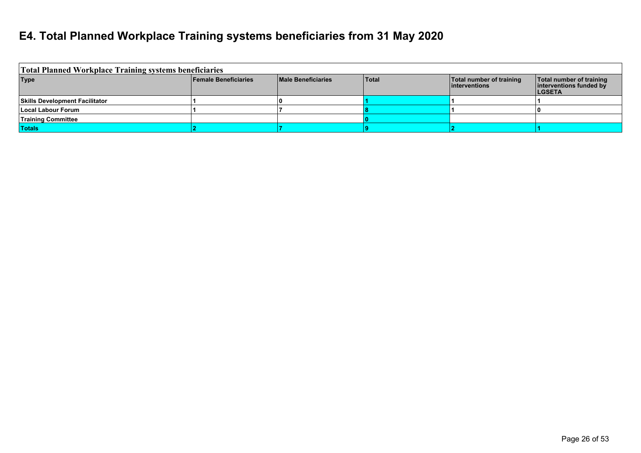#### **E4. Total Planned Workplace Training systems beneficiaries from 31 May 2020**

| <b>Total Planned Workplace Training systems beneficiaries</b> |                             |                           |              |                                            |                                                                      |
|---------------------------------------------------------------|-----------------------------|---------------------------|--------------|--------------------------------------------|----------------------------------------------------------------------|
| <b>Type</b>                                                   | <b>Female Beneficiaries</b> | <b>Male Beneficiaries</b> | <b>Total</b> | Total number of training<br>linterventions | Total number of training<br>interventions funded by<br><b>LGSETA</b> |
| <b>Skills Development Facilitator</b>                         |                             |                           |              |                                            |                                                                      |
| Local Labour Forum                                            |                             |                           |              |                                            |                                                                      |
| <b>Training Committee</b>                                     |                             |                           |              |                                            |                                                                      |
| <b>Totals</b>                                                 |                             |                           |              |                                            |                                                                      |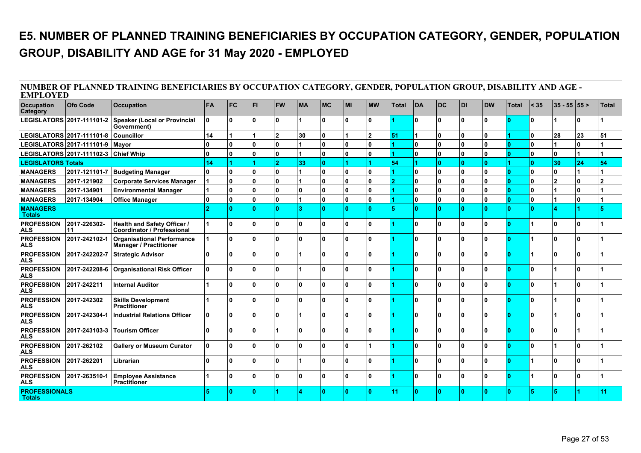### **E5. NUMBER OF PLANNED TRAINING BENEFICIARIES BY OCCUPATION CATEGORY, GENDER, POPULATION GROUP, DISABILITY AND AGE for 31 May 2020 - EMPLOYED**

| <b>EMPLOYED</b>                       |                                                             | NUMBER OF PLANNED TRAINING BENEFICIARIES BY OCCUPATION CATEGORY, GENDER, POPULATION GROUP, DISABILITY AND AGE - |          |                |              |                |              |            |              |                |       |                      |              |              |              |              |              |                |    |                |
|---------------------------------------|-------------------------------------------------------------|-----------------------------------------------------------------------------------------------------------------|----------|----------------|--------------|----------------|--------------|------------|--------------|----------------|-------|----------------------|--------------|--------------|--------------|--------------|--------------|----------------|----|----------------|
| Occupation<br><b>Category</b>         | Ofo Code                                                    | <b>Occupation</b>                                                                                               | FA       | <b>IFC</b>     | <b>FI</b>    | <b>FW</b>      | <b>MA</b>    | <b>IMC</b> | MI           | <b>MW</b>      | Total | <b>DA</b>            | <b>DC</b>    | <b>DI</b>    | <b>DW</b>    | <b>Total</b> | < 35         | $ 35 - 55 55$  |    | Total          |
|                                       | LEGISLATORS 2017-111101-2                                   | <b>Speaker (Local or Provincial</b><br>Government)                                                              | O.       | ١o             | $\mathbf{0}$ | ۱O             |              | l O        | $\mathbf{0}$ | <sup>0</sup>   |       | l O                  | 0            | $\mathbf{0}$ | O            |              | $\mathbf{0}$ |                | ١o |                |
| LEGISLATORS 2017-111101-8             |                                                             | <b>Councillor</b>                                                                                               | 14       |                |              | $\overline{2}$ | 30           | O          |              | $\overline{2}$ | 51    |                      | 0            | 0            | $\mathbf{0}$ |              | 0            | 28             | 23 | 51             |
|                                       | LEGISLATORS 2017-111101-9   Mayor                           |                                                                                                                 | O        | ١o             | $\mathbf{0}$ | ۱o             |              | O          | $\mathbf{0}$ | n              |       | 0                    | O.           | 0            | $\Omega$     | $\Omega$     | 0            |                | ١o |                |
|                                       | LEGISLATORS 2017-111102-3 Chief Whip                        |                                                                                                                 | O.       | ١o             | $\mathbf{0}$ | ۱o             |              | ۱o         | $\mathbf{0}$ | $\Omega$       |       | O                    | 0            | $\mathbf{0}$ | $\Omega$     | $\Omega$     | $\mathbf{0}$ | ۱o             | 1  |                |
| <b>LEGISLATORS Totals</b>             |                                                             |                                                                                                                 | 14       | $\overline{1}$ |              | $\overline{2}$ | 33           | <b>O</b>   |              |                | 54    | $\blacktriangleleft$ | n.           | n.           | n            |              | $\mathbf{0}$ | 30             | 24 | 54             |
| <b>MANAGERS</b>                       | 2017-121101-7                                               | <b>Budgeting Manager</b>                                                                                        | 0        | 0              | $\mathbf{0}$ | ۱o             |              | O          | $\mathbf{0}$ | 0              |       | 0                    | 0            | $\mathbf{0}$ | $\Omega$     | $\Omega$     | $\mathbf{0}$ | ۱o             | 1  |                |
| <b>MANAGERS</b>                       | 2017-121902                                                 | <b>Corporate Services Manager</b>                                                                               |          | ١o             | $\mathbf{0}$ | ۱o             |              | O          | $\mathbf{0}$ | 0              | n     | 0                    | 0            | $\mathbf{0}$ | $\mathbf{0}$ | $\Omega$     | $\mathbf{0}$ | $\overline{2}$ | ١o | $\overline{2}$ |
| <b>MANAGERS</b>                       | 2017-134901                                                 | <b>Environmental Manager</b>                                                                                    |          | ١o             | $\mathbf{0}$ | ۱O.            | ١o           | O          | $\mathbf{0}$ | 0              |       | O                    | 0            | $\mathbf{0}$ | $\mathbf{0}$ | $\Omega$     | 0            |                | ١o |                |
| <b>MANAGERS</b>                       | 2017-134904                                                 | <b>Office Manager</b>                                                                                           | 0        | ١o             | $\mathbf{0}$ | ۱o             |              | O          | $\mathbf{0}$ | 0              |       | O                    | 0            | $\mathbf{0}$ | 0            | $\Omega$     | 0            |                | ١o | 1              |
| <b>MANAGERS</b><br><b>Totals</b>      |                                                             |                                                                                                                 | <b>D</b> | ١o             | $\mathbf{0}$ | $\overline{0}$ |              | ۱O         | n            | $\mathbf{0}$   |       | l O                  | O.           | $\mathbf{0}$ | n            | $\mathbf{0}$ | n            |                |    | 5              |
| <b>PROFESSION</b><br><b>ALS</b>       | 2017-226302-<br>11                                          | <b>Health and Safety Officer /</b><br><b>Coordinator / Professional</b>                                         |          | ١o             | $\mathbf{0}$ | ۱n             | $\mathbf{a}$ | l n        | $\mathbf{a}$ | <sup>0</sup>   |       | ۱n                   | <sup>0</sup> | n.           | $\Omega$     | Ι٥           |              | ۱ο             | Ι٥ |                |
| <b>PROFESSION</b><br><b>ALS</b>       | 2017-242102-1                                               | <b>Organisational Performance</b><br><b>Manager / Practitioner</b>                                              |          | ١o             | $\mathbf{0}$ | ۱O             | ۱n           | l O        | $\mathbf{0}$ | <sup>0</sup>   |       | O                    | 0            | n.           | $\Omega$     | Ι٥           | 4            | ١n             | I٥ |                |
| <b>PROFESSION</b><br><b>ALS</b>       | 2017-242202-7                                               | <b>Strategic Advisor</b>                                                                                        | n        | ١o             | $\mathbf{0}$ | ۱O             |              | ۱O         | $\mathbf{0}$ | n              |       | O                    | 0            | $\mathbf{0}$ | 0            | n            |              | ۱O             | I٥ |                |
| <b>PROFESSION</b><br><b>ALS</b>       | 2017-242208-6                                               | <b>Organisational Risk Officer</b>                                                                              | 10       | ١o             | $\mathbf{0}$ | ۱o             |              | l O        | $\mathbf{0}$ | <sup>0</sup>   |       | O                    | 0            | $\mathbf{0}$ | $\mathbf{0}$ | $\Omega$     | 0            |                | I٥ |                |
| <b>PROFESSION</b><br><b>ALS</b>       | 2017-242211                                                 | <b>Internal Auditor</b>                                                                                         |          | ۱o             | $\mathbf{0}$ | ۱O.            | $\mathbf{a}$ | l n        | $\mathbf{0}$ | n              |       | l O                  | 0            | n.           | $\Omega$     | $\Omega$     | $\mathbf{0}$ |                | ۱  |                |
| <b>PROFESSION</b><br><b>ALS</b>       | 2017-242302                                                 | <b>Skills Development</b><br>Practitioner                                                                       |          | ١o             | $\mathbf{0}$ | ۱O.            | <sup>n</sup> | l O        | <sup>n</sup> | n              |       | l O                  | 0            | n.           | $\Omega$     | $\Omega$     | $\mathbf{0}$ |                | ۱  |                |
| <b>PROFESSION</b><br><b>ALS</b>       | 2017-242304-1                                               | <b>Industrial Relations Officer</b>                                                                             | O.       | ١o             | $\mathbf{0}$ | ۱o             |              | l O        | 0            | n              |       | O                    | 0            | 0            | 0            | $\Omega$     | 0            |                | ١O |                |
| <b>PROFESSION</b><br><b>ALS</b>       | 2017-243103-3                                               | <b>Tourism Officer</b>                                                                                          | O.       | ١o             | $\mathbf{0}$ |                | $\mathbf{0}$ | l O        | $\mathbf{0}$ | <sup>0</sup>   |       | l O                  | 0            | $\mathbf{0}$ | O            | $\Omega$     | $\mathbf{0}$ | ١n             |    |                |
| <b>PROFESSION</b><br><b>ALS</b>       | 2017-262102                                                 | <b>Gallery or Museum Curator</b>                                                                                | 0        | ۱o             | $\Omega$     | ۱O             | $\Omega$     | l N        | $\mathbf{0}$ |                |       | l O                  | O.           | n.           | 0            | $\Omega$     | $\mathbf{0}$ |                | ١n |                |
| <b>PROFESSION</b><br><b>ALS</b>       | 2017-262201                                                 | Librarian                                                                                                       | n.       | ١n             | $\mathbf{0}$ | ۱n             |              | l N        | $\mathbf{v}$ | n              |       | n.                   | O.           | n.           | <sup>0</sup> | $\sqrt{2}$   |              | ۱n             | ۱  |                |
| <b>PROFESSION</b><br><b>ALS</b>       | 2017-263510-1<br><b>Employee Assistance</b><br>Practitioner |                                                                                                                 |          |                | $\mathbf{0}$ | 0              | $\mathbf{0}$ | l O        | $\mathbf{0}$ | $\Omega$       |       | l O                  | 0            | 0            | 0            | $\Omega$     | 1            | ۱O             | ١o |                |
| <b>PROFESSIONALS</b><br><b>Totals</b> |                                                             |                                                                                                                 |          | ١o             | $\Omega$     |                |              | ۱O         | n            | $\Omega$       | 11    | <b>O</b>             | O.           | $\Omega$     |              | $\Omega$     |              |                |    | 11             |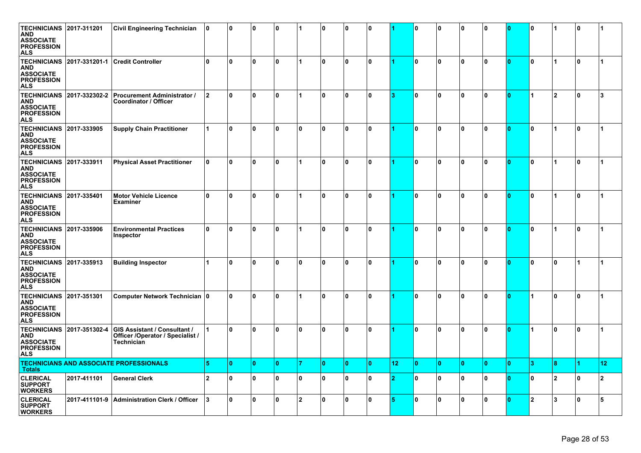| <b>TECHNICIANS 2017-311201</b><br><b>AND</b><br><b>ASSOCIATE</b><br><b>PROFESSION</b><br>ALS |               | <b>Civil Engineering Technician</b>                                            | 10             | ١o | ١o           | ۱O           | 1            | ١o           | $\mathbf{0}$ | ١o           |    | O  | $\mathbf{0}$ | O  | <sup>0</sup> | n  | 0            |                      | <sup>0</sup> |                      |
|----------------------------------------------------------------------------------------------|---------------|--------------------------------------------------------------------------------|----------------|----|--------------|--------------|--------------|--------------|--------------|--------------|----|----|--------------|----|--------------|----|--------------|----------------------|--------------|----------------------|
| <b>TECHNICIANS</b><br><b>AND</b><br><b>ASSOCIATE</b><br><b>PROFESSION</b><br>ALS             | 2017-331201-1 | <b>Credit Controller</b>                                                       | ١o             | ١o | ١o           | 0            | 1            | $\mathbf{0}$ | 0            | $\mathbf{0}$ |    | ١o | $\mathbf{0}$ | 0  | $\mathbf{0}$ | O  | 0            | $\blacktriangleleft$ | $\mathbf{0}$ | $\blacktriangleleft$ |
| <b>TECHNICIANS</b><br>AND<br><b>ASSOCIATE</b><br><b>PROFESSION</b><br><b>ALS</b>             | 2017-332302-2 | <b>Procurement Administrator /</b><br>Coordinator / Officer                    | 12             | ١o | ١o           | ۱O.          | 1            | 0            | $\mathbf{0}$ | ۱o           |    | O  | $\mathbf{0}$ | 0  | 0            | 0  |              | 2                    | 0            | 3                    |
| <b>TECHNICIANS</b><br><b>AND</b><br><b>ASSOCIATE</b><br><b>PROFESSION</b><br>ALS             | 2017-333905   | <b>Supply Chain Practitioner</b>                                               |                | ١o | 10           | ۱O.          | $\mathbf{0}$ | $\mathbf{0}$ | $\Omega$     | $\mathbf{0}$ |    | ١o | $\mathbf{0}$ | O  | 0            | O  | 0            | $\blacktriangleleft$ | $\mathbf{0}$ | 1                    |
| <b>TECHNICIANS</b><br>AND<br><b>ASSOCIATE</b><br><b>PROFESSION</b><br>ALS                    | 2017-333911   | <b>Physical Asset Practitioner</b>                                             | 10             | ١o | 10           | 0            | 1            | $\mathbf{0}$ | 0            | 0            |    | 0  | 0            | 0  | 0            | 0  | 0            | $\overline{1}$       | $\mathbf{0}$ | 1                    |
| <b>TECHNICIANS</b><br><b>AND</b><br><b>ASSOCIATE</b><br><b>PROFESSION</b><br>ALS             | 2017-335401   | <b>Motor Vehicle Licence</b><br><b>Examiner</b>                                | ١o             | ١o | ۱o           | ۱O.          | 1            | $\mathbf{0}$ | 0            | $\mathbf{0}$ |    | I٥ | $\mathbf{0}$ | 0  | 0            | 0  | 0            | 1                    | $\mathbf{0}$ | $\blacktriangleleft$ |
| <b>TECHNICIANS</b><br>AND<br><b>ASSOCIATE</b><br><b>PROFESSION</b><br><b>ALS</b>             | 2017-335906   | <b>Environmental Practices</b><br>Inspector                                    | ١o             | ١o | ١o           | 0            | 1            | ١o           | $\mathbf{0}$ | ۱o           |    | ١o | 0            | 0  | $\mathbf{0}$ | 0  | 0            | $\blacktriangleleft$ | 0            | $\blacktriangleleft$ |
| TECHNICIANS<br><b>AND</b><br><b>ASSOCIATE</b><br><b>PROFESSION</b><br>ALS                    | 2017-335913   | <b>Building Inspector</b>                                                      | 1              | ١O | 10           | 0            | 0            | $\mathbf{0}$ | 0            | 0            |    | 0  | 0            | 0  | U            | n  | 0            | 0                    |              |                      |
| <b>TECHNICIANS</b><br>AND<br><b>ASSOCIATE</b><br><b>PROFESSION</b><br>ALS                    | 2017-351301   | Computer Network Technician 0                                                  |                | ١o | 10           | ۱O           | 1            | $\mathbf{0}$ | $\mathbf{0}$ | $\mathbf{0}$ |    | ١o | 0            | 0  | $\mathbf{0}$ | O  |              | 0                    | $\mathbf{0}$ | 1                    |
| <b>TECHNICIANS</b><br>AND<br><b>ASSOCIATE</b><br><b>PROFESSION</b><br><b>ALS</b>             | 2017-351302-4 | GIS Assistant / Consultant /<br>Officer /Operator / Specialist /<br>Technician |                | ١o | ١o           | 0            | 0            | 0            | <sup>0</sup> | $\mathbf{0}$ |    | 0  | 0            | 0  | 0            | 0  |              | 0                    | 0            | 1                    |
| <b>Totals</b>                                                                                |               | <b>TECHNICIANS AND ASSOCIATE PROFESSIONALS</b>                                 | к              | ١o | $\mathbf{0}$ | 0            |              | ١o           | $\Omega$     | ١o           | 12 | ١o | $\mathbf{0}$ | ١o | $\Omega$     | ١o | 3            | 8                    |              | 12                   |
| <b>CLERICAL</b><br><b>SUPPORT</b><br><b>WORKERS</b>                                          | 2017-411101   | <b>General Clerk</b>                                                           | $\overline{2}$ | ١o | 10           | 0            | 0            | 0            | 0            | 0            |    | 0  | 0            | 0  | <sup>0</sup> | n  | 0            | $\overline{2}$       | ŋ            | $\overline{2}$       |
| <b>CLERICAL</b><br><b>SUPPORT</b><br><b>WORKERS</b>                                          | 2017-411101-9 | Administration Clerk / Officer                                                 | 13             | ١o | ۱o           | $\mathbf{0}$ | $\mathbf{2}$ | $\mathbf{0}$ | 0            | $\mathbf{0}$ |    | O  | $\mathbf{0}$ | 0  | 0            | Ю  | $\mathbf{2}$ | 3                    | 0            | $5\phantom{.0}$      |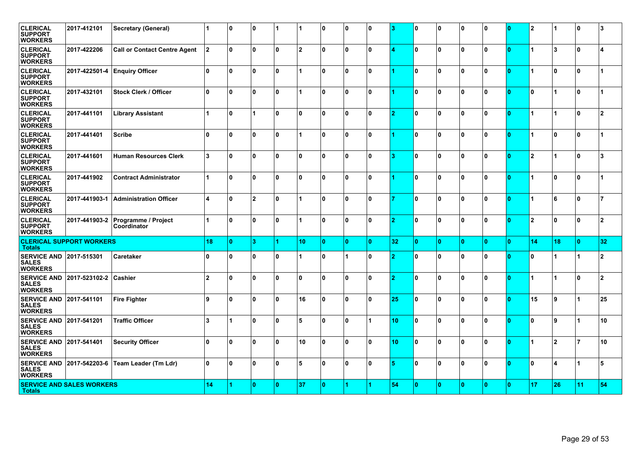| <b>CLERICAL</b><br><b>SUPPORT</b><br><b>WORKERS</b>              | 2017-412101                      | <b>Secretary (General)</b>          | 1              | ١o           | 0            |     |                | 10           | ۱٥           | 0   |    | 0              | ۱٥           | 10  | 10 | 0              | $\mathbf{2}$   |                | ١o | 3              |
|------------------------------------------------------------------|----------------------------------|-------------------------------------|----------------|--------------|--------------|-----|----------------|--------------|--------------|-----|----|----------------|--------------|-----|----|----------------|----------------|----------------|----|----------------|
| <b>CLERICAL</b><br><b>SUPPORT</b><br><b>WORKERS</b>              | 2017-422206                      | <b>Call or Contact Centre Agent</b> | 12.            | ١o           | $\mathbf{0}$ | ۱O. | 12             | ١o           | ۱٥           | ۱O  |    | 0              | 10           | ۱O  | ١o | ۱O             | 1              | 13             | ١o |                |
| <b>CLERICAL</b><br><b>SUPPORT</b><br><b>WORKERS</b>              | 2017-422501-4                    | <b>Enquiry Officer</b>              | ١o             | ١o           | $\mathbf{0}$ | ۱O  |                | ١o           | ١o           | ۱O  |    | 0              | ١o           | ۱O  | ١o | O              | 1              | ١o             | ١o |                |
| <b>CLERICAL</b><br><b>SUPPORT</b><br><b>WORKERS</b>              | 2017-432101                      | <b>Stock Clerk / Officer</b>        | $\mathbf{0}$   | ١o           | $\mathbf{0}$ | ۱O. |                | ١o           | ١o           | ۱n  |    | 0              | $\mathbf{0}$ | ١O  | ١o | O              | $\mathbf{0}$   |                | ١o |                |
| <b>CLERICAL</b><br><b>SUPPORT</b><br><b>WORKERS</b>              | 2017-441101                      | <b>Library Assistant</b>            |                | ١o           |              | ۱O. | ١o             | ١o           | ١o           | ۱O  | -2 | 0              | ١o           | ۱o  | ١o | ۱O             | 1              |                | ١o | $\overline{2}$ |
| <b>CLERICAL</b><br><b>SUPPORT</b><br><b>WORKERS</b>              | 2017-441401                      | <b>Scribe</b>                       | $\Omega$       | ١o           | $\mathbf{0}$ | ۱O. | 11             | ١o           | ١o           | ۱n  |    | 0              | 10           | ۱O  | ١o | ۱O             | 1              | ١o             | ١o |                |
| <b>CLERICAL</b><br><b>SUPPORT</b><br>WORKERS                     | 2017-441601                      | <b>Human Resources Clerk</b>        | 3              | ١o           | $\mathbf{0}$ | ۱O. | I۵             | ١o           | n.           | ۱n. | R  | 0              | ۱o           | ۱n  | ١n | n              | $\overline{2}$ |                | ١n | 3              |
| <b>CLERICAL</b><br><b>SUPPORT</b><br>WORKERS                     | 2017-441902                      | <b>Contract Administrator</b>       | $\overline{1}$ | ١o           | $\mathbf{0}$ | ۱O. | ١n             | ١o           | I۵           | ۱n  |    | 0              | ۱o           | ۱O  | ١n | n              | 1              | ١o             | ١o |                |
| <b>CLERICAL</b><br><b>SUPPORT</b><br><b>WORKERS</b>              | 2017-441903-1                    | <b>Administration Officer</b>       | 4              | ١o           | 12           | ۱O  | 11             | ١o           | ١o           | ۱O  |    | 0              | ۱o           | ۱O. | ١o | ۱O             | 1              | 6              | ١o | $\overline{7}$ |
| <b>CLERICAL</b><br><b>SUPPORT</b><br><b>WORKERS</b>              | 2017-441903-2                    | Programme / Project<br>Coordinator  | $\overline{1}$ | ١o           | $\mathbf{0}$ | ۱o  | $\overline{1}$ | ١o           | I۵           | ١n  | ١o | 0              | ١o           | ۱n. | ١o | 0              | $\overline{2}$ | ۱o             | ١o | $\overline{2}$ |
| <b>Totals</b>                                                    | <b>CLERICAL SUPPORT WORKERS</b>  |                                     | 18             | $\mathbf{0}$ | 3            |     | 10             | $\mathbf{0}$ | $\mathbf{0}$ | ١O  | 32 | $\overline{0}$ | $\bullet$    | ۱O. | o  | $\overline{0}$ | 14             | 18             | ١o | 32             |
| <b>SERVICE AND 2017-515301</b><br><b>SALES</b><br><b>WORKERS</b> |                                  | Caretaker                           | $\Omega$       | ١o           | $\mathbf{0}$ | 0   |                | ١o           |              | ۱n  |    | 0              | $\mathbf{0}$ | ۱O  | ١n | n              | O.             |                |    | $\overline{2}$ |
| <b>SERVICE AND</b><br><b>SALES</b><br><b>WORKERS</b>             | 2017-523102-2                    | Cashier                             | $\overline{2}$ | ١o           | $\mathbf{0}$ | ۱O. | ١o             | ١o           | ١o           | ۱O  | 2  | 0              | 10           | ۱O  | ١o | O              | 1              |                | ١o | $\overline{2}$ |
| <b>SERVICE AND</b><br><b>SALES</b><br><b>WORKERS</b>             | 2017-541101                      | <b>Fire Fighter</b>                 | 9              | ١o           | $\mathbf{0}$ | 0   | 16             | ١o           | ١o           | ۱O. | 25 | 0              | ١o           | ۱O  | ١o | O              | 15             | 9 ا            | 11 | 25             |
| <b>SERVICE AND</b><br><b>SALES</b><br><b>WORKERS</b>             | 2017-541201                      | <b>Traffic Officer</b>              | 3              |              | $\mathbf{0}$ | ۱O. | 5              | ١o           | ١o           |     | 10 | 0              | $\mathbf{0}$ | ۱O  | ١o | O              | 0              | و ا            |    | 10             |
| <b>SERVICE AND</b><br><b>SALES</b><br><b>WORKERS</b>             | 2017-541401                      | <b>Security Officer</b>             | $\Omega$       | ١o           | $\mathbf{0}$ | ۱O. | 10             | ١o           | ١o           | ۱O  | 10 | 0              | 10           | ۱O  | ١o | O              | 1              | $\overline{2}$ | 17 | 10             |
| <b>SERVICE AND</b><br><b>SALES</b><br><b>WORKERS</b>             | 2017-542203-6                    | Team Leader (Tm Ldr)                | $\mathbf{0}$   | ١o           | $\mathbf{0}$ | ۱O. | 5              | ١o           | ١o           | ۱O  |    | 0              | ١o           | ۱O  | ١o | ۱O             | 0              | 4              |    | 5              |
| <b>Totals</b>                                                    | <b>SERVICE AND SALES WORKERS</b> |                                     |                |              | $\mathbf{0}$ | l O | 37             | ١o           |              |     | 54 | $\overline{0}$ | $\mathbf{0}$ | ۱n  | ١o | $\mathbf{0}$   | 17             | 26             | 11 | 54             |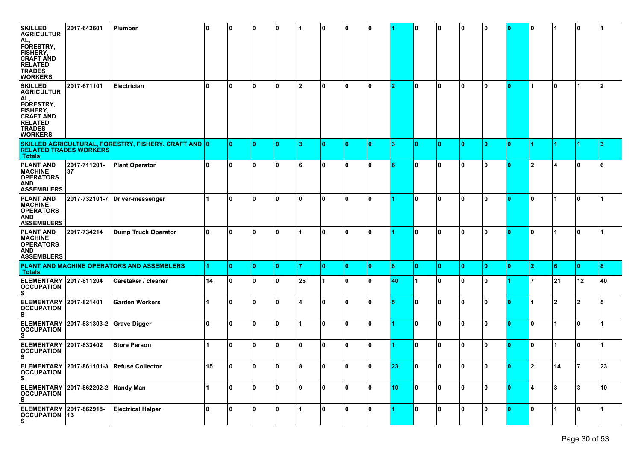| <b>SKILLED</b><br><b>AGRICULTUR</b><br>AL,<br>FORESTRY,<br><b>FISHERY,</b><br><b>CRAFT AND</b><br><b>RELATED</b><br><b>TRADES</b>                              | 2017-642601             | Plumber                                              | ۱0 | 0            | 10           | 10  |    | 0            | 10       | 0  |    | 0              | 10           | 10  | 10  | 10           | 0            |    | 10 |                |
|----------------------------------------------------------------------------------------------------------------------------------------------------------------|-------------------------|------------------------------------------------------|----|--------------|--------------|-----|----|--------------|----------|----|----|----------------|--------------|-----|-----|--------------|--------------|----|----|----------------|
| <b>WORKERS</b><br><b>SKILLED</b><br><b>AGRICULTUR</b><br>AL.<br>FORESTRY,<br>FISHERY,<br><b>CRAFT AND</b><br><b>RELATED</b><br><b>TRADES</b><br><b>WORKERS</b> | 2017-671101             | Electrician                                          | 10 | 0            | 10           | 0   | 12 | 0            | ١o       | ۱0 | 12 | 0              | ۱o           | 10  | 10  | 10.          |              | 10 |    | $\overline{2}$ |
| <b>RELATED TRADES WORKERS</b><br><b>Totals</b>                                                                                                                 |                         | SKILLED AGRICULTURAL, FORESTRY, FISHERY, CRAFT AND 0 |    | $\mathbf{0}$ | 10           | n   | 13 | $\mathbf{0}$ | 10       | n  | 13 | $\mathbf{0}$   | $\mathbf{0}$ | ۱0  | 10  | 0            |              |    |    | 3              |
| <b>PLANT AND</b><br><b>MACHINE</b><br><b>OPERATORS</b><br>AND<br><b>ASSEMBLERS</b>                                                                             | 2017-711201-<br>37      | <b>Plant Operator</b>                                | ١o | $\mathbf{0}$ | 10           | 10  | 6  | 0            | ١o       | ۱0 |    | 0              | ١o           | 10  | 0 ا | ۱O           | $\mathbf{2}$ |    | ۱0 | 6              |
| <b>PLANT AND</b><br><b>MACHINE</b><br><b>OPERATORS</b><br><b>AND</b><br><b>ASSEMBLERS</b>                                                                      |                         | 2017-732101-7 Driver-messenger                       |    | 0            | 10           | 0   | 10 | 0            | 10       | 0  |    | 0              | 0            | 10  | 10  | 0            | 0            |    | ۱0 |                |
| <b>PLANT AND</b><br><b>MACHINE</b><br><b>OPERATORS</b><br><b>AND</b><br><b>ASSEMBLERS</b>                                                                      | 2017-734214             | <b>Dump Truck Operator</b>                           | 10 | $\mathbf{0}$ | 0            | 0   |    | 0            | 10       | 0  |    | 0              | 0            | 0   | 10  | 0            | $\mathbf{0}$ |    | 10 |                |
| <b>Totals</b>                                                                                                                                                  |                         | PLANT AND MACHINE OPERATORS AND ASSEMBLERS           |    | $\mathbf{0}$ | ۱o           | ۱٥. | 17 | 0            | ١o       | ۱٥ | 8  | $\overline{0}$ | l 0          | ۱0. | ۱0  | $\mathbf{0}$ | 12.          | 16 | ١o | 8              |
| <b>ELEMENTARY</b><br><b>OCCUPATION</b><br>s                                                                                                                    | 2017-811204             | Caretaker / cleaner                                  | 14 | $\mathbf 0$  | l 0          | 10  | 25 |              | l 0      | 10 | 40 | 1              | l 0          | 10  | 10  |              | 7            | 21 | 12 | 40             |
| <b>ELEMENTARY</b><br><b>OCCUPATION</b><br>s                                                                                                                    | 2017-821401             | <b>Garden Workers</b>                                |    | $\mathbf{0}$ | 10           | 0   | M  | 0            | ۱o       | ۱0 |    | 0              | 10           | 0   | 10  | 0            | 1            | 12 | 2  | 5              |
| <b>ELEMENTARY</b><br><b>OCCUPATION</b><br>s                                                                                                                    | 2017-831303-2           | <b>Grave Digger</b>                                  | 10 | 0            | $\mathbf{0}$ | 0   |    | 0            | 10       | 0  |    | 0              | $\mathbf{0}$ | 0   | 10  | 0            | 0            |    | 10 |                |
| <b>ELEMENTARY</b><br><b>OCCUPATION</b><br>s                                                                                                                    | 2017-833402             | <b>Store Person</b>                                  |    | 0            | 10           | 10  | 10 | 0            | l 0      | 0  |    | 0              | 10           | 10  | 10  | 0            | 0            |    | 10 |                |
| <b>OCCUPATION</b><br>s                                                                                                                                         |                         | ELEMENTARY 2017-861101-3 Refuse Collector            | 15 | 10           | 10           | 10  | 8  | 10           | 10       | 10 | 23 | 10             | 10           | 10  | 10  | 10.          | 2            | 14 | 17 | 23             |
| <b>ELEMENTARY</b><br><b>OCCUPATION</b><br>S                                                                                                                    | 2017-862202-2 Handy Man |                                                      |    | $\mathbf 0$  | 10           | 0 I | 8  | 0            | l 0      | 10 | 10 | 0              | 10           | 0 I | 10  | 10           | 4            | 13 | 13 | 10             |
| ELEMENTARY 2017-862918-<br><b>OCCUPATION</b> 13<br>S                                                                                                           |                         | <b>Electrical Helper</b>                             | 0  | $\mathbf 0$  | 0            | 0   |    | 0            | <b>0</b> | 10 |    | 0              | 0            | 10  | 10  | 10           | 0            |    | 10 | 1              |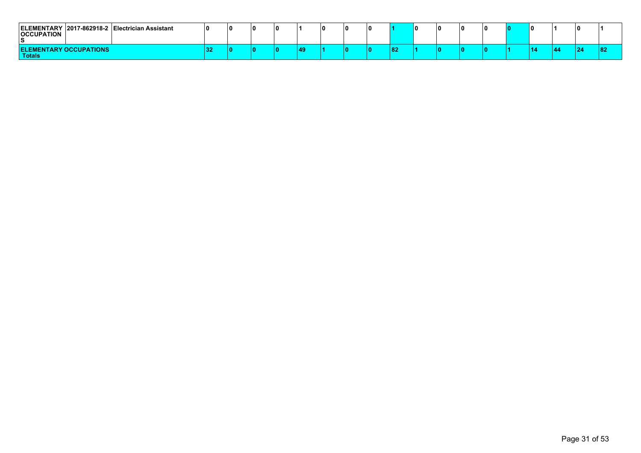| ELEMENTARY 2017-862918-2 Electrician Assistant<br><b>OCCUPATION</b> |     | 10 |  |    |  |    | I O | ıо | ΙOΠ | 10 |    |  |  |
|---------------------------------------------------------------------|-----|----|--|----|--|----|-----|----|-----|----|----|--|--|
| <b>ELEMENTARY OCCUPATIONS</b><br><b>Totals</b>                      | -24 | m  |  | 49 |  | 82 |     | ιn | n   | ۱n | 14 |  |  |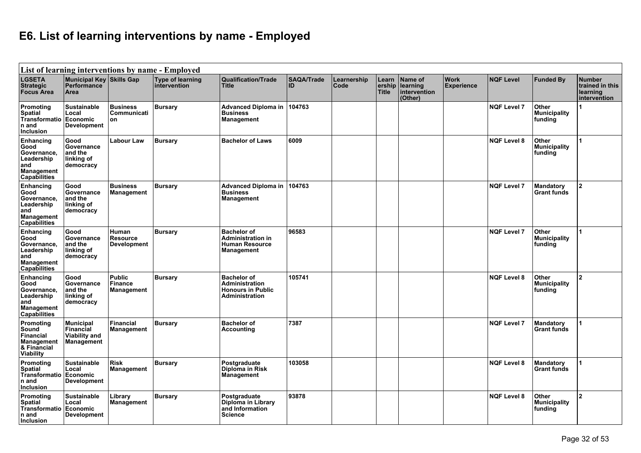## **E6. List of learning interventions by name - Employed**

|                                                                                                   |                                                                     |                                                | List of learning interventions by name - Employed |                                                                                           |                         |                     |                                 |                                                |                                  |                    |                                         |                                                              |
|---------------------------------------------------------------------------------------------------|---------------------------------------------------------------------|------------------------------------------------|---------------------------------------------------|-------------------------------------------------------------------------------------------|-------------------------|---------------------|---------------------------------|------------------------------------------------|----------------------------------|--------------------|-----------------------------------------|--------------------------------------------------------------|
| <b>LGSETA</b><br><b>Strategic</b><br><b>Focus Area</b>                                            | Municipal Key Skills Gap<br><b>Performance</b><br>Area              |                                                | Type of learning<br>intervention                  | <b>Qualification/Trade</b><br><b>Title</b>                                                | <b>SAQA/Trade</b><br>ID | Learnership<br>Code | Learn<br>ership<br><b>Title</b> | Name of<br>learning<br>intervention<br>(Other) | <b>Work</b><br><b>Experience</b> | <b>NQF Level</b>   | <b>Funded By</b>                        | <b>Number</b><br>trained in this<br>learning<br>intervention |
| Promoting<br><b>Spatial</b><br>Transformatio<br>n and<br><b>Inclusion</b>                         | <b>Sustainable</b><br>Local<br>Economic<br><b>Development</b>       | <b>Business</b><br>Communicati<br>on           | <b>Bursary</b>                                    | <b>Advanced Diploma in</b><br><b>Business</b><br>Management                               | 104763                  |                     |                                 |                                                |                                  | <b>NQF Level 7</b> | Other<br><b>Municipality</b><br>funding |                                                              |
| Enhancing<br>Good<br>Governance,<br>Leadership<br>and<br><b>Management</b><br>Capabilities        | Good<br>Governance<br>and the<br>linking of<br>democracy            | <b>Labour Law</b>                              | <b>Bursary</b>                                    | <b>Bachelor of Laws</b>                                                                   | 6009                    |                     |                                 |                                                |                                  | <b>NQF Level 8</b> | Other<br><b>Municipality</b><br>funding |                                                              |
| Enhancing<br>Good<br>Governance,<br>Leadership<br>and<br><b>Management</b><br><b>Capabilities</b> | Good<br>Governance<br>and the<br>linking of<br>democracy            | <b>Business</b><br>Management                  | <b>Bursary</b>                                    | <b>Advanced Diploma in</b><br><b>Business</b><br>Management                               | 104763                  |                     |                                 |                                                |                                  | <b>NQF Level 7</b> | <b>Mandatory</b><br><b>Grant funds</b>  | 2                                                            |
| Enhancing<br>Good<br>Governance.<br>Leadership<br>and<br><b>Management</b><br><b>Capabilities</b> | Good<br>Governance<br>and the<br>linking of<br>democracy            | Human<br><b>Resource</b><br><b>Development</b> | <b>Bursary</b>                                    | <b>Bachelor of</b><br><b>Administration in</b><br><b>Human Resource</b><br>Management     | 96583                   |                     |                                 |                                                |                                  | <b>NQF Level 7</b> | Other<br><b>Municipality</b><br>funding |                                                              |
| Enhancing<br>Good<br>Governance,<br>Leadership<br>and<br><b>Management</b><br><b>Capabilities</b> | Good<br>Governance<br>and the<br>linking of<br>democracy            | Public<br><b>Finance</b><br>Management         | <b>Bursary</b>                                    | <b>Bachelor of</b><br><b>Administration</b><br><b>Honours in Public</b><br>Administration | 105741                  |                     |                                 |                                                |                                  | <b>NQF Level 8</b> | Other<br><b>Municipality</b><br>funding | $\overline{2}$                                               |
| Promoting<br>Sound<br>Financial<br><b>Management</b><br>& Financial<br>Viability                  | <b>Municipal</b><br>Financial<br><b>Viability and</b><br>Management | <b>Financial</b><br>Management                 | <b>Bursary</b>                                    | <b>Bachelor of</b><br><b>Accounting</b>                                                   | 7387                    |                     |                                 |                                                |                                  | <b>NQF Level 7</b> | <b>Mandatory</b><br><b>Grant funds</b>  |                                                              |
| Promoting<br><b>Spatial</b><br><b>Transformatio</b><br>n and<br><b>Inclusion</b>                  | <b>Sustainable</b><br>Local<br>Economic<br><b>Development</b>       | <b>Risk</b><br>Management                      | <b>Bursary</b>                                    | Postgraduate<br>Diploma in Risk<br>Management                                             | 103058                  |                     |                                 |                                                |                                  | <b>NQF Level 8</b> | Mandatory<br><b>Grant funds</b>         |                                                              |
| Promoting<br><b>Spatial</b><br>Transformatio<br>n and<br><b>Inclusion</b>                         | Sustainable<br>Local<br>Economic<br><b>Development</b>              | Library<br>Management                          | <b>Bursary</b>                                    | Postgraduate<br>Diploma in Library<br>and Information<br><b>Science</b>                   | 93878                   |                     |                                 |                                                |                                  | <b>NQF Level 8</b> | Other<br><b>Municipality</b><br>funding | $\overline{\mathbf{2}}$                                      |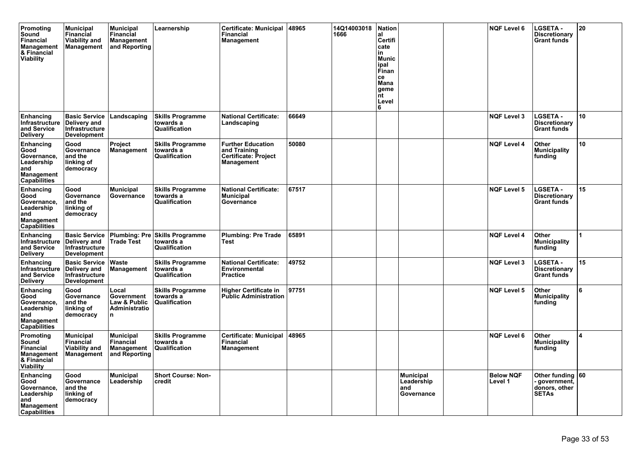| Promoting<br>Sound<br><b>Financial</b><br><b>Management</b><br>& Financial<br>Viability        | <b>Municipal</b><br>Financial<br><b>Viability and</b><br>Management                 | <b>Municipal</b><br><b>Financial</b><br>Management<br>and Reporting | Learnership                                           | <b>Certificate: Municipal</b><br><b>Financial</b><br>Management                       | 48965 | 14Q14003018<br>1666 | <b>Nation</b><br>al<br>Certifi<br>cate<br>in<br><b>Munic</b><br>ipal<br>Finan<br>ce<br>Mana<br>geme<br>nt<br>Level<br>6 |                                                      | <b>NQF Level 6</b>          | <b>LGSETA -</b><br><b>Discretionary</b><br><b>Grant funds</b>     | 20 |
|------------------------------------------------------------------------------------------------|-------------------------------------------------------------------------------------|---------------------------------------------------------------------|-------------------------------------------------------|---------------------------------------------------------------------------------------|-------|---------------------|-------------------------------------------------------------------------------------------------------------------------|------------------------------------------------------|-----------------------------|-------------------------------------------------------------------|----|
| Enhancing<br>Infrastructure<br>and Service<br><b>Delivery</b>                                  | <b>Basic Service</b><br><b>Delivery and</b><br>Infrastructure<br><b>Development</b> | Landscaping                                                         | <b>Skills Programme</b><br>towards a<br>Qualification | <b>National Certificate:</b><br>Landscaping                                           | 66649 |                     |                                                                                                                         |                                                      | <b>NQF Level 3</b>          | <b>LGSETA -</b><br><b>Discretionary</b><br><b>Grant funds</b>     | 10 |
| Enhancing<br>Good<br>Governance,<br>Leadership<br>and<br><b>Management</b><br>Capabilities     | Good<br>Governance<br>and the<br>linking of<br>democracy                            | <b>Project</b><br>Management                                        | <b>Skills Programme</b><br>towards a<br>Qualification | <b>Further Education</b><br>and Training<br><b>Certificate: Project</b><br>Management | 50080 |                     |                                                                                                                         |                                                      | <b>NQF Level 4</b>          | Other<br><b>Municipality</b><br>funding                           | 10 |
| Enhancing<br>Good<br>Governance,<br>Leadership<br>and<br>Management<br>Capabilities            | Good<br>Governance<br>and the<br>linking of<br>democracy                            | <b>Municipal</b><br>Governance                                      | <b>Skills Programme</b><br>towards a<br>Qualification | <b>National Certificate:</b><br><b>Municipal</b><br>Governance                        | 67517 |                     |                                                                                                                         |                                                      | <b>NQF Level 5</b>          | <b>LGSETA -</b><br><b>Discretionary</b><br><b>Grant funds</b>     | 15 |
| Enhancing<br>Infrastructure<br>and Service<br><b>Delivery</b>                                  | <b>Basic Service</b><br>Delivery and<br>Infrastructure<br><b>Development</b>        | <b>Plumbing: Pre</b><br><b>Trade Test</b>                           | <b>Skills Programme</b><br>towards a<br>Qualification | <b>Plumbing: Pre Trade</b><br>Test                                                    | 65891 |                     |                                                                                                                         |                                                      | <b>NQF Level 4</b>          | Other<br><b>Municipality</b><br>funding                           | 1  |
| Enhancing<br>Infrastructure<br>and Service<br><b>Delivery</b>                                  | <b>Basic Service</b><br>Delivery and<br>Infrastructure<br><b>Development</b>        | Waste<br><b>Management</b>                                          | <b>Skills Programme</b><br>towards a<br>Qualification | <b>National Certificate:</b><br><b>Environmental</b><br><b>Practice</b>               | 49752 |                     |                                                                                                                         |                                                      | <b>NQF Level 3</b>          | <b>LGSETA -</b><br><b>Discretionary</b><br><b>Grant funds</b>     | 15 |
| Enhancing<br>Good<br>Governance,<br>Leadership<br>and<br><b>Management</b><br>Capabilities     | Good<br>Governance<br>and the<br>linking of<br>democracy                            | Local<br>Government<br>Law & Public<br>Administratio<br>l n         | <b>Skills Programme</b><br>towards a<br>Qualification | <b>Higher Certificate in</b><br><b>Public Administration</b>                          | 97751 |                     |                                                                                                                         |                                                      | <b>NQF Level 5</b>          | Other<br><b>Municipality</b><br>funding                           | 6  |
| Promoting<br>Sound<br><b>Financial</b><br><b>Management</b><br>& Financial<br><b>Viability</b> | <b>Municipal</b><br><b>Financial</b><br><b>Viability and</b><br><b>Management</b>   | Municipal<br><b>Financial</b><br>Management<br>and Reporting        | <b>Skills Programme</b><br>towards a<br>Qualification | <b>Certificate: Municipal</b><br>Financial<br>Management                              | 48965 |                     |                                                                                                                         |                                                      | <b>NQF Level 6</b>          | Other<br><b>Municipality</b><br>funding                           |    |
| Enhancing<br>Good<br>Governance,<br>Leadership<br>and<br>Management<br><b>Capabilities</b>     | Good<br>Governance<br>and the<br>linking of<br>democracy                            | <b>Municipal</b><br>Leadership                                      | <b>Short Course: Non-</b><br>credit                   |                                                                                       |       |                     |                                                                                                                         | <b>Municipal</b><br>Leadership<br>land<br>Governance | <b>Below NQF</b><br>Level 1 | Other funding ∣60<br>government,<br>donors, other<br><b>SETAs</b> |    |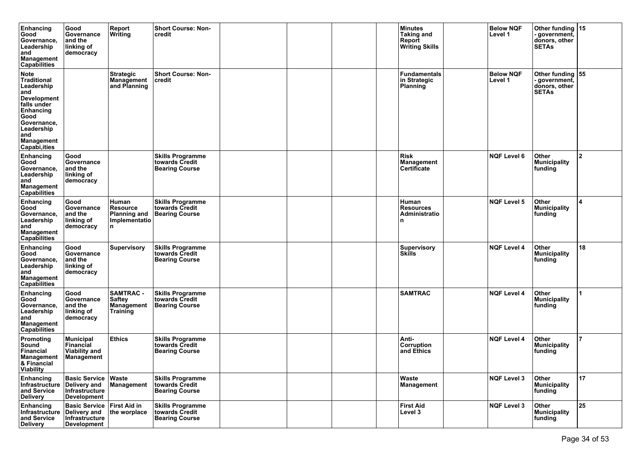| Enhancing<br>Good<br>Governance,<br>Leadership<br>and<br><b>Management</b><br>Capabilities                                                                                                 | Good<br>Governance<br>and the<br>linking of<br>democracy                     | Report<br>Writing                                                       | <b>Short Course: Non-</b><br>credit                                |  | <b>Minutes</b><br>Taking and<br>Report<br><b>Writing Skills</b> | <b>Below NQF</b><br>Level 1 | Other funding 15<br>government,<br>donors, other<br><b>SETAs</b>     |                |
|--------------------------------------------------------------------------------------------------------------------------------------------------------------------------------------------|------------------------------------------------------------------------------|-------------------------------------------------------------------------|--------------------------------------------------------------------|--|-----------------------------------------------------------------|-----------------------------|----------------------------------------------------------------------|----------------|
| <b>Note</b><br><b>Traditional</b><br>Leadership<br>and<br><b>Development</b><br>falls under<br>Enhancing<br>Good<br>Governance,<br>Leadership<br>and<br><b>Management</b><br>Capabi, ities |                                                                              | <b>Strategic</b><br>Management<br>and Planning                          | <b>Short Course: Non-</b><br>credit                                |  | <b>Fundamentals</b><br>in Strategic<br>Planning                 | <b>Below NQF</b><br>Level 1 | Other funding $ 55 $<br>government,<br>donors, other<br><b>SETAs</b> |                |
| Enhancing<br>Good<br>Governance,<br>Leadership<br>and<br><b>Management</b><br>Capabilities                                                                                                 | Good<br>Governance<br>and the<br>linking of<br>democracy                     |                                                                         | <b>Skills Programme</b><br>towards Credit<br><b>Bearing Course</b> |  | <b>Risk</b><br>Management<br>Certificate                        | <b>NQF Level 6</b>          | Other<br><b>Municipality</b><br>funding                              | $\overline{2}$ |
| Enhancing<br>Good<br>Governance,<br>Leadership<br>and<br><b>Management</b><br>Capabilities                                                                                                 | Good<br>Governance<br>and the<br>linking of<br>democracy                     | Human<br><b>Resource</b><br><b>Planning and</b><br>Implementatio<br>In. | <b>Skills Programme</b><br>towards Credit<br><b>Bearing Course</b> |  | Human<br><b>Resources</b><br>Administratio                      | <b>NQF Level 5</b>          | Other<br><b>Municipality</b><br>funding                              | 4              |
| Enhancing<br>Good<br>Governance,<br>Leadership<br>and<br>Management<br>Capabilities                                                                                                        | Good<br>Governance<br>and the<br>linking of<br>democracy                     | <b>Supervisory</b>                                                      | <b>Skills Programme</b><br>towards Credit<br><b>Bearing Course</b> |  | Supervisory<br><b>Skills</b>                                    | <b>NQF Level 4</b>          | Other<br><b>Municipality</b><br>funding                              | 18             |
| Enhancing<br>Good<br>Governance,<br>Leadership<br>and<br><b>Management</b><br>Capabilities                                                                                                 | Good<br>Governance<br>and the<br>linking of<br>democracy                     | <b>SAMTRAC -</b><br>Saftey<br><b>Management</b><br>Training             | <b>Skills Programme</b><br>towards Credit<br><b>Bearing Course</b> |  | <b>SAMTRAC</b>                                                  | <b>NQF Level 4</b>          | Other<br><b>Municipality</b><br>funding                              |                |
| Promoting<br>Sound<br><b>Financial</b><br>Management<br>& Financial<br><b>Viability</b>                                                                                                    | <b>Municipal</b><br>Financial<br><b>Viability and</b><br>Management          | <b>Ethics</b>                                                           | <b>Skills Programme</b><br>towards Credit<br>Bearing Course        |  | Anti-<br><b>Corruption</b><br>and Ethics                        | <b>NQF Level 4</b>          | Other<br>Municipality<br>funding                                     | $\overline{7}$ |
| Enhancing<br>Infrastructure<br>and Service<br><b>Delivery</b>                                                                                                                              | <b>Basic Service</b><br>Delivery and<br>Infrastructure<br><b>Development</b> | Waste<br>Management                                                     | <b>Skills Programme</b><br>towards Credit<br><b>Bearing Course</b> |  | Waste<br>Management                                             | <b>NQF Level 3</b>          | Other<br>Municipality<br>funding                                     | 17             |
| Enhancing<br>Infrastructure<br>and Service<br><b>Delivery</b>                                                                                                                              | Basic Service First Aid in<br>Delivery and<br>Infrastructure<br>Development  | the worplace                                                            | <b>Skills Programme</b><br>towards Credit<br><b>Bearing Course</b> |  | <b>First Aid</b><br>Level 3                                     | <b>NQF Level 3</b>          | Other<br>Municipality<br>funding                                     | 25             |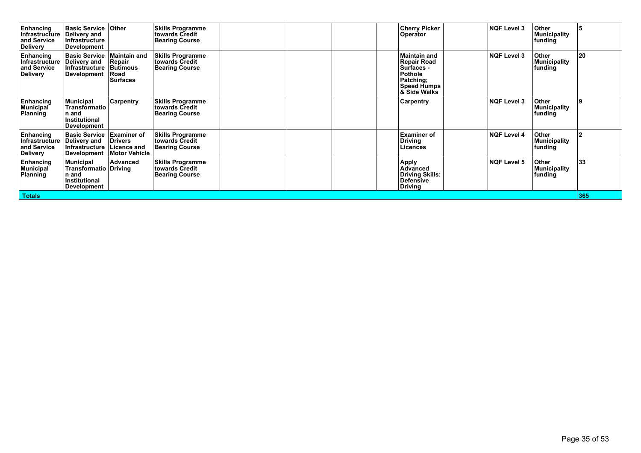| <b>Enhancing</b><br><b>Infrastructure</b><br>and Service<br><b>Delivery</b> | <b>Basic Service</b><br>Delivery and<br><b>Infrastructure</b><br>Development                     | <b>Other</b>                                                          | <b>Skills Programme</b><br>towards Credit<br><b>Bearing Course</b> |  |  | <b>Cherry Picker</b><br><b>Operator</b>                                                                                          | <b>NQF Level 3</b> | <b>Other</b><br><b>Municipality</b><br>funding | 15  |
|-----------------------------------------------------------------------------|--------------------------------------------------------------------------------------------------|-----------------------------------------------------------------------|--------------------------------------------------------------------|--|--|----------------------------------------------------------------------------------------------------------------------------------|--------------------|------------------------------------------------|-----|
| Enhancing<br><b>Infrastructure</b><br>and Service<br><b>Delivery</b>        | <b>Basic Service</b><br>Delivery and<br>Infrastructure<br>Development                            | <b>Maintain and</b><br>Repair<br><b>Butimous</b><br>Road<br>Surfaces  | <b>Skills Programme</b><br>towards Credit<br><b>Bearing Course</b> |  |  | <b>Maintain and</b><br><b>Repair Road</b><br>Surfaces -<br>Pothole<br>Patching;<br><b>Speed Humps</b><br><b>&amp; Side Walks</b> | <b>NQF Level 3</b> | Other<br><b>Municipality</b><br>funding        | 20  |
| Enhancing<br><b>Municipal</b><br>Planning                                   | <b>Municipal</b><br>Transformatio<br>n and<br><b>Institutional</b><br><b>Development</b>         | Carpentry                                                             | <b>Skills Programme</b><br>towards Credit<br><b>Bearing Course</b> |  |  | ∣Carpentry                                                                                                                       | <b>NQF Level 3</b> | Other<br><b>Municipality</b><br>funding        | و ا |
| Enhancing<br>Infrastructure<br>and Service<br>Delivery                      | <b>Basic Service</b><br>Delivery and<br>Infrastructure<br>Development                            | <b>Examiner of</b><br><b>Drivers</b><br>∣Licence and<br>Motor Vehicle | <b>Skills Programme</b><br>towards Credit<br><b>Bearing Course</b> |  |  | <b>Examiner of</b><br><b>Driving</b><br>Licences                                                                                 | <b>NQF Level 4</b> | Other<br><b>Municipality</b><br>funding        | 12  |
| Enhancing<br>Municipal<br>Planning                                          | <b>Municipal</b><br>Transformatio Driving<br>n and<br><b>Institutional</b><br><b>Development</b> | Advanced                                                              | <b>Skills Programme</b><br>towards Credit<br><b>Bearing Course</b> |  |  | <b>Apply</b><br>Advanced<br><b>Driving Skills:</b><br> Defensive<br><b>Driving</b>                                               | <b>NQF Level 5</b> | Other<br><b>Municipality</b><br>funding        | 33  |
| <b>Totals</b>                                                               |                                                                                                  |                                                                       |                                                                    |  |  |                                                                                                                                  |                    |                                                | 365 |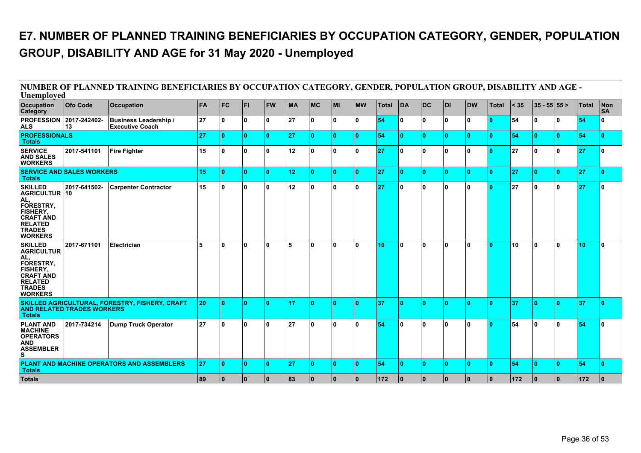### **E7. NUMBER OF PLANNED TRAINING BENEFICIARIES BY OCCUPATION CATEGORY, GENDER, POPULATION GROUP, DISABILITY AND AGE for 31 May 2020 - Unemployed**

| Unemployed                                                                                                                                             |                                   | NUMBER OF PLANNED TRAINING BENEFICIARIES BY OCCUPATION CATEGORY, GENDER, POPULATION GROUP, DISABILITY AND AGE - |           |            |              |           |           |            |              |              |              |              |              |              |                         |       |        |                  |    |              |                  |
|--------------------------------------------------------------------------------------------------------------------------------------------------------|-----------------------------------|-----------------------------------------------------------------------------------------------------------------|-----------|------------|--------------|-----------|-----------|------------|--------------|--------------|--------------|--------------|--------------|--------------|-------------------------|-------|--------|------------------|----|--------------|------------------|
| <b>Occupation</b><br>Category                                                                                                                          | <b>Ofo Code</b>                   | <b>Occupation</b>                                                                                               | <b>FA</b> | <b>IFC</b> | lFL.         | <b>FW</b> | <b>MA</b> | <b>IMC</b> | <b>MI</b>    | <b>IMW</b>   | <b>Total</b> | <b>DA</b>    | <b>DC</b>    | l DI         | <b>DW</b>               | Total | $<$ 35 | $35 - 55$ 55 $>$ |    | <b>Total</b> | Non<br><b>SA</b> |
| <b>PROFESSION 2017-242402-</b><br><b>ALS</b>                                                                                                           | 13                                | <b>Business Leadership /</b><br><b>Executive Coach</b>                                                          | 27        | ١o         | ۱o           | 0 ا       | 27        | ١o         | ١o           | $\mathbf{0}$ | 54           | 0            | 0            | $\mathbf{0}$ | 0                       | ۱n    | 54     | 0                | 0  | 54           | 0                |
| <b>PROFESSIONALS</b><br><b>Totals</b>                                                                                                                  |                                   |                                                                                                                 | 27        | ١o         | $\mathbf{0}$ | l 0       | 27        | ١o         | $\mathbf{0}$ | n            | 54           | n            | $\mathbf{0}$ | $\Omega$     | 0                       | ١O    | 54     | $\mathbf{0}$     | ۱O | 54           | $\mathbf{0}$     |
| <b>SERVICE</b><br><b>AND SALES</b><br><b>WORKERS</b>                                                                                                   | 2017-541101                       | Fire Fighter                                                                                                    | 15        | ١o         | ١o           | 0 ا       | 12        | ١o         | ١o           | ۱o           | 27           | n.           | 0            | $\mathbf{0}$ | 0                       | ۱n.   | 27     | ۱٥               | ۱o | 27           | $\mathbf{0}$     |
| <b>Totals</b>                                                                                                                                          | <b>SERVICE AND SALES WORKERS</b>  |                                                                                                                 | 15        | ١o         | $\mathbf{0}$ | ١o        | 12        | ١o         | $\mathbf{0}$ | n            | 27           | n            | $\mathbf{0}$ | $\Omega$     | 0                       | ١o    | 27     | $\mathbf{0}$     | ۱O | 27           | $\mathbf{0}$     |
| <b>SKILLED</b><br><b>AGRICULTUR 10</b><br>AL,<br>FORESTRY,<br><b>FISHERY,</b><br><b>CRAFT AND</b><br><b>RELATED</b><br><b>TRADES</b><br><b>WORKERS</b> | 2017-641502-                      | <b>Carpenter Contractor</b>                                                                                     | 15        | ١o         | $\mathbf{0}$ | 0 ا       | 12        | ١o         | $\mathbf{0}$ | $\mathbf{0}$ | 27           | n.           | 0            | $\mathbf{0}$ | 0                       |       | 27     | 0                | ١o | 27           | $\Omega$         |
| <b>SKILLED</b><br><b>AGRICULTUR</b><br>AL,<br>FORESTRY,<br><b>FISHERY,</b><br><b>CRAFT AND</b><br><b>RELATED</b><br><b>TRADES</b><br><b>WORKERS</b>    | 2017-671101                       | Electrician                                                                                                     | 5         | ١o         | $\mathbf{0}$ | 0 ا       | 5         | ١o         | $\mathbf{0}$ | $\Omega$     | 10           | <sup>0</sup> | $\mathbf{0}$ | 0            | 0                       | ۱n.   | 10     | ۱٥               | ۱o | 10           | I٥               |
| <b>Totals</b>                                                                                                                                          | <b>AND RELATED TRADES WORKERS</b> | SKILLED AGRICULTURAL, FORESTRY, FISHERY, CRAFT                                                                  | 20        | ١o         | ۱o۰          | ١o        | 17        | Ι٥         | 0            | n            | 37           | n            | $\mathbf{0}$ | n            | n.                      | ١o    | 37     | ١٥               | ١O | 37           | $\mathbf{0}$     |
| <b>PLANT AND</b><br><b>MACHINE</b><br><b>OPERATORS</b><br><b>AND</b><br><b>ASSEMBLER</b><br>S                                                          | 2017-734214                       | <b>Dump Truck Operator</b>                                                                                      | 27        | ١o         | $\mathbf{0}$ | 0 ا       | 27        | ١o         | ۱n           | $\mathbf{0}$ | 54           | n            | $\mathbf{0}$ | n            | 0                       |       | 54     | 0                | ۱o | 54           | $\Omega$         |
| <b>Totals</b>                                                                                                                                          |                                   | PLANT AND MACHINE OPERATORS AND ASSEMBLERS                                                                      | 27        | ١o         | $\mathbf{0}$ | ١o        | 27        | Ι٥         | 0            | n            | 54           | n            | $\mathbf{0}$ | n            | n.                      | ١o    | 54     | ١o               | ۱n | 54           | ١o               |
| <b>Totals</b>                                                                                                                                          |                                   |                                                                                                                 | 89        | ١o         | $\mathbf{0}$ | l 0       | 83        | ١o         | $\mathbf{0}$ | 0 I          | 172          | 10           | $\mathbf{0}$ | $\mathbf{0}$ | $\overline{\mathbf{0}}$ | 10    | 172    | 10               | 10 | 172          | $\bf{0}$         |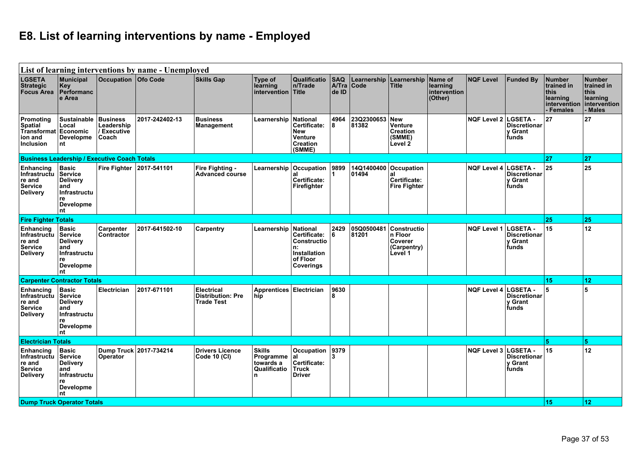## **E8. List of learning interventions by name - Employed**

| List of learning interventions by name - Unemployed<br><b>Occupation Ofo Code</b><br><b>Number</b> |                                                                                                                 |                                                     |                        |                                                             |                                                           |                                                                                                |                              |                                |                                                                       |                                                |                      |                                                            |                                                                              |                                                                   |
|----------------------------------------------------------------------------------------------------|-----------------------------------------------------------------------------------------------------------------|-----------------------------------------------------|------------------------|-------------------------------------------------------------|-----------------------------------------------------------|------------------------------------------------------------------------------------------------|------------------------------|--------------------------------|-----------------------------------------------------------------------|------------------------------------------------|----------------------|------------------------------------------------------------|------------------------------------------------------------------------------|-------------------------------------------------------------------|
| <b>LGSETA</b><br><b>Strategic</b><br><b>Focus Area</b>                                             | Municipal<br>Key<br>Performanc<br>e Area                                                                        |                                                     |                        | <b>Skills Gap</b>                                           | Type of<br>learning<br>intervention Title                 | <b>Qualificatio</b><br>n/Trade                                                                 | <b>SAQ</b><br>A/Tra<br>de ID | Learnership<br>Code            | Learnership<br><b>Title</b>                                           | Name of<br>learning<br>intervention<br>(Other) | <b>NQF Level</b>     | <b>Funded By</b>                                           | <b>Number</b><br>trained in<br>this<br>learning<br>intervention<br>- Females | trained in<br><b>Ithis</b><br>learning<br>intervention<br>- Males |
| Promoting<br>Spatial<br><b>Transformat</b><br>ion and<br><b>Inclusion</b>                          | Sustainable Business<br>Local<br>Economic<br>Developme<br>nt                                                    | Leadership<br>/ Executive<br>Coach                  | 2017-242402-13         | <b>Business</b><br>Management                               | Learnership                                               | National<br>Certificate:<br><b>New</b><br>Venture<br><b>Creation</b><br>(SMME)                 | 4964<br>8                    | 23Q2300653<br>81382            | New<br>Venture<br><b>Creation</b><br>(SMME)<br>Level 2                |                                                | <b>NQF Level 2</b>   | <b>LGSETA</b> -<br><b>Discretionar</b><br>v Grant<br>funds | 27                                                                           | 27                                                                |
|                                                                                                    |                                                                                                                 | <b>Business Leadership / Executive Coach Totals</b> |                        |                                                             |                                                           |                                                                                                |                              |                                |                                                                       |                                                |                      |                                                            | 27                                                                           | 27                                                                |
| <b>Enhancing</b><br>Infrastructu<br>re and<br><b>Service</b><br><b>Delivery</b>                    | Basic<br><b>Service</b><br><b>Delivery</b><br>and<br>Infrastructu<br>re<br><b>Developme</b><br>nt               | Fire Fighter 2017-541101                            |                        | <b>Fire Fighting -</b><br>Advanced course                   |                                                           | Learnership Occupation 9899<br>lal<br>Certificate:<br>Firefighter                              |                              | 14Q1400400 Occupation<br>01494 | al<br>Certificate:<br><b>Fire Fighter</b>                             |                                                | NQF Level 4 LGSETA - | <b>Discretionar</b><br>y Grant<br>funds                    | 25                                                                           | 25                                                                |
| <b>Fire Fighter Totals</b>                                                                         |                                                                                                                 |                                                     |                        |                                                             |                                                           |                                                                                                |                              |                                |                                                                       |                                                |                      |                                                            | 25                                                                           | 25                                                                |
| Enhancing<br>Infrastructu<br>re and<br><b>Service</b><br><b>Delivery</b>                           | <b>Basic</b><br>Service<br><b>Delivery</b><br>and<br>Infrastructu<br>re<br><b>Developme</b><br>nt               | <b>Carpenter</b><br>Contractor                      | 2017-641502-10         | <b>Carpentry</b>                                            | Learnership                                               | <b>National</b><br>Certificate:<br>Constructio<br>ln:<br>Installation<br>of Floor<br>Coverings | 2429<br>6                    | 05Q0500481<br>81201            | <b>Constructio</b><br>$ n$ Floor<br>Coverer<br>(Carpentry)<br>Level 1 |                                                | <b>NQF Level 1</b>   | <b>LGSETA -</b><br><b>Discretionar</b><br>v Grant<br>funds | 15                                                                           | 12                                                                |
| <b>Carpenter Contractor Totals</b>                                                                 |                                                                                                                 |                                                     |                        |                                                             |                                                           |                                                                                                |                              |                                |                                                                       |                                                |                      |                                                            | 15                                                                           | 12                                                                |
| Enhancing<br>Infrastructu<br>re and<br><b>Service</b><br><b>Delivery</b>                           | <b>Basic</b><br><b>Service</b><br><b>Delivery</b><br>and<br><b>Infrastructu</b><br>re<br><b>Developme</b><br>nt | Electrician                                         | 2017-671101            | <b>Electrical</b><br><b>Distribution: Pre</b><br>Trade Test | Apprentices Electrician<br>hip                            |                                                                                                | 9630                         |                                |                                                                       |                                                | <b>NQF Level 4</b>   | <b>LGSETA</b><br><b>Discretionar</b><br>y Grant<br>funds   | 5                                                                            | ا 5                                                               |
| <b>Electrician Totals</b>                                                                          |                                                                                                                 |                                                     |                        |                                                             |                                                           |                                                                                                |                              |                                |                                                                       |                                                |                      |                                                            | 5                                                                            | 5                                                                 |
| <b>Enhancing</b><br>Infrastructu<br>re and<br><b>Service</b><br><b>Delivery</b>                    | <b>Basic</b><br>Service<br><b>Delivery</b><br>and<br>Infrastructu<br>re<br><b>Developme</b><br>nt               | Operator                                            | Dump Truck 2017-734214 | <b>Drivers Licence</b><br><b>Code 10 (CI)</b>               | $ $ Skills<br>Programme<br>towards a<br>Qualificatio<br>n | <b>Occupation</b><br> al<br>Certificate:<br><b>Truck</b><br>Driver                             | 9379<br>3                    |                                |                                                                       |                                                | <b>NQF Level 3</b>   | LGSETA -<br><b>Discretionar</b><br>v Grant<br>funds        | 15                                                                           | 12                                                                |
| <b>Dump Truck Operator Totals</b>                                                                  |                                                                                                                 |                                                     |                        |                                                             |                                                           |                                                                                                |                              |                                |                                                                       |                                                |                      |                                                            | 15                                                                           | 12                                                                |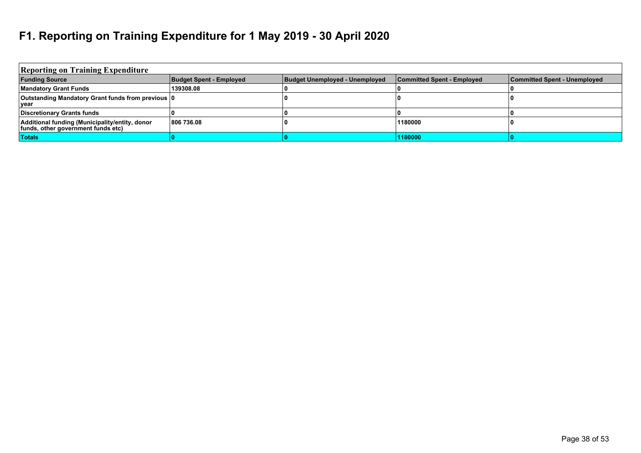#### **F1. Reporting on Training Expenditure for 1 May 2019 - 30 April 2020**

| <b>Reporting on Training Expenditure</b>                                             |                                |                                |                            |                              |
|--------------------------------------------------------------------------------------|--------------------------------|--------------------------------|----------------------------|------------------------------|
| <b>Funding Source</b>                                                                | <b>Budget Spent - Employed</b> | Budget Unemployed - Unemployed | Committed Spent - Employed | Committed Spent - Unemployed |
| <b>Mandatory Grant Funds</b>                                                         | 139308.08                      |                                |                            |                              |
| Outstanding Mandatory Grant funds from previous 0<br>vear                            |                                |                                |                            |                              |
| Discretionary Grants funds                                                           |                                |                                |                            |                              |
| Additional funding (Municipality/entity, donor<br>funds, other government funds etc) | 806 736.08                     |                                | 1180000                    |                              |
| <b>Totals</b>                                                                        |                                |                                | 1180000                    |                              |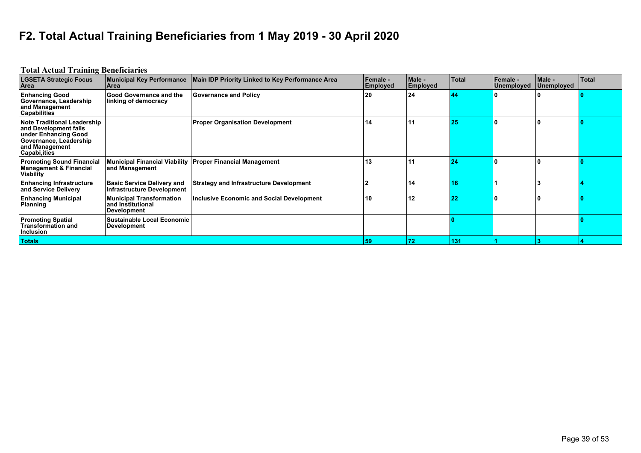# **F2. Total Actual Training Beneficiaries from 1 May 2019 - 30 April 2020**

| <b>Total Actual Training Beneficiaries</b>                                                                                                       |                                                                            |                                                             |                             |                    |       |                               |                      |              |
|--------------------------------------------------------------------------------------------------------------------------------------------------|----------------------------------------------------------------------------|-------------------------------------------------------------|-----------------------------|--------------------|-------|-------------------------------|----------------------|--------------|
| <b>LGSETA Strategic Focus</b><br>Area                                                                                                            | <b>Municipal Key Performance</b><br>Area                                   | Main IDP Priority Linked to Key Performance Area            | Female -<br><b>Employed</b> | Male -<br>Employed | Total | <b>Female -</b><br>Unemployed | Male -<br>Unemployed | <b>Total</b> |
| <b>Enhancing Good</b><br>Governance, Leadership<br>and Management<br><b>Capabilities</b>                                                         | <b>Good Governance and the</b><br>linking of democracy                     | <b>Governance and Policy</b>                                | 20                          | 24                 | 44    |                               |                      |              |
| <b>Note Traditional Leadership</b><br>and Development falls<br>under Enhancing Good<br>Governance, Leadership<br>and Management<br>Capabi, ities |                                                                            | <b>Proper Organisation Development</b>                      | 14                          | l 11               | 25    |                               | ١O                   |              |
| <b>Promoting Sound Financial</b><br>Management & Financial<br>Viability                                                                          | and Management                                                             | Municipal Financial Viability   Proper Financial Management | 13                          | 11                 | 24    |                               | ١O                   |              |
| <b>Enhancing Infrastructure</b><br>and Service Delivery                                                                                          | <b>Basic Service Delivery and</b><br><b>Infrastructure Development</b>     | <b>Strategy and Infrastructure Development</b>              |                             | 14                 | 16    |                               |                      |              |
| <b>Enhancing Municipal</b><br>Planning                                                                                                           | <b>Municipal Transformation</b><br>and Institutional<br><b>Development</b> | <b>Inclusive Economic and Social Development</b>            | 10                          | 12                 | 22    |                               | ١O                   |              |
| <b>Promoting Spatial</b><br><b>Transformation and</b><br>Inclusion                                                                               | <b>Sustainable Local Economic</b><br><b>Development</b>                    |                                                             |                             |                    |       |                               |                      |              |
| <b>Totals</b>                                                                                                                                    |                                                                            |                                                             | 59                          | $ 72\rangle$       | 131   |                               |                      |              |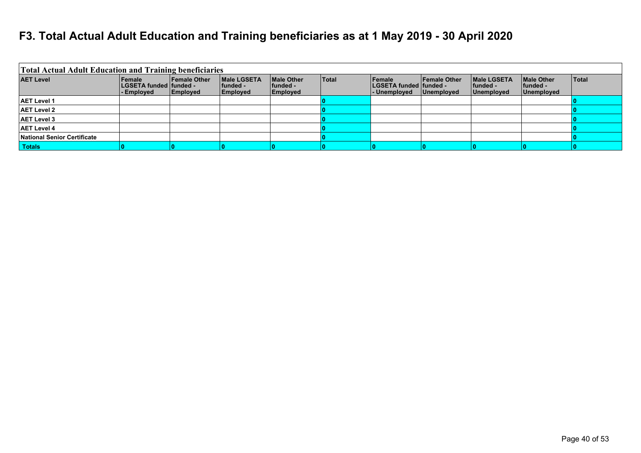#### **F3. Total Actual Adult Education and Training beneficiaries as at 1 May 2019 - 30 April 2020**

| <b>Total Actual Adult Education and Training beneficiaries</b> |                                                            |                                        |                                                    |                                             |       |                                                    |                                   |                                                       |                                                    |              |
|----------------------------------------------------------------|------------------------------------------------------------|----------------------------------------|----------------------------------------------------|---------------------------------------------|-------|----------------------------------------------------|-----------------------------------|-------------------------------------------------------|----------------------------------------------------|--------------|
| <b>AET Level</b>                                               | Female<br><b>LGSETA funded funded -</b><br><b>Employed</b> | <b>Female Other</b><br><b>Employed</b> | <b>Male LGSETA</b><br><b>Ifunded -</b><br>Employed | <b>IMale Other</b><br>lfunded -<br>Employed | Total | Female<br>LGSETA funded   funded -<br>- Unemployed | <b>Female Other</b><br>Unemployed | <b>IMale LGSETA</b><br><b>Ifunded -</b><br>Unemployed | <b>Male Other</b><br><b>funded -</b><br>Unemployed | <b>Total</b> |
| <b>AET Level 1</b>                                             |                                                            |                                        |                                                    |                                             |       |                                                    |                                   |                                                       |                                                    |              |
| <b>AET Level 2</b>                                             |                                                            |                                        |                                                    |                                             |       |                                                    |                                   |                                                       |                                                    |              |
| <b>AET Level 3</b>                                             |                                                            |                                        |                                                    |                                             |       |                                                    |                                   |                                                       |                                                    |              |
| <b>AET Level 4</b>                                             |                                                            |                                        |                                                    |                                             |       |                                                    |                                   |                                                       |                                                    |              |
| National Senior Certificate                                    |                                                            |                                        |                                                    |                                             |       |                                                    |                                   |                                                       |                                                    |              |
| <b>Totals</b>                                                  |                                                            |                                        |                                                    |                                             |       |                                                    |                                   |                                                       |                                                    |              |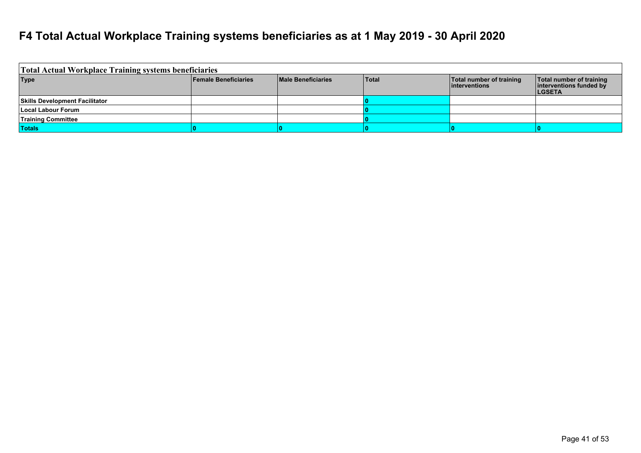#### **F4 Total Actual Workplace Training systems beneficiaries as at 1 May 2019 - 30 April 2020**

| Total Actual Workplace Training systems beneficiaries |                             |                           |              |                                               |                                                                      |
|-------------------------------------------------------|-----------------------------|---------------------------|--------------|-----------------------------------------------|----------------------------------------------------------------------|
| <b>Type</b>                                           | <b>Female Beneficiaries</b> | <b>Male Beneficiaries</b> | <b>Total</b> | Total number of training<br>$ $ interventions | Total number of training<br>interventions funded by<br><b>LGSETA</b> |
| <b>Skills Development Facilitator</b>                 |                             |                           |              |                                               |                                                                      |
| Local Labour Forum                                    |                             |                           |              |                                               |                                                                      |
| <b>Training Committee</b>                             |                             |                           |              |                                               |                                                                      |
| <b>Totals</b>                                         |                             |                           |              |                                               |                                                                      |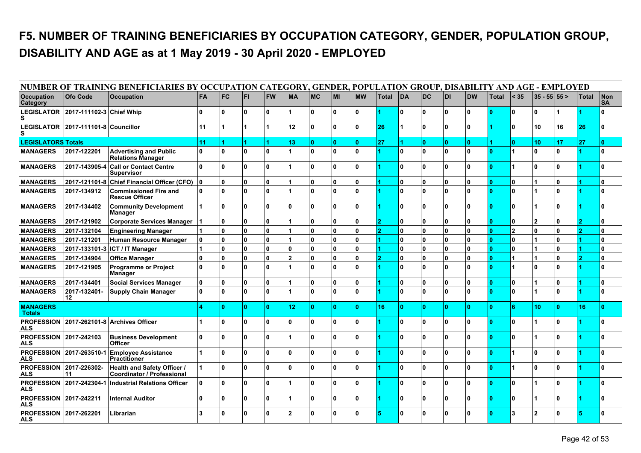### **F5. NUMBER OF TRAINING BENEFICIARIES BY OCCUPATION CATEGORY, GENDER, POPULATION GROUP, DISABILITY AND AGE as at 1 May 2019 - 30 April 2020 - EMPLOYED**

|                                             |                                     | NUMBER OF TRAINING BENEFICIARIES BY OCCUPATION CATEGORY, GENDER, POPULATION GROUP, DISABILITY AND AGE - EMPLOYED |                      |              |              |              |                          |           |              |              |              |           |              |              |           |              |                |                  |     |              |                  |
|---------------------------------------------|-------------------------------------|------------------------------------------------------------------------------------------------------------------|----------------------|--------------|--------------|--------------|--------------------------|-----------|--------------|--------------|--------------|-----------|--------------|--------------|-----------|--------------|----------------|------------------|-----|--------------|------------------|
| <b>Occupation</b><br><b>Category</b>        | <b>Ofo Code</b>                     | <b>Occupation</b>                                                                                                | <b>FA</b>            | <b>FC</b>    | <b>FI</b>    | <b>FW</b>    | <b>MA</b>                | <b>MC</b> | lмı          | <b>MW</b>    | <b>Total</b> | <b>DA</b> | <b>DC</b>    | <b>DI</b>    | <b>DW</b> | <b>Total</b> | $<$ 35         | $35 - 55$ $55 >$ |     | <b>Total</b> | Non<br><b>SA</b> |
| s                                           | LEGISLATOR 2017-111102-3 Chief Whip |                                                                                                                  | $\mathbf{0}$         | $\mathbf{u}$ | $\mathbf{0}$ | $\mathbf{0}$ |                          | l N       | ١o           | $\mathbf{0}$ |              | O         | l n          | $\mathbf{0}$ | ۱o        | ١o           | I٥             | $\mathbf{0}$     |     |              | $\mathbf{a}$     |
|                                             | LEGISLATOR 2017-111101-8 Councillor |                                                                                                                  | 11                   |              |              |              | 12                       | ۱O        | ١o           | $\mathbf{0}$ | 26           |           | <b>O</b>     | $\mathbf{0}$ | ١o        |              | ١o             | 10               | 16  | 26           | I٥               |
| <b>LEGISLATORS Totals</b>                   |                                     |                                                                                                                  | 11                   |              |              |              | 13                       | ۱O        | ١o           | $\mathbf{0}$ | 27           |           | $\mathbf{0}$ | $\mathbf{0}$ | ١o        |              | ١o             | 10               | 17  | 27           | ١o               |
| <b>MANAGERS</b>                             | 2017-122201                         | <b>Advertising and Public</b><br><b>Relations Manager</b>                                                        | $\mathbf{0}$         | $\Omega$     | $\mathbf{0}$ | $\mathbf{0}$ |                          | ۱O        | ۱o           | $\mathbf{0}$ |              | O         | l n          | $\mathbf{0}$ | ١n        | ١o           |                | $\mathbf{0}$     | ١o  |              | I۵               |
| <b>MANAGERS</b>                             |                                     | 2017-143905-4 Call or Contact Centre<br><b>Supervisor</b>                                                        | $\mathbf{0}$         | $\Omega$     | $\mathbf{0}$ | $\mathbf{0}$ |                          | l n       | ۱o           | $\mathbf{0}$ |              | ۱O        | <b>O</b>     | $\mathbf{0}$ | ۱o        | ١o           |                | $\mathbf{0}$     | ۱o  |              | I٥               |
| <b>MANAGERS</b>                             | 2017-121101-8                       | <b>Chief Financial Officer (CFO)</b>                                                                             | $\mathbf{0}$         | $\bf{0}$     | $\mathbf{0}$ | $\mathbf{0}$ |                          | ١o        | ۱o           | $\mathbf{0}$ |              | O         | O            | 0            | ۱o        | ١o           | ١o             | 1                | ١o  |              | ١o               |
| <b>MANAGERS</b>                             | 2017-134912                         | <b>Commissioned Fire and</b><br><b>Rescue Officer</b>                                                            | ۱o                   | $\bf{0}$     | $\mathbf{0}$ | $\mathbf{0}$ |                          | 0         | ۱o           | $\mathbf{0}$ |              | ۱O        | l n          | $\mathbf{0}$ | ۱o        | ١o           | ١o             |                  | ه ا |              | I۵               |
| <b>MANAGERS</b>                             | 2017-134402                         | <b>Community Development</b><br>Manager                                                                          | $\blacktriangleleft$ | $\Omega$     | $\mathbf{0}$ | $\mathbf{0}$ | 0                        | l N       | $\Omega$     | $\mathbf{0}$ |              | $\Omega$  | l n          | $\mathbf{0}$ | ١n        | ١o           | I٥             | 1                | Ι٥  |              | I۵               |
| <b>MANAGERS</b>                             | 2017-121902                         | <b>Corporate Services Manager</b>                                                                                |                      | $\bf{0}$     | $\mathbf{0}$ | $\mathbf{0}$ |                          | 0         | ١o           | $\mathbf{0}$ |              | 0         | 0            | 0            | ١o        | 10           | ١o             | $\overline{2}$   | 0 ا |              | 0                |
| <b>MANAGERS</b>                             | 2017-132104                         | <b>Engineering Manager</b>                                                                                       |                      | $\Omega$     | $\mathbf{0}$ | $\mathbf{0}$ |                          | 0         | $\mathbf{0}$ | $\mathbf{0}$ |              | 0         | ۱n           | $\mathbf{0}$ | ۱۵        | ١o           | $\overline{2}$ | $\mathbf{0}$     | 0 ا |              | ١o               |
| <b>MANAGERS</b>                             | 2017-121201                         | Human Resource Manager                                                                                           | $\mathbf{0}$         | $\Omega$     | $\mathbf{0}$ | $\mathbf{0}$ |                          | 0         | ١o           | $\mathbf{0}$ |              | 0         | ۱n           | $\mathbf{0}$ | ١n        | ١o           | ١o             |                  | ۱o  |              | ١o               |
| <b>MANAGERS</b>                             | 2017-133101-3                       | ICT / IT Manager                                                                                                 |                      | $\Omega$     | $\mathbf{0}$ | $\mathbf{0}$ | 0                        | ۱O.       | ١o           | $\mathbf{0}$ |              | ۱O        | ۱n           | $\mathbf{0}$ | ١n        | ١o           | $\Omega$       |                  | Ι٥  |              | ١o               |
| <b>MANAGERS</b>                             | 2017-134904                         | Office Manager                                                                                                   | $\mathbf{0}$         | $\bf{0}$     | 0            | $\mathbf{0}$ | $\overline{\phantom{a}}$ | 0         | ١o           | $\mathbf{0}$ |              | 0         | 0            | $\mathbf{0}$ | ١o        | 10           |                |                  | 0 ا |              | ١o               |
| <b>MANAGERS</b>                             | 2017-121905                         | <b>Programme or Project</b><br><b>Manager</b>                                                                    | $\mathbf{0}$         | $\bf{0}$     | $\mathbf{0}$ | $\mathbf{0}$ |                          | 0         | ١o           | $\mathbf{0}$ |              | O         | 0            | $\mathbf{0}$ | ۱o        | ١o           | 1              | $\mathbf{0}$     | Ι٥  |              | I٥               |
| <b>MANAGERS</b>                             | 2017-134401                         | <b>Social Services Manager</b>                                                                                   | $\mathbf{0}$         | $\Omega$     | $\mathbf{0}$ | $\mathbf{0}$ |                          | O         | ١o           | $\mathbf{0}$ |              | 0         | <b>O</b>     | $\mathbf{0}$ | ۱o        | ١o           | ۱o             |                  | ١o  |              | ١o               |
| <b>MANAGERS</b>                             | 2017-132401-<br>12                  | <b>Supply Chain Manager</b>                                                                                      | $\Omega$             | $\Omega$     | $\mathbf{0}$ | $\mathbf{0}$ |                          | l n       | I۵           | $\mathbf{0}$ |              | $\Omega$  | l n          | $\mathbf{0}$ | ١n        | ١o           | I٥             |                  | ۱n  |              | I۵               |
| <b>MANAGERS</b><br><b>Totals</b>            |                                     |                                                                                                                  |                      |              | $\mathbf{0}$ | $\mathbf{0}$ | 12 <sub>2</sub>          | ۱O        | $\mathbf{0}$ | $\mathbf{0}$ | 16           | l O       | $\mathbf{0}$ | $\mathbf{0}$ | ١o        | ١o           | l 6            | 10               | ١٥  | 16           | n                |
| <b>PROFESSION</b><br><b>ALS</b>             |                                     | 2017-262101-8 Archives Officer                                                                                   | 1                    | $\mathbf{0}$ | $\mathbf{0}$ | $\mathbf{0}$ | 0                        | ۱o        | ۱o           | $\mathbf{0}$ |              | 0         | <b>O</b>     | $\mathbf{0}$ | ۱o        | 0            | ١o             | 1                | ۱o  |              | I٥               |
| <b>PROFESSION</b><br>ALS                    | 2017-242103                         | <b>Business Development</b><br><b>Officer</b>                                                                    | $\mathbf{0}$         | $\bf{0}$     | $\mathbf{0}$ | $\mathbf{0}$ |                          | ۱O        | ١o           | $\mathbf{0}$ |              | ۱O        | 0            | $\mathbf{0}$ | ۱o        | ١o           | ١o             |                  | ۱o  |              | ١o               |
| <b>ALS</b>                                  | <b>PROFESSION 2017-263510-1</b>     | <b>Employee Assistance</b><br>Practitioner                                                                       |                      | $\Omega$     | $\mathbf{0}$ | $\mathbf{0}$ | 0                        | l N       | $\Omega$     | $\mathbf{0}$ |              | $\Omega$  | l n          | n.           | ١n        | ١o           | 1              | $\mathbf{0}$     | Ι٥  |              | ١o               |
| <b>PROFESSION</b><br><b>ALS</b>             | 2017-226302-<br>11                  | <b>Health and Safety Officer /</b><br><b>Coordinator / Professional</b>                                          |                      | $\Omega$     | $\mathbf{0}$ | $\mathbf{0}$ | 0                        | l N       | I۵           | $\mathbf{0}$ |              | ۱O        | l n          | $\mathbf{0}$ | ۱o        | ١o           |                | $\mathbf{0}$     | ١o  |              | I۵               |
| <b>PROFESSION</b><br>ALS                    | 2017-242304-1                       | <b>Industrial Relations Officer</b>                                                                              | $\mathbf{0}$         | $\mathbf{0}$ | $\mathbf{0}$ | $\mathbf{0}$ |                          | ۱o        | ۱o           | $\mathbf{0}$ |              | O         | <b>O</b>     | $\mathbf{0}$ | ۱o        | lo.          | ۱o             |                  | ١o  |              | I٥               |
| <b>PROFESSION 2017-242211</b><br><b>ALS</b> |                                     | <b>Internal Auditor</b>                                                                                          | $\mathbf{0}$         | $\mathbf{0}$ | $\mathbf{0}$ | $\mathbf{0}$ |                          | ۱O        | ١o           | $\mathbf{0}$ |              | $\Omega$  | n.           | $\Omega$     | ۱۵        | 10           | ١o             |                  | ۱٥  |              | I٥               |
| <b>PROFESSION</b><br><b>ALS</b>             | 2017-262201                         | Librarian                                                                                                        | 3                    | $\Omega$     | $\mathbf{0}$ | $\mathbf{0}$ | $\overline{2}$           | l N       | $\Omega$     | $\mathbf{0}$ |              | $\Omega$  | l n          | $\Omega$     | ۱o        | $\Omega$     | $\mathbf{3}$   | $\overline{2}$   | n   |              | $\Omega$         |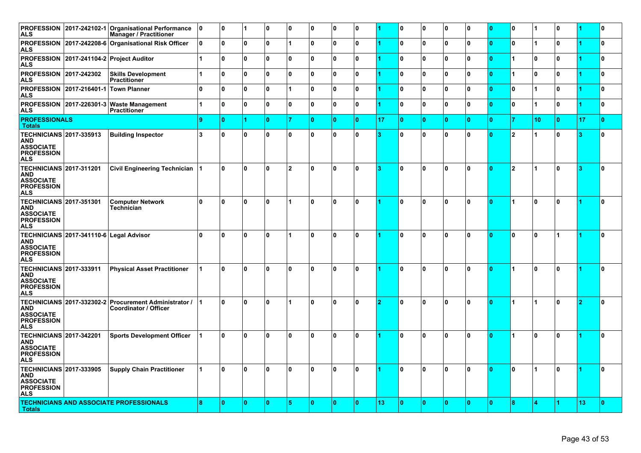| <b>PROFESSION</b><br>ALS                                                                            |                                         | 2017-242102-1 Organisational Performance<br><b>Manager / Practitioner</b>             | 10                   | 0  | 1            | 0 ا | 10 | ٥  | 10           | 0            |    | $\Omega$     | 0            | 0            | 0 | 10       | I٥                   |                      | 0              |    | 10       |
|-----------------------------------------------------------------------------------------------------|-----------------------------------------|---------------------------------------------------------------------------------------|----------------------|----|--------------|-----|----|----|--------------|--------------|----|--------------|--------------|--------------|---|----------|----------------------|----------------------|----------------|----|----------|
| <b>PROFESSION</b><br>ALS                                                                            |                                         | 2017-242208-6 Organisational Risk Officer                                             | 0                    | 0  | 0            | ۱o  | 1  | ١o | $\mathbf{0}$ | 0            |    | $\mathbf{0}$ | $\mathbf 0$  | $\mathbf 0$  | 0 | ١o       | ١o                   |                      | ۱o             |    | ١o       |
| ALS                                                                                                 |                                         | PROFESSION 2017-241104-2 Project Auditor                                              | $\overline{1}$       | ١o | $\mathbf{0}$ | ۱o  | ١o | ١o | $\mathbf{0}$ | $\mathbf{0}$ |    | $\mathbf{0}$ | $\mathbf{0}$ | $\mathbf{0}$ | 0 | ١o       | $\overline{1}$       | $\mathbf{0}$         | ۱o             |    | ١o       |
| <b>PROFESSION</b><br><b>ALS</b>                                                                     | 2017-242302                             | <b>Skills Development</b><br><b>Practitioner</b>                                      |                      | O  | 0            | ۱o  | ١o | ١o | $\mathbf{0}$ | 0            |    | $\mathbf{0}$ | $\mathbf 0$  | $\mathbf{0}$ | 0 | Ι٥       | $\overline{1}$       | $\mathbf{0}$         | ۱o             |    | ١o       |
| <b>PROFESSION</b><br>ALS                                                                            | 2017-216401-1 Town Planner              |                                                                                       | 0                    | O  | $\mathbf{0}$ | l 0 |    | ١o | $\mathbf{0}$ | 0            |    | $\mathbf{0}$ | $\mathbf{0}$ | $\mathbf{0}$ | 0 | 10       | ۱o                   | 1                    | ۱o             |    | ١o       |
| <b>ALS</b>                                                                                          |                                         | PROFESSION 2017-226301-3 Waste Management<br><b>Practitioner</b>                      | $\blacktriangleleft$ | O  | 0            | ۱o  | 10 | ١o | $\mathbf{0}$ | 0            |    | $\Omega$     | $\mathbf 0$  | 0            | 0 | 10       | ۱o                   | $\blacktriangleleft$ | ۱۵             |    | I٥       |
| <b>PROFESSIONALS</b><br><b>Totals</b>                                                               |                                         |                                                                                       | 9                    | ١o |              | ١o  |    | 10 | $\mathbf{0}$ | 0            | 17 | $\mathbf{0}$ | $\mathbf{0}$ | $\mathbf{0}$ | 0 | 10       | 7                    | 10                   | ١o             | 17 | ١o       |
| <b>TECHNICIANS 2017-335913</b><br><b>AND</b><br><b>ASSOCIATE</b><br><b>PROFESSION</b><br><b>ALS</b> |                                         | <b>Building Inspector</b>                                                             | 3                    | ۱o | 0            | ۱o  | 0  | ١o | $\mathbf{0}$ | $\mathbf{0}$ | з  | U            | $\mathbf{0}$ | $\mathbf{0}$ | 0 | $\Omega$ | 2                    | $\blacktriangleleft$ | ۱o             |    | ١o       |
| <b>TECHNICIANS 2017-311201</b><br>AND<br><b>ASSOCIATE</b><br><b>PROFESSION</b><br>ALS               |                                         | <b>Civil Engineering Technician</b>                                                   |                      | ۱o | $\mathbf{0}$ | ه ا | 2  | ١o | ١o           | 0            | з  | U            | $\mathbf{0}$ | $\mathbf{0}$ | 0 | Ι٥       | 2                    | $\overline{1}$       | ۱o             | з  | ١o       |
| <b>TECHNICIANS 2017-351301</b><br><b>AND</b><br><b>ASSOCIATE</b><br><b>PROFESSION</b><br><b>ALS</b> |                                         | <b>Computer Network</b><br>Technician                                                 | 0                    | ۱o | l O          | ۱o  |    | ١o | ١o           | 0            |    | n            | $\mathbf{0}$ | $\mathbf{0}$ | 0 | 10       | $\blacktriangleleft$ | $\mathbf{0}$         | ١o             |    | ١o       |
| AND<br><b>ASSOCIATE</b><br><b>PROFESSION</b><br>ALS                                                 | TECHNICIANS 2017-341110-6 Legal Advisor |                                                                                       | 0                    | ۱O | 0            | ۱o  | 1  | ١o | ١o           | 0            |    | $\mathbf{0}$ | $\mathbf{0}$ | $\mathbf{0}$ | 0 | 10       | ١o                   | $\mathbf{0}$         | $\overline{1}$ |    | ١o       |
| <b>TECHNICIANS 2017-333911</b><br><b>AND</b><br><b>ASSOCIATE</b><br><b>PROFESSION</b><br>ALS        |                                         | <b>Physical Asset Practitioner</b>                                                    |                      | ۱O | 0            | ۱0  | 0  | ١O | $\mathbf{0}$ | 0            |    | n            | $\mathbf{0}$ | $\mathbf{0}$ | 0 | n        | 1                    | $\mathbf{0}$         | Ι٥             |    | ١O       |
| <b>AND</b><br><b>ASSOCIATE</b><br><b>PROFESSION</b><br>ALS                                          |                                         | TECHNICIANS 2017-332302-2 Procurement Administrator /<br><b>Coordinator / Officer</b> |                      | ۱o | 0            | 0 ا | 1  | ١o | ١o           | $\mathbf{0}$ | 2  | U            | $\bf{0}$     | $\mathbf{0}$ | 0 | 10       | $\blacktriangleleft$ | $\blacktriangleleft$ | ۱o             | 2  | $\Omega$ |
| <b>TECHNICIANS 2017-342201</b><br>AND<br><b>ASSOCIATE</b><br><b>PROFESSION</b><br>ALS               |                                         | <b>Sports Development Officer</b>                                                     |                      | 0  | $\mathbf{0}$ | ۱o  | 0  | ١o | $\mathbf{0}$ | 0            |    | U            | $\mathbf{0}$ | $\mathbf{0}$ | 0 | ١n       | $\blacktriangleleft$ | $\mathbf{0}$         | ۱o             |    | ١o       |
| <b>TECHNICIANS 2017-333905</b><br><b>AND</b><br><b>ASSOCIATE</b><br><b>PROFESSION</b><br>ALS        |                                         | <b>Supply Chain Practitioner</b>                                                      |                      | ۱o | l O          | 0 ا | ١o | ١o | ١o           | 0            |    | <sup>0</sup> | $\bf{0}$     | $\mathbf{0}$ | 0 | $\Omega$ | ١o                   | 1                    | ١n             |    | I٥       |
| <b>Totals</b>                                                                                       |                                         | <b>TECHNICIANS AND ASSOCIATE PROFESSIONALS</b>                                        | 8                    | 0  | $\mathbf{0}$ | ۱٥  | 5  | ١o | $\mathbf{0}$ | n            | 13 | $\mathbf{0}$ | $\mathbf{0}$ | $\Omega$     | 0 | $\Omega$ | 8                    | Δ                    | 14             | 13 | ١o       |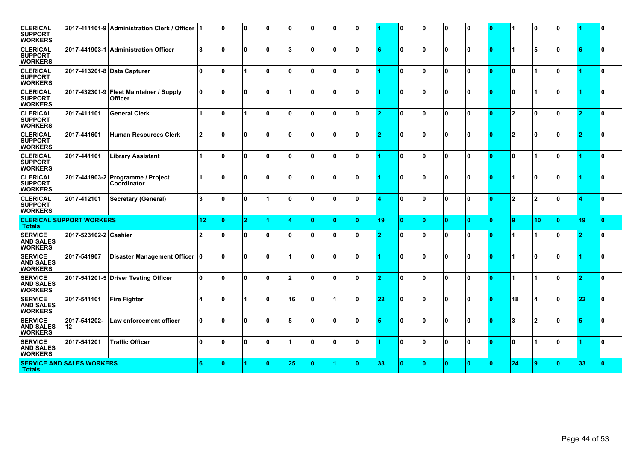| <b>CLERICAL</b><br><b>SUPPORT</b><br><b>WORKERS</b>  |                                  | 2017-411101-9 Administration Clerk / Officer              |                         | 0   | 0              | 0 ا | ۱٥                      | ١o | ١o           | $\mathbf{0}$ |    | $\mathbf{0}$ | $\mathbf{0}$ | $\mathbf{0}$ | 0                       | 10.          | 1                       | $\mathbf{0}$           | ١o |    | 10 |
|------------------------------------------------------|----------------------------------|-----------------------------------------------------------|-------------------------|-----|----------------|-----|-------------------------|----|--------------|--------------|----|--------------|--------------|--------------|-------------------------|--------------|-------------------------|------------------------|----|----|----|
| <b>CLERICAL</b><br><b>SUPPORT</b><br><b>WORKERS</b>  |                                  | 2017-441903-1 Administration Officer                      | 3                       | ۱o  | $\mathbf{0}$   | ۱o  | 3                       | ١o | ١o           | 0            | 6  | $\mathbf{0}$ | $\mathbf{0}$ | $\mathbf{0}$ | 0                       | ۱n           | $\blacktriangleleft$    | 5                      | ۱o |    | ١o |
| <b>CLERICAL</b><br><b>SUPPORT</b><br><b>WORKERS</b>  | 2017-413201-8 Data Capturer      |                                                           | n.                      | ۱n  |                | ۱o  | ٥ ا                     | ١o | $\mathbf{0}$ | 0            |    | U            | $\mathbf{0}$ | $\mathbf{0}$ | 0                       |              | $\mathbf{0}$            |                        | ١n |    | ١o |
| <b>CLERICAL</b><br><b>SUPPORT</b><br><b>WORKERS</b>  |                                  | 2017-432301-9 Fleet Maintainer / Supply<br><b>Officer</b> | 0                       | 0   | $\mathbf{0}$   | ۱o  |                         | ١o | $\mathbf{0}$ | 0            |    | $\mathbf{0}$ | $\mathbf{0}$ | $\mathbf{0}$ | 0                       | ۱n           | ١o                      |                        | ۱o |    | ١o |
| <b>CLERICAL</b><br><b>SUPPORT</b><br><b>WORKERS</b>  | 2017-411101                      | <b>General Clerk</b>                                      | $\overline{1}$          | O   | 1              | ۱o  | 0                       | ١o | $\mathbf{0}$ | 0            | 2  | $\mathbf{0}$ | $\mathbf{0}$ | $\mathbf{0}$ | 0                       | ۱n           | 2                       | $\mathbf{0}$           | ۱o |    | ١o |
| <b>CLERICAL</b><br><b>SUPPORT</b><br><b>WORKERS</b>  | 2017-441601                      | <b>Human Resources Clerk</b>                              | $\overline{2}$          | ۱o  | 0              | ۱o  | 0                       | ١o | <sup>0</sup> | 0            | 2  | 0            | $\mathbf{0}$ | $\mathbf{0}$ | 0                       |              | $\overline{\mathbf{2}}$ | $\mathbf{0}$           | ۱o | 2  | ١o |
| <b>CLERICAL</b><br><b>SUPPORT</b><br><b>WORKERS</b>  | 2017-441101                      | <b>Library Assistant</b>                                  | $\blacktriangleleft$    | ۱o  | 0              | ۱o  | 0 ا                     | ١o | $\mathbf{0}$ | 0            |    | <sup>0</sup> | $\mathbf{0}$ | $\mathbf{0}$ | 0                       | ١O           | ١o                      |                        | ۱o |    | ١o |
| <b>CLERICAL</b><br><b>SUPPORT</b><br><b>WORKERS</b>  |                                  | 2017-441903-2 Programme / Project<br>Coordinator          |                         | l n | $\mathbf{0}$   | ۱o  | ١o                      | I٥ | $\Omega$     | 0            |    | U            | $\bf{0}$     | $\mathbf{0}$ | 0                       | ۱n           | $\blacktriangleleft$    | $\Omega$               | ١n |    | ١o |
| <b>CLERICAL</b><br><b>SUPPORT</b><br><b>WORKERS</b>  | 2017-412101                      | Secretary (General)                                       | 3                       | ۱o  | 0              |     | O                       | ١o | $\mathbf{0}$ | 0            |    | $\Omega$     | $\mathbf{0}$ | $\mathbf{0}$ | 0                       | ۱n           | 2                       | $\overline{2}$         | ۱o |    | ١o |
| <b>Totals</b>                                        | <b>CLERICAL SUPPORT WORKERS</b>  |                                                           | 12                      | ١o  | $\overline{2}$ | 4   | 4                       | ١o | $\mathbf{0}$ | n            | 19 | $\mathbf{0}$ | $\mathbf{0}$ | $\mathbf{0}$ | $\mathbf{0}$            | ١o           | 9                       | 10                     | ١o | 19 | ١o |
| <b>SERVICE</b><br><b>AND SALES</b><br><b>WORKERS</b> | 2017-523102-2 Cashier            |                                                           | $\overline{\mathbf{2}}$ | O   | 0              | ۱o  | 0                       | ١o | $\mathbf{0}$ | 0            | 2  | U            | $\mathbf{0}$ | $\mathbf{0}$ | 0                       |              | $\blacktriangleleft$    | 1                      | ١o |    | ١o |
| <b>SERVICE</b><br><b>AND SALES</b><br><b>WORKERS</b> | 2017-541907                      | Disaster Management Officer 0                             |                         | l n | $\mathbf{0}$   | ۱o  |                         | ١o | <sup>0</sup> | U            |    | 0            | $\bf{0}$     | O.           | 0                       | $\mathbf{r}$ | $\blacktriangleleft$    | $\Omega$               | ١n |    | ١o |
| <b>SERVICE</b><br><b>AND SALES</b><br><b>WORKERS</b> |                                  | 2017-541201-5 Driver Testing Officer                      | 0                       | l N | $\mathbf{0}$   | ۱o  | $\overline{\mathbf{2}}$ | ١o | $\mathbf{0}$ | 0            | 2  | U            | $\bf{0}$     | $\mathbf{0}$ | 0                       | ۱n           | 1                       |                        | ۱o | o  | ١o |
| <b>SERVICE</b><br><b>AND SALES</b><br><b>WORKERS</b> | 2017-541101                      | <b>Fire Fighter</b>                                       | $\overline{\mathbf{A}}$ | l n |                | ۱o  | 16                      | ١o |              | 0            | 22 | $\Omega$     | $\mathbf{0}$ | $\mathbf{0}$ | 0                       | $\Omega$     | 18                      | $\boldsymbol{\Lambda}$ | ١n | 22 | ١o |
| <b>SERVICE</b><br><b>AND SALES</b><br><b>WORKERS</b> | 2017-541202-<br>12               | Law enforcement officer                                   | 0                       | ۱O  | 0              | ۱o  | 5                       | ١o | $\mathbf{0}$ | 0            | Б  | $\mathbf{0}$ | $\mathbf{0}$ | $\mathbf{0}$ | 0                       | ١O           | l3                      | $\overline{2}$         | ۱o |    | ١o |
| <b>SERVICE</b><br><b>AND SALES</b><br><b>WORKERS</b> | 2017-541201                      | <b>Traffic Officer</b>                                    | 0                       | ۱O  | 0              | 0 ا |                         | ١o | $\mathbf{0}$ | 0            |    | $\mathbf{0}$ | $\mathbf{0}$ | $\mathbf{0}$ | 0                       | $\Omega$     | ١o                      |                        | ۱۵ |    | ١o |
| <b>Totals</b>                                        | <b>SERVICE AND SALES WORKERS</b> |                                                           | 6                       | ١o  |                | ١o  | 25                      | ١o |              | n            | 33 | $\mathbf{0}$ | $\mathbf{0}$ | $\mathbf{0}$ | $\overline{\mathbf{0}}$ | ١o           | 24                      | 9                      | ١o | 33 | ١o |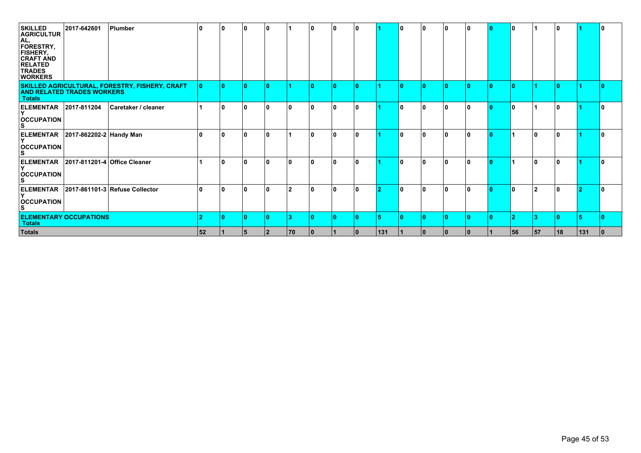| <b>SKILLED</b><br><b>AGRICULTUR</b><br>AL,<br>FORESTRY,<br><b>FISHERY,</b><br><b>CRAFT AND</b><br><b>RELATED</b><br><b>TRADES</b><br><b>WORKERS</b> | 2017-642601                       | Plumber                                        | 10  | 10 | 10 | 10        |     | 10. | 10.          | 10. |               | 10 | 10. | 0        | 0  | 10. | 10 |                | 10 |     |   |
|-----------------------------------------------------------------------------------------------------------------------------------------------------|-----------------------------------|------------------------------------------------|-----|----|----|-----------|-----|-----|--------------|-----|---------------|----|-----|----------|----|-----|----|----------------|----|-----|---|
| <b>Totals</b>                                                                                                                                       | <b>AND RELATED TRADES WORKERS</b> | SKILLED AGRICULTURAL, FORESTRY, FISHERY, CRAFT | 10. | 10 | 10 |           |     |     | 0            | ۱n  |               | ın | ۱n  | n        | Ю  | m   | ١٥ |                | m  |     |   |
| <b>ELEMENTAR</b><br><b>OCCUPATION</b>                                                                                                               | 2017-811204                       | Caretaker / cleaner                            |     | 10 | 10 | 10        |     | n   | 10           | 10. |               | 10 | ۱n  | O        | n  | 10. | 10 |                | 10 |     |   |
| <b>ELEMENTAR</b><br><b>OCCUPATION</b>                                                                                                               | 2017-862202-2 Handy Man           |                                                | 10  | 10 | 10 | 10        |     | 10  | 10           | 10  |               | 10 | ١o  | 10       | ۱0 | 10. |    | l 0            | 10 |     | 0 |
| <b>ELEMENTAR</b><br><b>OCCUPATION</b>                                                                                                               | 2017-811201-4 Office Cleaner      |                                                |     | 10 | ۱0 | ח         |     |     | <sup>0</sup> | n   |               | ۱n |     |          |    |     |    | ۱0             |    |     |   |
| <b>ELEMENTAR</b><br><b>OCCUPATION</b><br>S.                                                                                                         |                                   | 2017-861101-3 Refuse Collector                 | 10  | 10 | 10 | ۱n        | 2   | O   | 0            | ۱0. | 2             | 10 | ۱۵  | $\Omega$ | n  | 10. | ١o | $\overline{2}$ | ۱۸ |     | n |
| <b>Totals</b>                                                                                                                                       | <b>ELEMENTARY OCCUPATIONS</b>     |                                                |     | 10 |    |           |     |     | n            | ۱n  | Б             |    |     |          |    |     | 2  | -3             |    |     |   |
| <b>Totals</b>                                                                                                                                       |                                   |                                                | 52  |    | 15 | <u> 2</u> | 170 | 10  |              | 10  | $ 131\rangle$ |    | 10  | l O      | 10 |     | 56 | 57             | 18 | 131 |   |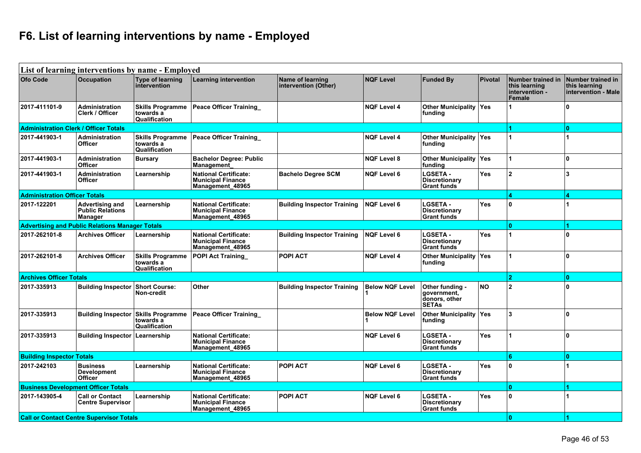## **F6. List of learning interventions by name - Employed**

|                                              | List of learning interventions by name - Employed            |                                                       |                                                                              |                                          |                        |                                                                 |                |                                                                |                                                           |
|----------------------------------------------|--------------------------------------------------------------|-------------------------------------------------------|------------------------------------------------------------------------------|------------------------------------------|------------------------|-----------------------------------------------------------------|----------------|----------------------------------------------------------------|-----------------------------------------------------------|
| Ofo Code                                     | <b>Occupation</b>                                            | <b>Type of learning</b><br>intervention               | <b>Learning intervention</b>                                                 | Name of learning<br>intervention (Other) | <b>NQF Level</b>       | <b>Funded By</b>                                                | <b>Pivotal</b> | Number trained in<br>this learning<br>intervention -<br>Female | Number trained in<br>this learning<br>intervention - Male |
| 2017-411101-9                                | Administration<br><b>Clerk / Officer</b>                     | <b>Skills Programme</b><br>towards a<br>Qualification | <b>Peace Officer Training</b>                                                |                                          | <b>NQF Level 4</b>     | Other Municipality Yes<br>funding                               |                |                                                                | <sup>0</sup>                                              |
| <b>Administration Clerk / Officer Totals</b> |                                                              |                                                       |                                                                              |                                          |                        |                                                                 |                |                                                                | $\mathbf{0}$                                              |
| 2017-441903-1                                | Administration<br><b>Officer</b>                             | <b>Skills Programme</b><br>towards a<br>Qualification | <b>Peace Officer Training</b>                                                |                                          | <b>NQF Level 4</b>     | <b>Other Municipality Yes</b><br>funding                        |                |                                                                |                                                           |
| 2017-441903-1                                | <b>Administration</b><br><b>Officer</b>                      | <b>Bursary</b>                                        | <b>Bachelor Degree: Public</b><br>Management                                 |                                          | <b>NQF Level 8</b>     | Other Municipality Yes<br>funding                               |                |                                                                | $\mathbf{0}$                                              |
| 2017-441903-1                                | Administration<br><b>Officer</b>                             | Learnership                                           | <b>National Certificate:</b><br><b>Municipal Finance</b><br>Management_48965 | <b>Bachelo Degree SCM</b>                | <b>NQF Level 6</b>     | <b>LGSETA -</b><br><b>Discretionary</b><br><b>Grant funds</b>   | Yes            | $\overline{2}$                                                 | 3                                                         |
| <b>Administration Officer Totals</b>         |                                                              |                                                       |                                                                              |                                          |                        |                                                                 |                | Ā                                                              | 4                                                         |
| 2017-122201                                  | <b>Advertising and</b><br><b>Public Relations</b><br>Manager | Learnership                                           | <b>National Certificate:</b><br><b>Municipal Finance</b><br>Management_48965 | <b>Building Inspector Training</b>       | <b>NQF Level 6</b>     | <b>LGSETA -</b><br><b>Discretionary</b><br><b>Grant funds</b>   | <b>Yes</b>     | ١o                                                             |                                                           |
|                                              | <b>Advertising and Public Relations Manager Totals</b>       |                                                       |                                                                              |                                          |                        |                                                                 |                | Ō.                                                             |                                                           |
| 2017-262101-8                                | <b>Archives Officer</b>                                      | Learnership                                           | <b>National Certificate:</b><br><b>Municipal Finance</b><br>Management_48965 | <b>Building Inspector Training</b>       | <b>NQF Level 6</b>     | <b>LGSETA -</b><br><b>Discretionary</b><br><b>Grant funds</b>   | <b>Yes</b>     |                                                                | $\mathbf{0}$                                              |
| 2017-262101-8                                | <b>Archives Officer</b>                                      | <b>Skills Programme</b><br>towards a<br>Qualification | <b>POPI Act Training</b>                                                     | <b>POPI ACT</b>                          | <b>NQF Level 4</b>     | Other Municipality Yes<br>funding                               |                |                                                                | $\mathbf{0}$                                              |
| <b>Archives Officer Totals</b>               |                                                              |                                                       |                                                                              |                                          |                        |                                                                 |                | 2 <sup>1</sup>                                                 | $\mathbf{0}$                                              |
| 2017-335913                                  | <b>Building Inspector</b>                                    | <b>Short Course:</b><br>Non-credit                    | Other                                                                        | <b>Building Inspector Training</b>       | <b>Below NQF Level</b> | Other funding -<br>government.<br>donors, other<br><b>SETAs</b> | <b>NO</b>      | $\overline{2}$                                                 | $\mathbf{0}$                                              |
| 2017-335913                                  | <b>Building Inspector</b>                                    | <b>Skills Programme</b><br>towards a<br>Qualification | <b>Peace Officer Training</b>                                                |                                          | <b>Below NQF Level</b> | Other Municipality   Yes<br>funding                             |                | 3                                                              | $\mathbf{0}$                                              |
| 2017-335913                                  | <b>Building Inspector   Learnership</b>                      |                                                       | National Certificate:<br><b>Municipal Finance</b><br>Management 48965        |                                          | <b>NQF Level 6</b>     | <b>LGSETA -</b><br><b>Discretionary</b><br><b>Grant funds</b>   | Yes            |                                                                | $\mathbf{0}$                                              |
| <b>Building Inspector Totals</b>             |                                                              |                                                       |                                                                              |                                          |                        |                                                                 |                | ĥ.                                                             | $\Omega$                                                  |
| 2017-242103                                  | <b>Business</b><br>Development<br><b>Officer</b>             | Learnership                                           | <b>National Certificate:</b><br><b>Municipal Finance</b><br>Management 48965 | <b>POPI ACT</b>                          | <b>NQF Level 6</b>     | <b>LGSETA -</b><br><b>Discretionary</b><br><b>Grant funds</b>   | <b>Yes</b>     | $\mathbf{0}$                                                   |                                                           |
|                                              | <b>Business Development Officer Totals</b>                   |                                                       |                                                                              |                                          |                        |                                                                 |                | $\mathbf{0}$                                                   |                                                           |
| 2017-143905-4                                | <b>Call or Contact</b><br>Centre Supervisor                  | Learnership                                           | <b>National Certificate:</b><br><b>Municipal Finance</b><br>Management 48965 | <b>POPI ACT</b>                          | <b>NQF Level 6</b>     | <b>LGSETA -</b><br><b>Discretionary</b><br><b>Grant funds</b>   | <b>Yes</b>     | $\mathbf{0}$                                                   |                                                           |
|                                              | <b>Call or Contact Centre Supervisor Totals</b>              |                                                       |                                                                              |                                          |                        |                                                                 |                | ١o                                                             |                                                           |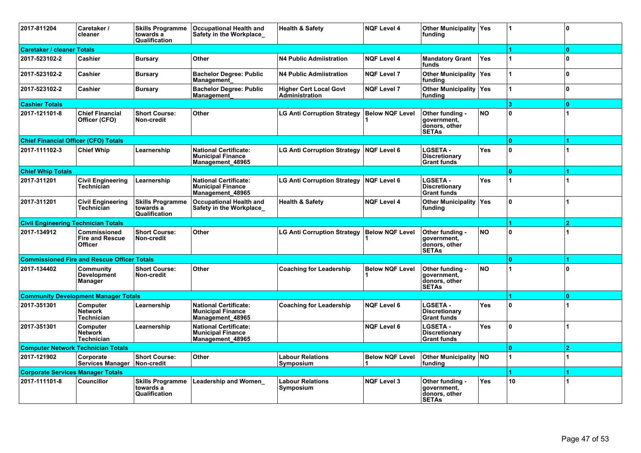| 2017-811204                                 | Caretaker /<br>cleaner                                          | <b>Skills Programme</b><br>towards a<br>Qualification | <b>Occupational Health and</b><br>Safety in the Workplace                    | <b>Health &amp; Safety</b>                      | <b>NQF Level 4</b>     | <b>Other Municipality Yes</b><br>funding                        |            |                | $\mathbf{0}$   |
|---------------------------------------------|-----------------------------------------------------------------|-------------------------------------------------------|------------------------------------------------------------------------------|-------------------------------------------------|------------------------|-----------------------------------------------------------------|------------|----------------|----------------|
| <b>Caretaker / cleaner Totals</b>           |                                                                 |                                                       |                                                                              |                                                 |                        |                                                                 |            |                | $\mathbf{0}$   |
| 2017-523102-2                               | Cashier                                                         | <b>Bursary</b>                                        | Other                                                                        | <b>N4 Public Admiistration</b>                  | <b>NQF Level 4</b>     | <b>Mandatory Grant</b><br>funds                                 | <b>Yes</b> |                | 0              |
| 2017-523102-2                               | <b>Cashier</b>                                                  | <b>Bursary</b>                                        | <b>Bachelor Degree: Public</b><br>Management                                 | <b>N4 Public Admiistration</b>                  | <b>NQF Level 7</b>     | <b>Other Municipality Yes</b><br>funding                        |            |                | 0              |
| 2017-523102-2                               | Cashier                                                         | <b>Bursary</b>                                        | <b>Bachelor Degree: Public</b><br>Management                                 | <b>Higher Cert Local Govt</b><br>Administration | <b>NQF Level 7</b>     | Other Municipality Yes<br>funding                               |            |                | $\mathbf{0}$   |
| <b>Cashier Totals</b>                       |                                                                 |                                                       |                                                                              |                                                 |                        |                                                                 |            | $\overline{3}$ | $\mathbf{0}$   |
| 2017-121101-8                               | <b>Chief Financial</b><br>Officer (CFO)                         | <b>Short Course:</b><br>Non-credit                    | Other                                                                        | <b>LG Anti Corruption Strategy</b>              | <b>Below NQF Level</b> | Other funding -<br>government,<br>donors, other<br><b>SETAs</b> | <b>NO</b>  | ١o             |                |
| <b>Chief Financial Officer (CFO) Totals</b> |                                                                 |                                                       |                                                                              |                                                 |                        |                                                                 |            | $\bullet$      |                |
| 2017-111102-3                               | <b>Chief Whip</b>                                               | Learnership                                           | <b>National Certificate:</b><br><b>Municipal Finance</b><br>Management 48965 | <b>LG Anti Corruption Strategy</b>              | <b>NQF Level 6</b>     | <b>LGSETA -</b><br><b>Discretionary</b><br><b>Grant funds</b>   | <b>Yes</b> | I٥             |                |
| <b>Chief Whip Totals</b>                    |                                                                 |                                                       |                                                                              |                                                 |                        |                                                                 |            | $\mathbf{a}$   |                |
| 2017-311201                                 | <b>Civil Engineering</b><br>Technician                          | Learnership                                           | <b>National Certificate:</b><br><b>Municipal Finance</b><br>Management 48965 | <b>LG Anti Corruption Strategy</b>              | <b>NQF Level 6</b>     | <b>LGSETA -</b><br><b>Discretionary</b><br><b>Grant funds</b>   | <b>Yes</b> |                |                |
| 2017-311201                                 | <b>Civil Engineering</b><br>Technician                          | <b>Skills Programme</b><br>towards a<br>Qualification | <b>Occupational Health and</b><br>Safety in the Workplace_                   | <b>Health &amp; Safety</b>                      | <b>NQF Level 4</b>     | <b>Other Municipality Yes</b><br>funding                        |            | ١o             |                |
| <b>Civil Engineering Technician Totals</b>  |                                                                 |                                                       |                                                                              |                                                 |                        |                                                                 |            |                | $\overline{2}$ |
| 2017-134912                                 | <b>Commissioned</b><br><b>Fire and Rescue</b><br><b>Officer</b> | <b>Short Course:</b><br>Non-credit                    | Other                                                                        | LG Anti Corruption Strategy                     | <b>Below NQF Level</b> | Other funding -<br>government,<br>donors, other<br><b>SETAs</b> | <b>NO</b>  | ۱O.            |                |
|                                             | <b>Commissioned Fire and Rescue Officer Totals</b>              |                                                       |                                                                              |                                                 |                        |                                                                 |            | $\mathbf{0}$   |                |
| 2017-134402                                 | Community<br><b>Development</b><br><b>Manager</b>               | <b>Short Course:</b><br>Non-credit                    | Other                                                                        | <b>Coaching for Leadership</b>                  | <b>Below NOF Level</b> | Other funding -<br>government.<br>donors, other<br><b>SETAs</b> | <b>NO</b>  |                | $\mathbf{0}$   |
|                                             | <b>Community Development Manager Totals</b>                     |                                                       |                                                                              |                                                 |                        |                                                                 |            |                | $\mathbf{a}$   |
| 2017-351301                                 | Computer<br><b>Network</b><br><b>Technician</b>                 | Learnership                                           | <b>National Certificate:</b><br><b>Municipal Finance</b><br>Management_48965 | <b>Coaching for Leadership</b>                  | <b>NQF Level 6</b>     | <b>LGSETA -</b><br><b>Discretionary</b><br><b>Grant funds</b>   | <b>Yes</b> | ١o             |                |
| 2017-351301                                 | Computer<br><b>Network</b><br><b>Technician</b>                 | Learnership                                           | <b>National Certificate:</b><br><b>Municipal Finance</b><br>Management 48965 |                                                 | <b>NQF Level 6</b>     | <b>LGSETA -</b><br><b>Discretionary</b><br><b>Grant funds</b>   | <b>Yes</b> | ١o             |                |
| <b>Computer Network Technician Totals</b>   |                                                                 |                                                       |                                                                              |                                                 |                        |                                                                 |            | l0.            | $\overline{2}$ |
| 2017-121902                                 | Corporate<br>Services Manager                                   | <b>Short Course:</b><br>Non-credit                    | Other                                                                        | <b>Labour Relations</b><br>Symposium            | <b>Below NQF Level</b> | <b>Other Municipality NO</b><br>funding                         |            |                |                |
| <b>Corporate Services Manager Totals</b>    |                                                                 |                                                       |                                                                              |                                                 |                        |                                                                 |            |                |                |
| 2017-111101-8                               | <b>Councillor</b>                                               | <b>Skills Programme</b><br>towards a<br>Qualification | <b>Leadership and Women</b>                                                  | <b>Labour Relations</b><br>Symposium            | <b>NQF Level 3</b>     | Other funding -<br>aovernment.<br>donors, other<br><b>SETAs</b> | <b>Yes</b> | 10             |                |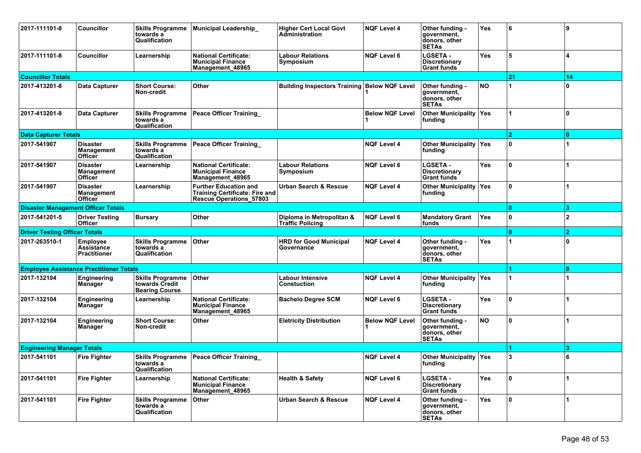| 2017-111101-8                             | Councillor                                           | <b>Skills Programme</b><br>towards a<br>Qualification              | Municipal Leadership                                                                             | <b>Higher Cert Local Govt</b><br>Administration      | <b>NQF Level 4</b>     | Other funding -<br>government,<br>donors, other<br><b>SETAs</b> | <b>Yes</b> | 6              | 9              |
|-------------------------------------------|------------------------------------------------------|--------------------------------------------------------------------|--------------------------------------------------------------------------------------------------|------------------------------------------------------|------------------------|-----------------------------------------------------------------|------------|----------------|----------------|
| 2017-111101-8                             | <b>Councillor</b>                                    | Learnership                                                        | <b>National Certificate:</b><br><b>Municipal Finance</b><br>Management 48965                     | Labour Relations<br>Symposium                        | <b>NQF Level 6</b>     | <b>LGSETA -</b><br><b>Discretionary</b><br><b>Grant funds</b>   | <b>Yes</b> | 5              | 4              |
| <b>Councillor Totals</b>                  |                                                      |                                                                    |                                                                                                  |                                                      |                        |                                                                 |            | 21             | 14             |
| 2017-413201-8                             | Data Capturer                                        | <b>Short Course:</b><br>Non-credit                                 | Other                                                                                            | <b>Building Inspectors Training Below NQF Level</b>  |                        | Other funding -<br>government,<br>donors, other<br><b>SETAs</b> | <b>NO</b>  |                | $\mathbf{0}$   |
| 2017-413201-8                             | Data Capturer                                        | <b>Skills Programme</b><br>towards a<br>Qualification              | Peace Officer Training                                                                           |                                                      | <b>Below NQF Level</b> | Other Municipality   Yes<br>funding                             |            |                | <sup>0</sup>   |
| <b>Data Capturer Totals</b>               |                                                      |                                                                    |                                                                                                  |                                                      |                        |                                                                 |            | $\overline{2}$ | $\Omega$       |
| 2017-541907                               | <b>Disaster</b><br>Management<br><b>Officer</b>      | <b>Skills Programme</b><br>towards a<br>Qualification              | <b>Peace Officer Training</b>                                                                    |                                                      | <b>NQF Level 4</b>     | Other Municipality   Yes<br>funding                             |            | $\mathbf{0}$   |                |
| 2017-541907                               | <b>Disaster</b><br>Management<br><b>Officer</b>      | Learnership                                                        | <b>National Certificate:</b><br><b>Municipal Finance</b><br>Management_48965                     | <b>Labour Relations</b><br>Symposium                 | <b>NQF Level 6</b>     | LGSETA -<br><b>Discretionary</b><br><b>Grant funds</b>          | <b>Yes</b> | ١o             |                |
| 2017-541907                               | <b>Disaster</b><br>Management<br><b>Officer</b>      | Learnership                                                        | <b>Further Education and</b><br><b>Training Certificate: Fire and</b><br>Rescue Operations_57803 | Urban Search & Rescue                                | <b>NQF Level 4</b>     | Other Municipality   Yes<br>funding                             |            | $\bf{0}$       |                |
| <b>Disaster Management Officer Totals</b> |                                                      |                                                                    |                                                                                                  |                                                      |                        |                                                                 |            | $\mathbf{0}$   | 3              |
| 2017-541201-5                             | <b>Driver Testing</b><br><b>Officer</b>              | <b>Bursary</b>                                                     | Other                                                                                            | Diploma in Metropolitan &<br><b>Traffic Policing</b> | <b>NQF Level 6</b>     | <b>Mandatory Grant</b><br>funds                                 | Yes        | $\mathbf{0}$   | $\overline{2}$ |
| <b>Driver Testing Officer Totals</b>      |                                                      |                                                                    |                                                                                                  |                                                      |                        |                                                                 |            | $\mathbf{0}$   | 2              |
| 2017-263510-1                             | <b>Employee</b><br>Assistance<br><b>Practitioner</b> | <b>Skills Programme</b><br>towards a<br>Qualification              | Other                                                                                            | <b>HRD for Good Municipal</b><br>Governance          | <b>NQF Level 4</b>     | Other funding -<br>government,<br>donors, other<br><b>SETAs</b> | <b>Yes</b> |                | 0              |
|                                           | <b>Employee Assistance Practitioner Totals</b>       |                                                                    |                                                                                                  |                                                      |                        |                                                                 |            |                | $\Omega$       |
| 2017-132104                               | Engineering<br>Manager                               | <b>Skills Programme</b><br>towards Credit<br><b>Bearing Course</b> | Other                                                                                            | Labour Intensive<br><b>Constuction</b>               | <b>NQF Level 4</b>     | Other Municipality   Yes<br>funding                             |            |                |                |
| 2017-132104                               | Engineering<br>Manager                               | Learnership                                                        | <b>National Certificate:</b><br><b>Municipal Finance</b><br>Management_48965                     | <b>Bachelo Degree SCM</b>                            | <b>NQF Level 6</b>     | <b>LGSETA -</b><br>Discretionary<br><b>Grant funds</b>          | Yes        | ١o             |                |
| 2017-132104                               | Engineering<br><b>Manager</b>                        | <b>Short Course:</b><br>Non-credit                                 | Other                                                                                            | <b>Eletricity Distribution</b>                       | <b>Below NQF Level</b> | Other funding -<br>government,<br>donors, other<br><b>SETAs</b> | <b>NO</b>  | ١o             |                |
| <b>Engineering Manager Totals</b>         |                                                      |                                                                    |                                                                                                  |                                                      |                        |                                                                 |            |                | 3              |
| 2017-541101                               | <b>Fire Fighter</b>                                  | <b>Skills Programme</b><br>towards a<br>Qualification              | <b>Peace Officer Training</b>                                                                    |                                                      | <b>NQF Level 4</b>     | Other Municipality   Yes<br>∣funding                            |            | 3              | 6              |
| 2017-541101                               | <b>Fire Fighter</b>                                  | Learnership                                                        | <b>National Certificate:</b><br><b>Municipal Finance</b><br>Management_48965                     | <b>Health &amp; Safety</b>                           | <b>NQF Level 6</b>     | <b>LGSETA -</b><br><b>Discretionary</b><br><b>Grant funds</b>   | Yes        | I٥             |                |
| 2017-541101                               | <b>Fire Fighter</b>                                  | <b>Skills Programme</b><br>towards a<br>Qualification              | Other                                                                                            | <b>Urban Search &amp; Rescue</b>                     | <b>NQF Level 4</b>     | Other funding -<br>government,<br>donors, other<br><b>SETAs</b> | Yes        | I٥             |                |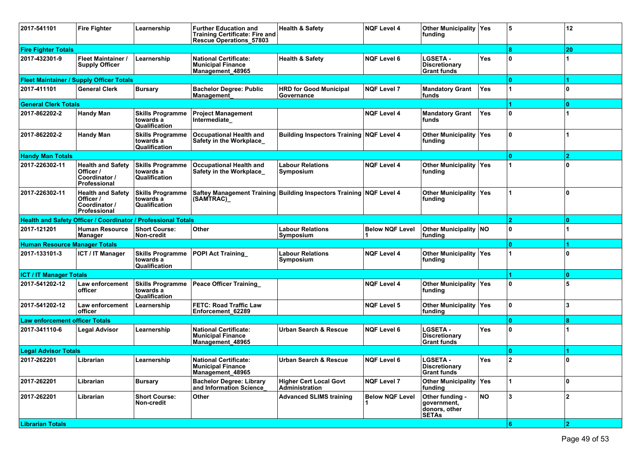| 2017-541101                                                          | <b>Fire Fighter</b>                                                    | Learnership                                           | <b>Further Education and</b><br><b>Training Certificate: Fire and</b><br><b>Rescue Operations 57803</b> | <b>Health &amp; Safety</b>                                          | <b>NQF Level 4</b>     | <b>Other Municipality Yes</b><br>funding                        |            | 5   | 12             |
|----------------------------------------------------------------------|------------------------------------------------------------------------|-------------------------------------------------------|---------------------------------------------------------------------------------------------------------|---------------------------------------------------------------------|------------------------|-----------------------------------------------------------------|------------|-----|----------------|
| <b>Fire Fighter Totals</b>                                           |                                                                        |                                                       |                                                                                                         |                                                                     |                        |                                                                 |            |     | 20             |
| 2017-432301-9                                                        | <b>Fleet Maintainer /</b><br><b>Supply Officer</b>                     | Learnership                                           | <b>National Certificate:</b><br><b>Municipal Finance</b><br>Management_48965                            | <b>Health &amp; Safety</b>                                          | <b>NQF Level 6</b>     | <b>LGSETA -</b><br><b>Discretionary</b><br><b>Grant funds</b>   | Yes        | 0   |                |
|                                                                      | <b>Fleet Maintainer / Supply Officer Totals</b>                        |                                                       |                                                                                                         |                                                                     |                        |                                                                 |            | O   |                |
| 2017-411101                                                          | <b>General Clerk</b>                                                   | <b>Bursary</b>                                        | <b>Bachelor Degree: Public</b><br>Management                                                            | <b>HRD for Good Municipal</b><br>Governance                         | <b>NQF Level 7</b>     | <b>Mandatory Grant</b><br>funds                                 | <b>Yes</b> |     | 0              |
| <b>General Clerk Totals</b>                                          |                                                                        |                                                       |                                                                                                         |                                                                     |                        |                                                                 |            |     | $\mathbf{0}$   |
| 2017-862202-2                                                        | <b>Handy Man</b>                                                       | <b>Skills Programme</b><br>towards a<br>Qualification | <b>Project Management</b><br>Intermediate                                                               |                                                                     | <b>NQF Level 4</b>     | <b>Mandatory Grant</b><br>funds                                 | Yes        | n   |                |
| 2017-862202-2                                                        | <b>Handy Man</b>                                                       | <b>Skills Programme</b><br>towards a<br>Qualification | <b>Occupational Health and</b><br>Safety in the Workplace                                               | <b>Building Inspectors Training NQF Level 4</b>                     |                        | <b>Other Municipality Yes</b><br>funding                        |            | 10  |                |
| <b>Handy Man Totals</b>                                              |                                                                        |                                                       |                                                                                                         |                                                                     |                        |                                                                 |            | 10. | $\overline{2}$ |
| 2017-226302-11                                                       | <b>Health and Safety</b><br>Officer /<br>Coordinator /<br>Professional | <b>Skills Programme</b><br>towards a<br>Qualification | <b>Occupational Health and</b><br>Safety in the Workplace                                               | Labour Relations<br>Symposium                                       | <b>NQF Level 4</b>     | <b>Other Municipality Yes</b><br>funding                        |            |     | $\mathbf{0}$   |
| 2017-226302-11                                                       | <b>Health and Safety</b><br>Officer /<br>Coordinator /<br>Professional | <b>Skills Programme</b><br>towards a<br>Qualification | (SAMTRAC)                                                                                               | Saftey Management Training Building Inspectors Training NQF Level 4 |                        | <b>Other Municipality Yes</b><br>funding                        |            |     | $\mathbf{0}$   |
| <b>Health and Safety Officer / Coordinator / Professional Totals</b> |                                                                        | ١o                                                    |                                                                                                         |                                                                     |                        |                                                                 |            |     |                |
| 2017-121201                                                          | <b>Human Resource</b><br>Manager                                       | <b>Short Course:</b><br>Non-credit                    | <b>Other</b>                                                                                            | Labour Relations<br>Symposium                                       | <b>Below NQF Level</b> | <b>Other Municipality NO</b><br> funding                        |            | 0   |                |
| <b>Human Resource Manager Totals</b>                                 |                                                                        |                                                       |                                                                                                         |                                                                     |                        |                                                                 |            | O   |                |
| 2017-133101-3                                                        | <b>ICT / IT Manager</b>                                                | <b>Skills Programme</b><br>towards a<br>Qualification | POPI Act Training                                                                                       | <b>Labour Relations</b><br>Symposium                                | <b>NQF Level 4</b>     | <b>Other Municipality Yes</b><br>funding                        |            |     | 0              |
| <b>ICT / IT Manager Totals</b>                                       |                                                                        |                                                       |                                                                                                         |                                                                     |                        |                                                                 |            |     | ١o             |
| 2017-541202-12                                                       | Law enforcement<br>officer                                             | <b>Skills Programme</b><br>towards a<br>Qualification | <b>Peace Officer Training</b>                                                                           |                                                                     | <b>NQF Level 4</b>     | <b>Other Municipality Yes</b><br>funding                        |            | 0   | 5              |
| 2017-541202-12                                                       | Law enforcement<br>officer                                             | Learnership                                           | <b>FETC: Road Traffic Law</b><br>Enforcement 62289                                                      |                                                                     | <b>NQF Level 5</b>     | <b>Other Municipality Yes</b><br>funding                        |            | 0   | 3              |
| <b>Law enforcement officer Totals</b>                                |                                                                        |                                                       |                                                                                                         |                                                                     |                        |                                                                 |            |     | 8              |
| 2017-341110-6                                                        | Legal Advisor                                                          | Learnership                                           | <b>National Certificate:</b><br><b>Municipal Finance</b><br>Management_48965                            | Urban Search & Rescue                                               | <b>NQF Level 6</b>     | <b>LGSETA -</b><br><b>Discretionary</b><br><b>Grant funds</b>   | <b>Yes</b> | 0   |                |
| <b>Legal Advisor Totals</b>                                          |                                                                        |                                                       |                                                                                                         |                                                                     |                        |                                                                 |            |     |                |
| 2017-262201                                                          | Librarian                                                              | Learnership                                           | <b>National Certificate:</b><br><b>Municipal Finance</b><br>Management 48965                            | <b>Urban Search &amp; Rescue</b>                                    | <b>NOF Level 6</b>     | <b>LGSETA -</b><br>Discretionary<br><b>Grant funds</b>          | Yes        |     | $\mathbf{0}$   |
| 2017-262201                                                          | Librarian                                                              | <b>Bursary</b>                                        | <b>Bachelor Degree: Library</b><br>and Information Science                                              | <b>Higher Cert Local Govt</b><br><b>Administration</b>              | <b>NQF Level 7</b>     | <b>Other Municipality Yes</b><br>funding                        |            |     | ١o             |
| 2017-262201                                                          | Librarian                                                              | <b>Short Course:</b><br>Non-credit                    | Other                                                                                                   | <b>Advanced SLIMS training</b>                                      | <b>Below NQF Level</b> | Other funding -<br>government,<br>donors, other<br><b>SETAS</b> | NO         | 3   | $\overline{2}$ |
| <b>Librarian Totals</b>                                              |                                                                        |                                                       |                                                                                                         |                                                                     |                        |                                                                 |            | 16. | 12.            |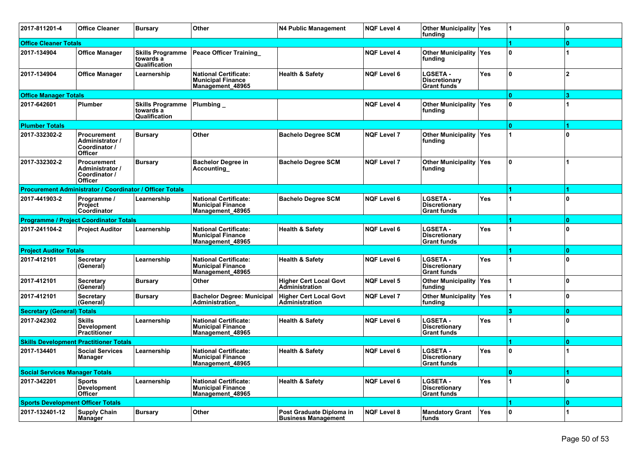| 2017-811201-4                                 | <b>Office Cleaner</b>                                                    | <b>Bursary</b>                                        | Other                                                                        | <b>N4 Public Management</b>                            | <b>NQF Level 4</b> | Other Municipality   Yes<br>funding                           |            |              | $\mathbf{0}$ |
|-----------------------------------------------|--------------------------------------------------------------------------|-------------------------------------------------------|------------------------------------------------------------------------------|--------------------------------------------------------|--------------------|---------------------------------------------------------------|------------|--------------|--------------|
| <b>Office Cleaner Totals</b>                  |                                                                          |                                                       |                                                                              |                                                        |                    |                                                               |            |              | $\bf{0}$     |
| 2017-134904                                   | <b>Office Manager</b>                                                    | <b>Skills Programme</b><br>towards a<br>Qualification | <b>Peace Officer Training</b>                                                |                                                        | <b>NQF Level 4</b> | <b>Other Municipality   Yes</b><br>funding                    |            | $\mathbf{0}$ |              |
| 2017-134904                                   | <b>Office Manager</b>                                                    | Learnership                                           | <b>National Certificate:</b><br><b>Municipal Finance</b><br>Management 48965 | <b>Health &amp; Safety</b>                             | <b>NQF Level 6</b> | <b>LGSETA -</b><br><b>Discretionary</b><br><b>Grant funds</b> | <b>Yes</b> | ١o           | $\mathbf{2}$ |
| <b>Office Manager Totals</b>                  |                                                                          |                                                       |                                                                              |                                                        |                    |                                                               |            | $\mathbf{0}$ | я            |
| 2017-642601                                   | Plumber                                                                  | <b>Skills Programme</b><br>towards a<br>Qualification | Plumbing_                                                                    |                                                        | <b>NQF Level 4</b> | Other Municipality Yes<br>funding                             |            | $\mathbf{0}$ |              |
| <b>Plumber Totals</b>                         |                                                                          |                                                       |                                                                              |                                                        |                    |                                                               |            | $\mathbf{0}$ | 1            |
| 2017-332302-2                                 | <b>Procurement</b><br>Administrator /<br>Coordinator /<br><b>Officer</b> | <b>Bursary</b>                                        | Other                                                                        | <b>Bachelo Degree SCM</b>                              | <b>NQF Level 7</b> | <b>Other Municipality   Yes</b><br>funding                    |            |              | <sup>0</sup> |
| 2017-332302-2                                 | <b>Procurement</b><br>Administrator /<br>Coordinator /<br><b>Officer</b> | <b>Bursary</b>                                        | <b>Bachelor Degree in</b><br>Accounting                                      | <b>Bachelo Degree SCM</b>                              | <b>NQF Level 7</b> | <b>Other Municipality   Yes</b><br>funding                    |            | ١o           |              |
|                                               | <b>Procurement Administrator / Coordinator / Officer Totals</b>          |                                                       |                                                                              |                                                        |                    |                                                               |            |              | 1            |
| 2017-441903-2                                 | Programme /<br><b>Project</b><br>Coordinator                             | Learnership                                           | <b>National Certificate:</b><br><b>Municipal Finance</b><br>Management 48965 | <b>Bachelo Degree SCM</b>                              | <b>NQF Level 6</b> | <b>LGSETA -</b><br><b>Discretionary</b><br><b>Grant funds</b> | <b>Yes</b> |              | <sup>0</sup> |
| <b>Programme / Project Coordinator Totals</b> |                                                                          |                                                       |                                                                              |                                                        |                    |                                                               |            |              | $\Omega$     |
| 2017-241104-2                                 | <b>Project Auditor</b>                                                   | Learnership                                           | <b>National Certificate:</b><br><b>Municipal Finance</b><br>Management 48965 | <b>Health &amp; Safety</b>                             | <b>NQF Level 6</b> | <b>LGSETA -</b><br><b>Discretionary</b><br><b>Grant funds</b> | <b>Yes</b> |              | U            |
| <b>Project Auditor Totals</b>                 |                                                                          |                                                       |                                                                              |                                                        |                    |                                                               |            |              | $\Omega$     |
| 2017-412101                                   | <b>Secretary</b><br>(General)                                            | Learnership                                           | <b>National Certificate:</b><br><b>Municipal Finance</b><br>Management_48965 | <b>Health &amp; Safety</b>                             | <b>NQF Level 6</b> | <b>LGSETA -</b><br><b>Discretionary</b><br><b>Grant funds</b> | Yes        |              | <sup>0</sup> |
| 2017-412101                                   | <b>Secretary</b><br>(General)                                            | <b>Bursary</b>                                        | Other                                                                        | <b>Higher Cert Local Govt</b><br><b>Administration</b> | <b>NQF Level 5</b> | <b>Other Municipality   Yes</b><br>funding                    |            |              | 0            |
| 2017-412101                                   | Secretary<br>(General)                                                   | <b>Bursary</b>                                        | <b>Bachelor Degree: Municipal</b><br>Administration                          | <b>Higher Cert Local Govt</b><br>Administration        | <b>NQF Level 7</b> | Other Municipality   Yes<br>funding                           |            |              | <sup>0</sup> |
| <b>Secretary (General) Totals</b>             |                                                                          |                                                       |                                                                              |                                                        |                    |                                                               |            |              | $\bf{0}$     |
| 2017-242302                                   | <b>Skills</b><br><b>Development</b><br>Practitioner                      | Learnership                                           | <b>National Certificate:</b><br><b>Municipal Finance</b><br>Management 48965 | <b>Health &amp; Safety</b>                             | <b>NQF Level 6</b> | <b>LGSETA -</b><br><b>Discretionary</b><br><b>Grant funds</b> | Yes        |              | U            |
|                                               | <b>Skills Development Practitioner Totals</b>                            |                                                       |                                                                              |                                                        |                    |                                                               |            |              | n            |
| 2017-134401                                   | <b>Social Services</b><br><b>Manager</b>                                 | Learnership                                           | <b>National Certificate:</b><br><b>Municipal Finance</b><br>Management_48965 | <b>Health &amp; Safety</b>                             | <b>NQF Level 6</b> | <b>LGSETA -</b><br><b>Discretionary</b><br><b>Grant funds</b> | <b>Yes</b> | $\mathbf 0$  |              |
| <b>Social Services Manager Totals</b>         |                                                                          |                                                       |                                                                              |                                                        |                    |                                                               |            | $\mathbf{0}$ |              |
| 2017-342201                                   | <b>Sports</b><br>Development<br>Officer                                  | Learnership                                           | National Certificate:<br><b>Municipal Finance</b><br>Management 48965        | <b>Health &amp; Safety</b>                             | <b>NQF Level 6</b> | <b>LGSETA -</b><br><b>Discretionary</b><br><b>Grant funds</b> | Yes        |              | 0            |
| <b>Sports Development Officer Totals</b>      |                                                                          |                                                       |                                                                              |                                                        |                    |                                                               |            |              | $\mathbf{0}$ |
| 2017-132401-12                                | <b>Supply Chain</b><br>Manager                                           | <b>Bursary</b>                                        | Other                                                                        | Post Graduate Diploma in<br><b>Business Management</b> | NQF Level 8        | <b>Mandatory Grant</b><br>funds                               | Yes        | 10           |              |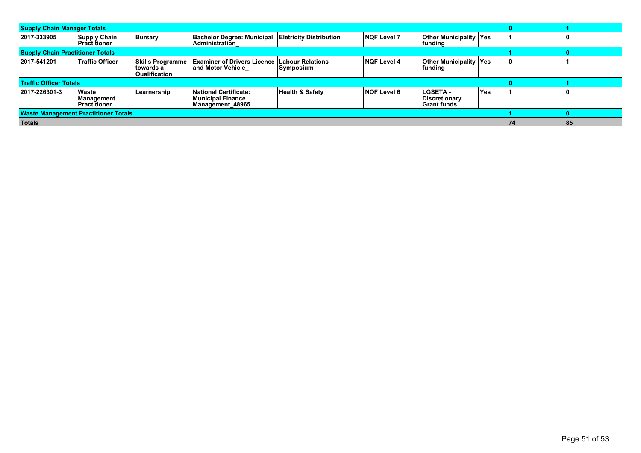| <b>Supply Chain Manager Totals</b>          |                                      |                                                               |                                                                             |                                                                |                    |                                                 |            |  |  |
|---------------------------------------------|--------------------------------------|---------------------------------------------------------------|-----------------------------------------------------------------------------|----------------------------------------------------------------|--------------------|-------------------------------------------------|------------|--|--|
| 2017-333905                                 | Supply Chain<br><b>Practitioner</b>  | Bursary                                                       | <b>Bachelor Degree: Municipal Eletricity Distribution</b><br>Administration | <b>NQF Level 7</b><br><b>Other Municipality Yes</b><br>funding |                    |                                                 |            |  |  |
| <b>Supply Chain Practitioner Totals</b>     |                                      |                                                               |                                                                             |                                                                |                    |                                                 |            |  |  |
| 2017-541201                                 | Traffic Officer                      | <b>Skills Programme</b><br>ltowards a<br><b>Qualification</b> | <b>Examiner of Drivers Licence  </b><br>∣and Motor Vehicle                  | <b>Labour Relations</b><br>Symposium                           | <b>NQF Level 4</b> | <b>Other Municipality Yes</b><br>funding        |            |  |  |
| <b>Traffic Officer Totals</b>               |                                      |                                                               |                                                                             |                                                                |                    |                                                 |            |  |  |
| 2017-226301-3                               | Waste<br>Management<br>∣Practitioner | Learnership                                                   | <b>National Certificate:</b><br>Municipal Finance<br>Management 48965       | <b>Health &amp; Safety</b>                                     | <b>NQF Level 6</b> | LGSETA -<br>Discretionary<br><b>Grant funds</b> | <b>Yes</b> |  |  |
| <b>Waste Management Practitioner Totals</b> |                                      |                                                               |                                                                             |                                                                |                    |                                                 |            |  |  |
| Totals                                      |                                      | 74                                                            | 85                                                                          |                                                                |                    |                                                 |            |  |  |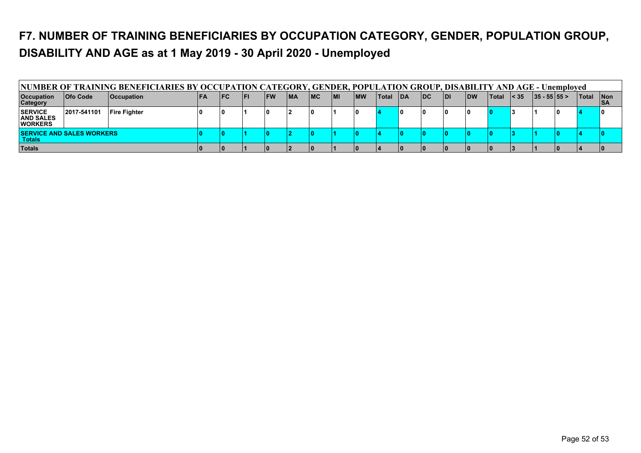### **F7. NUMBER OF TRAINING BENEFICIARIES BY OCCUPATION CATEGORY, GENDER, POPULATION GROUP, DISABILITY AND AGE as at 1 May 2019 - 30 April 2020 - Unemployed**

| NUMBER OF TRAINING BENEFICIARIES BY OCCUPATION CATEGORY, GENDER, POPULATION GROUP, DISABILITY AND AGE - Unemployed |                 |                     |  |            |     |      |    |     |      |            |              |            |            |      |            |        |              |               |              |                    |
|--------------------------------------------------------------------------------------------------------------------|-----------------|---------------------|--|------------|-----|------|----|-----|------|------------|--------------|------------|------------|------|------------|--------|--------------|---------------|--------------|--------------------|
| <b>Occupation</b><br><b>Category</b>                                                                               | <b>Ofo Code</b> | <b>Occupation</b>   |  | <b>IFC</b> | lFl | l FW | MA | IMC | l MI | <b>IMW</b> | <b>Total</b> | <b>IDA</b> | <b>IDC</b> | IDI. | <b>IDW</b> | ∣Total | $\vert$ < 35 | $ 35 - 55 55$ | <b>Total</b> | ∣Non<br><b>ISA</b> |
| <b>SERVICE</b><br><b>AND SALES</b><br><b>WORKERS</b>                                                               | 2017-541101     | <b>Fire Fighter</b> |  |            |     |      |    | 10  |      |            |              |            |            |      |            |        |              |               |              |                    |
| <b>ISERVICE AND SALES WORKERS</b><br>Totals                                                                        |                 |                     |  |            |     |      |    |     |      |            |              |            |            |      |            |        |              |               |              |                    |
| <b>Totals</b>                                                                                                      |                 |                     |  |            |     |      |    |     |      |            |              |            |            |      |            |        |              |               |              |                    |